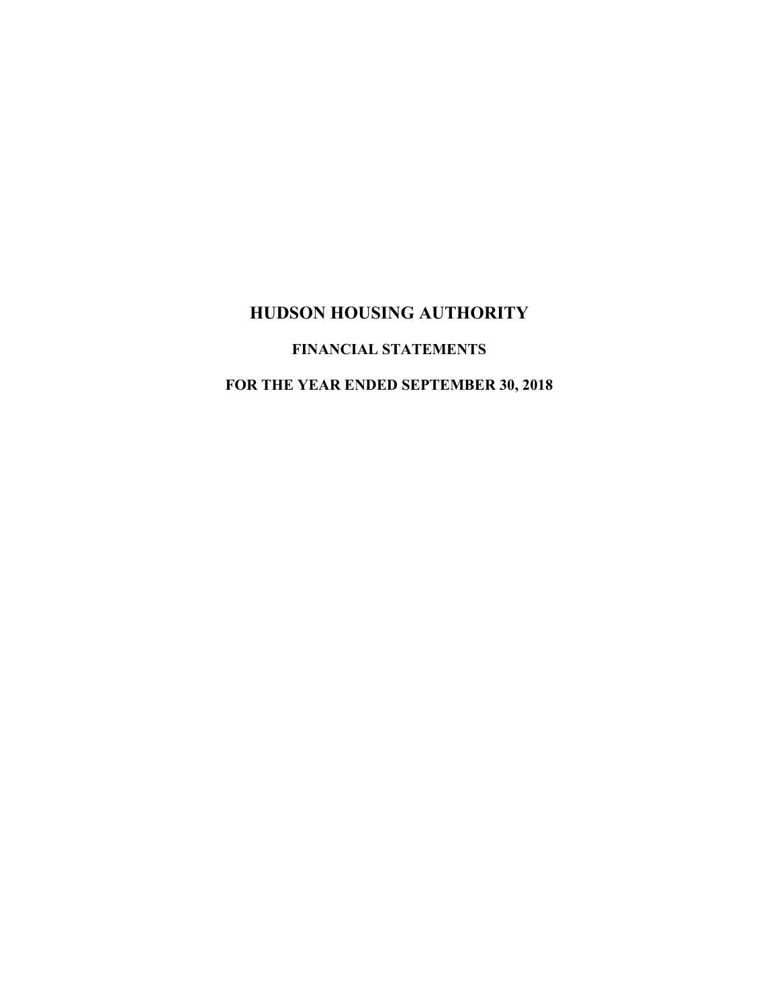# **FINANCIAL STATEMENTS**

# **FOR THE YEAR ENDED SEPTEMBER 30, 2018**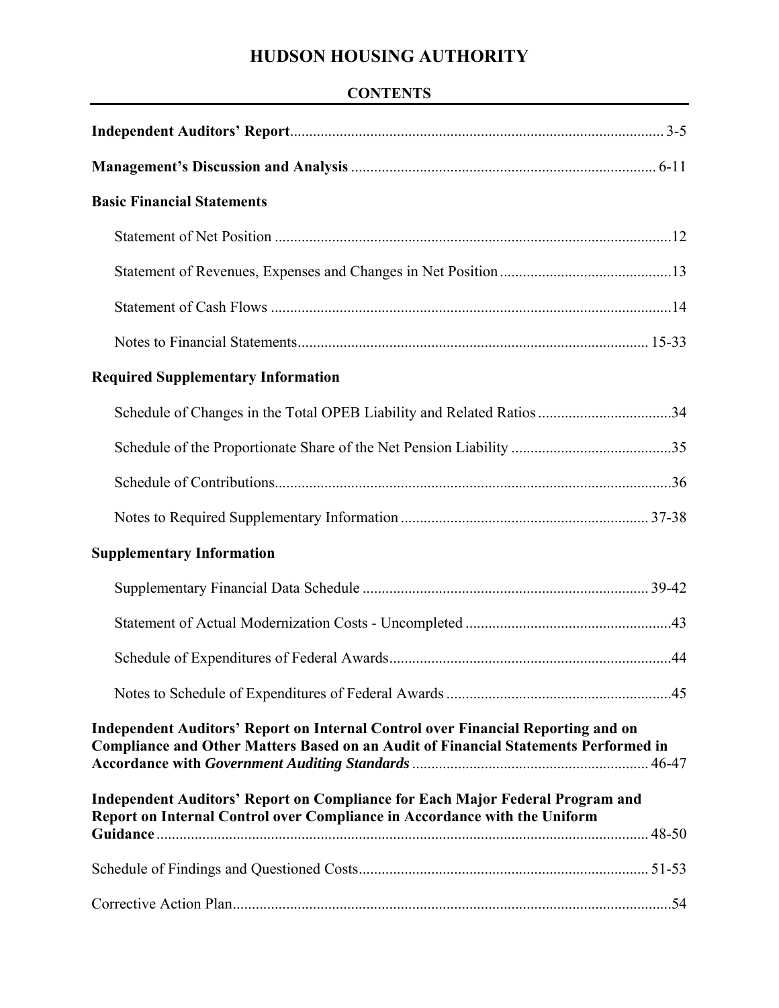## **CONTENTS**

| <b>Basic Financial Statements</b>                                                                                                                                       |  |
|-------------------------------------------------------------------------------------------------------------------------------------------------------------------------|--|
|                                                                                                                                                                         |  |
|                                                                                                                                                                         |  |
|                                                                                                                                                                         |  |
|                                                                                                                                                                         |  |
| <b>Required Supplementary Information</b>                                                                                                                               |  |
|                                                                                                                                                                         |  |
|                                                                                                                                                                         |  |
|                                                                                                                                                                         |  |
|                                                                                                                                                                         |  |
| <b>Supplementary Information</b>                                                                                                                                        |  |
|                                                                                                                                                                         |  |
|                                                                                                                                                                         |  |
|                                                                                                                                                                         |  |
|                                                                                                                                                                         |  |
| Independent Auditors' Report on Internal Control over Financial Reporting and on<br>Compliance and Other Matters Based on an Audit of Financial Statements Performed in |  |
| Independent Auditors' Report on Compliance for Each Major Federal Program and<br>Report on Internal Control over Compliance in Accordance with the Uniform              |  |
|                                                                                                                                                                         |  |
|                                                                                                                                                                         |  |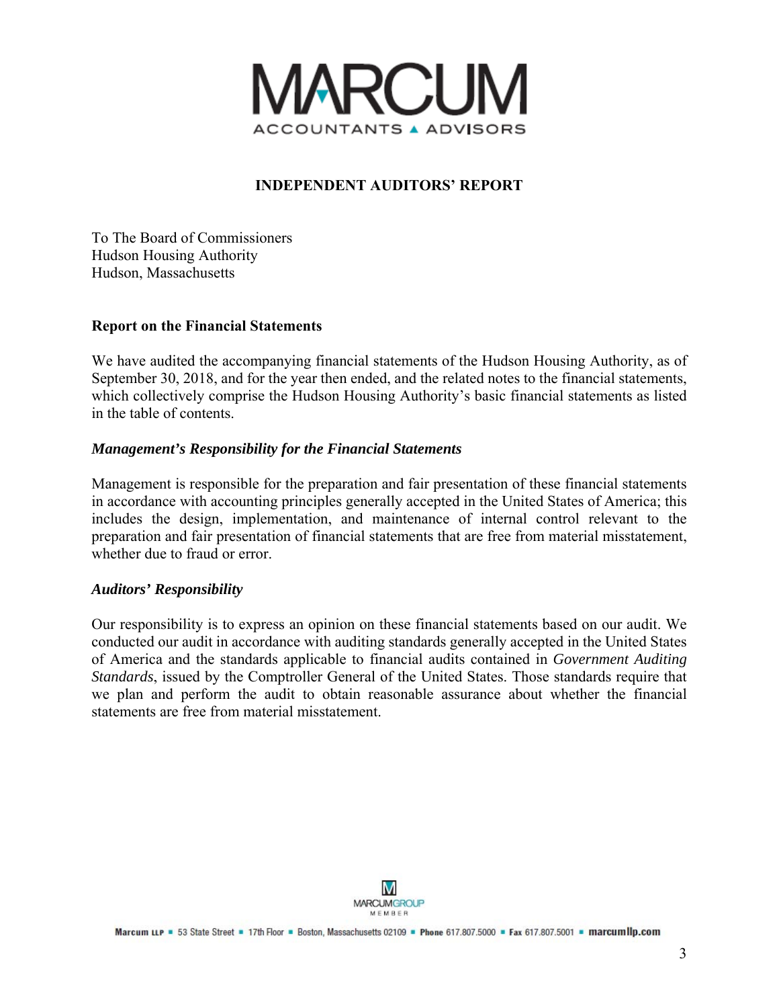

## **INDEPENDENT AUDITORS' REPORT**

To The Board of Commissioners Hudson Housing Authority Hudson, Massachusetts

### **Report on the Financial Statements**

We have audited the accompanying financial statements of the Hudson Housing Authority, as of September 30, 2018, and for the year then ended, and the related notes to the financial statements, which collectively comprise the Hudson Housing Authority's basic financial statements as listed in the table of contents.

#### *Management's Responsibility for the Financial Statements*

Management is responsible for the preparation and fair presentation of these financial statements in accordance with accounting principles generally accepted in the United States of America; this includes the design, implementation, and maintenance of internal control relevant to the preparation and fair presentation of financial statements that are free from material misstatement, whether due to fraud or error.

#### *Auditors' Responsibility*

Our responsibility is to express an opinion on these financial statements based on our audit. We conducted our audit in accordance with auditing standards generally accepted in the United States of America and the standards applicable to financial audits contained in *Government Auditing Standards*, issued by the Comptroller General of the United States. Those standards require that we plan and perform the audit to obtain reasonable assurance about whether the financial statements are free from material misstatement.



Marcum LLP = 53 State Street = 17th Floor = Boston, Massachusetts 02109 = Phone 617.807.5000 = Fax 617.807.5001 = marcum llp.com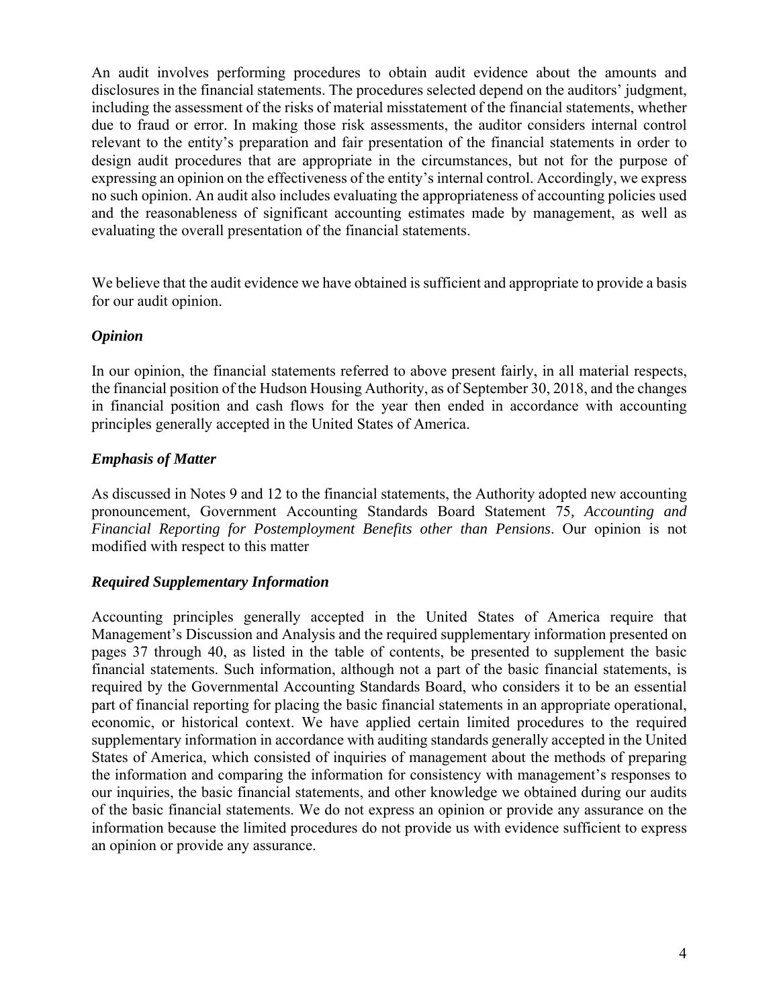An audit involves performing procedures to obtain audit evidence about the amounts and disclosures in the financial statements. The procedures selected depend on the auditors' judgment, including the assessment of the risks of material misstatement of the financial statements, whether due to fraud or error. In making those risk assessments, the auditor considers internal control relevant to the entity's preparation and fair presentation of the financial statements in order to design audit procedures that are appropriate in the circumstances, but not for the purpose of expressing an opinion on the effectiveness of the entity's internal control. Accordingly, we express no such opinion. An audit also includes evaluating the appropriateness of accounting policies used and the reasonableness of significant accounting estimates made by management, as well as evaluating the overall presentation of the financial statements.

We believe that the audit evidence we have obtained is sufficient and appropriate to provide a basis for our audit opinion.

## *Opinion*

In our opinion, the financial statements referred to above present fairly, in all material respects, the financial position of the Hudson Housing Authority, as of September 30, 2018, and the changes in financial position and cash flows for the year then ended in accordance with accounting principles generally accepted in the United States of America.

## *Emphasis of Matter*

As discussed in Notes 9 and 12 to the financial statements, the Authority adopted new accounting pronouncement, Government Accounting Standards Board Statement 75*, Accounting and Financial Reporting for Postemployment Benefits other than Pensions*. Our opinion is not modified with respect to this matter

### *Required Supplementary Information*

Accounting principles generally accepted in the United States of America require that Management's Discussion and Analysis and the required supplementary information presented on pages 37 through 40, as listed in the table of contents, be presented to supplement the basic financial statements. Such information, although not a part of the basic financial statements, is required by the Governmental Accounting Standards Board, who considers it to be an essential part of financial reporting for placing the basic financial statements in an appropriate operational, economic, or historical context. We have applied certain limited procedures to the required supplementary information in accordance with auditing standards generally accepted in the United States of America, which consisted of inquiries of management about the methods of preparing the information and comparing the information for consistency with management's responses to our inquiries, the basic financial statements, and other knowledge we obtained during our audits of the basic financial statements. We do not express an opinion or provide any assurance on the information because the limited procedures do not provide us with evidence sufficient to express an opinion or provide any assurance.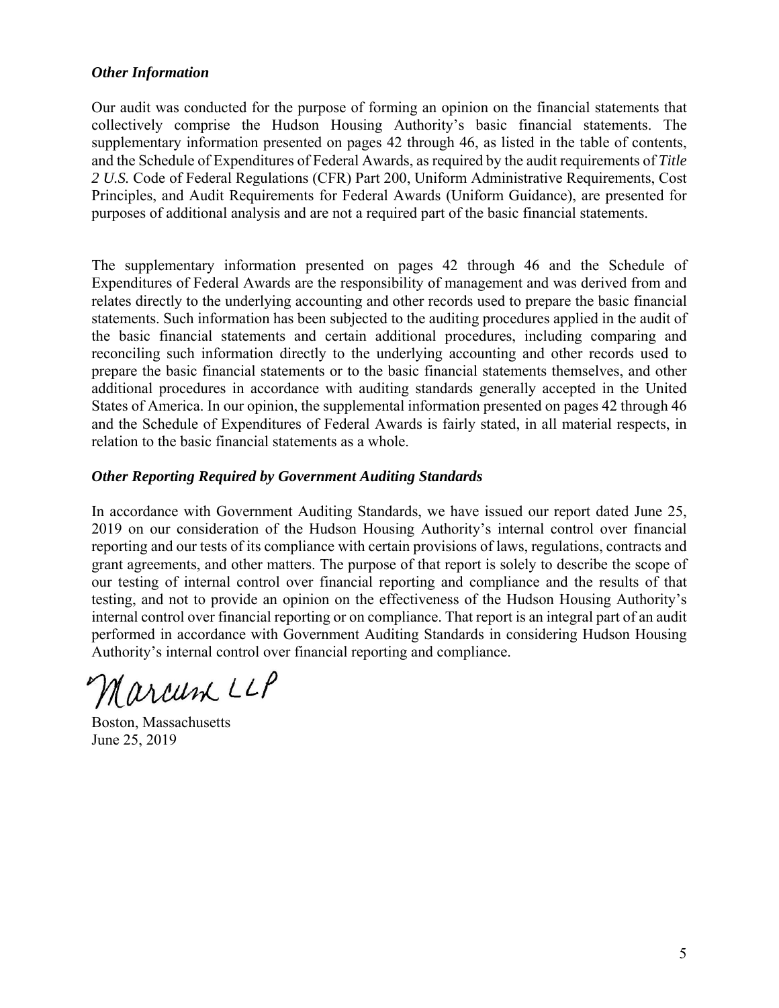### *Other Information*

Our audit was conducted for the purpose of forming an opinion on the financial statements that collectively comprise the Hudson Housing Authority's basic financial statements. The supplementary information presented on pages 42 through 46, as listed in the table of contents, and the Schedule of Expenditures of Federal Awards, as required by the audit requirements of *Title 2 U.S.* Code of Federal Regulations (CFR) Part 200, Uniform Administrative Requirements, Cost Principles, and Audit Requirements for Federal Awards (Uniform Guidance), are presented for purposes of additional analysis and are not a required part of the basic financial statements.

The supplementary information presented on pages 42 through 46 and the Schedule of Expenditures of Federal Awards are the responsibility of management and was derived from and relates directly to the underlying accounting and other records used to prepare the basic financial statements. Such information has been subjected to the auditing procedures applied in the audit of the basic financial statements and certain additional procedures, including comparing and reconciling such information directly to the underlying accounting and other records used to prepare the basic financial statements or to the basic financial statements themselves, and other additional procedures in accordance with auditing standards generally accepted in the United States of America. In our opinion, the supplemental information presented on pages 42 through 46 and the Schedule of Expenditures of Federal Awards is fairly stated, in all material respects, in relation to the basic financial statements as a whole.

### *Other Reporting Required by Government Auditing Standards*

In accordance with Government Auditing Standards, we have issued our report dated June 25, 2019 on our consideration of the Hudson Housing Authority's internal control over financial reporting and our tests of its compliance with certain provisions of laws, regulations, contracts and grant agreements, and other matters. The purpose of that report is solely to describe the scope of our testing of internal control over financial reporting and compliance and the results of that testing, and not to provide an opinion on the effectiveness of the Hudson Housing Authority's internal control over financial reporting or on compliance. That report is an integral part of an audit performed in accordance with Government Auditing Standards in considering Hudson Housing Authority's internal control over financial reporting and compliance.

Marcum LLP

Boston, Massachusetts June 25, 2019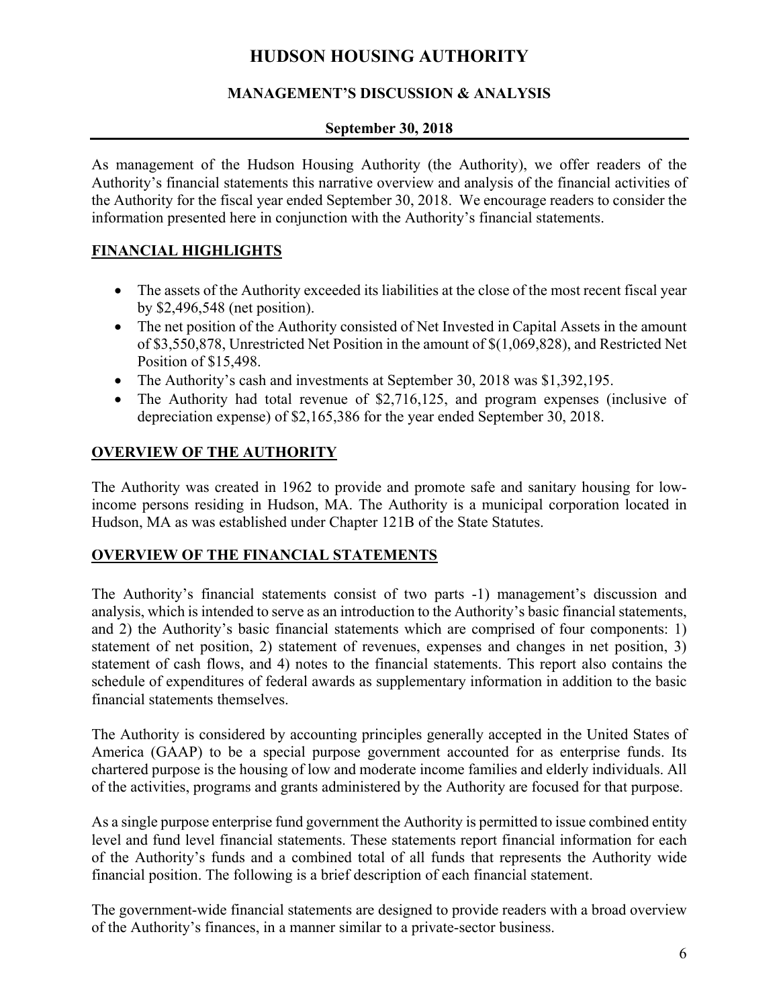## **MANAGEMENT'S DISCUSSION & ANALYSIS**

### **September 30, 2018**

As management of the Hudson Housing Authority (the Authority), we offer readers of the Authority's financial statements this narrative overview and analysis of the financial activities of the Authority for the fiscal year ended September 30, 2018. We encourage readers to consider the information presented here in conjunction with the Authority's financial statements.

## **FINANCIAL HIGHLIGHTS**

- The assets of the Authority exceeded its liabilities at the close of the most recent fiscal year by \$2,496,548 (net position).
- The net position of the Authority consisted of Net Invested in Capital Assets in the amount of \$3,550,878, Unrestricted Net Position in the amount of \$(1,069,828), and Restricted Net Position of \$15,498.
- The Authority's cash and investments at September 30, 2018 was \$1,392,195.
- The Authority had total revenue of \$2,716,125, and program expenses (inclusive of depreciation expense) of \$2,165,386 for the year ended September 30, 2018.

## **OVERVIEW OF THE AUTHORITY**

The Authority was created in 1962 to provide and promote safe and sanitary housing for lowincome persons residing in Hudson, MA. The Authority is a municipal corporation located in Hudson, MA as was established under Chapter 121B of the State Statutes.

## **OVERVIEW OF THE FINANCIAL STATEMENTS**

The Authority's financial statements consist of two parts -1) management's discussion and analysis, which is intended to serve as an introduction to the Authority's basic financial statements, and 2) the Authority's basic financial statements which are comprised of four components: 1) statement of net position, 2) statement of revenues, expenses and changes in net position, 3) statement of cash flows, and 4) notes to the financial statements. This report also contains the schedule of expenditures of federal awards as supplementary information in addition to the basic financial statements themselves.

The Authority is considered by accounting principles generally accepted in the United States of America (GAAP) to be a special purpose government accounted for as enterprise funds. Its chartered purpose is the housing of low and moderate income families and elderly individuals. All of the activities, programs and grants administered by the Authority are focused for that purpose.

As a single purpose enterprise fund government the Authority is permitted to issue combined entity level and fund level financial statements. These statements report financial information for each of the Authority's funds and a combined total of all funds that represents the Authority wide financial position. The following is a brief description of each financial statement.

The government-wide financial statements are designed to provide readers with a broad overview of the Authority's finances, in a manner similar to a private-sector business.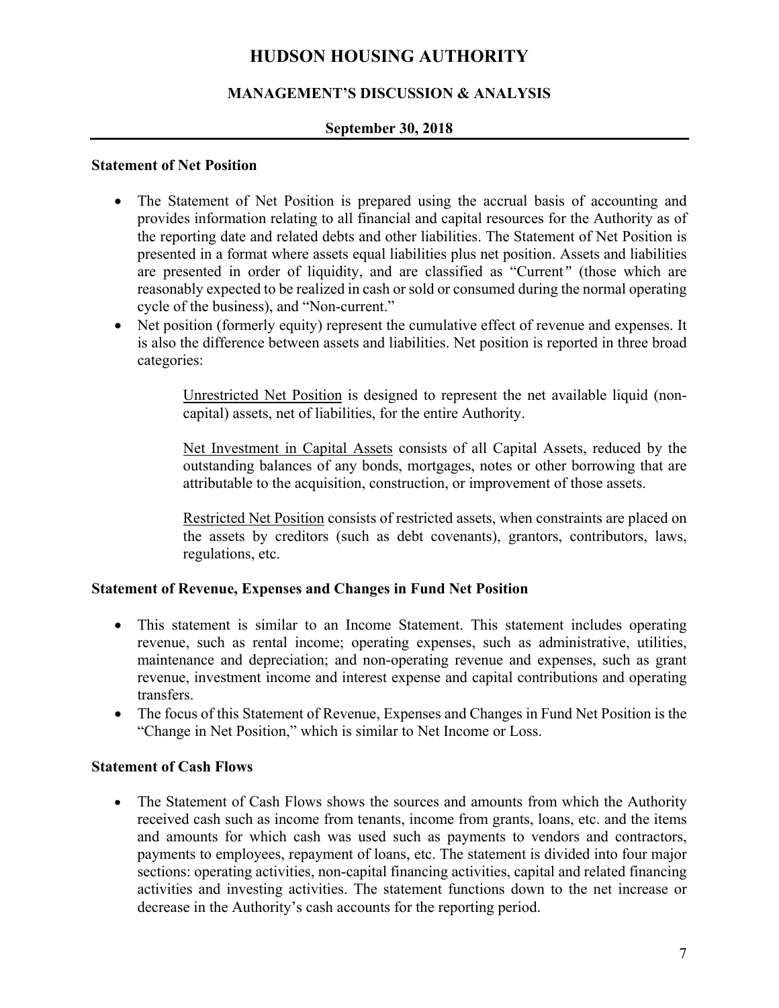## **MANAGEMENT'S DISCUSSION & ANALYSIS**

#### **September 30, 2018**

#### **Statement of Net Position**

- The Statement of Net Position is prepared using the accrual basis of accounting and provides information relating to all financial and capital resources for the Authority as of the reporting date and related debts and other liabilities. The Statement of Net Position is presented in a format where assets equal liabilities plus net position. Assets and liabilities are presented in order of liquidity, and are classified as "Current*"* (those which are reasonably expected to be realized in cash or sold or consumed during the normal operating cycle of the business), and "Non-current."
- Net position (formerly equity) represent the cumulative effect of revenue and expenses. It is also the difference between assets and liabilities. Net position is reported in three broad categories:

Unrestricted Net Position is designed to represent the net available liquid (noncapital) assets, net of liabilities, for the entire Authority.

Net Investment in Capital Assets consists of all Capital Assets, reduced by the outstanding balances of any bonds, mortgages, notes or other borrowing that are attributable to the acquisition, construction, or improvement of those assets.

Restricted Net Position consists of restricted assets, when constraints are placed on the assets by creditors (such as debt covenants), grantors, contributors, laws, regulations, etc.

### **Statement of Revenue, Expenses and Changes in Fund Net Position**

- This statement is similar to an Income Statement. This statement includes operating revenue, such as rental income; operating expenses, such as administrative, utilities, maintenance and depreciation; and non-operating revenue and expenses, such as grant revenue, investment income and interest expense and capital contributions and operating transfers.
- The focus of this Statement of Revenue, Expenses and Changes in Fund Net Position is the "Change in Net Position," which is similar to Net Income or Loss.

### **Statement of Cash Flows**

• The Statement of Cash Flows shows the sources and amounts from which the Authority received cash such as income from tenants, income from grants, loans, etc. and the items and amounts for which cash was used such as payments to vendors and contractors, payments to employees, repayment of loans, etc. The statement is divided into four major sections: operating activities, non-capital financing activities, capital and related financing activities and investing activities. The statement functions down to the net increase or decrease in the Authority's cash accounts for the reporting period.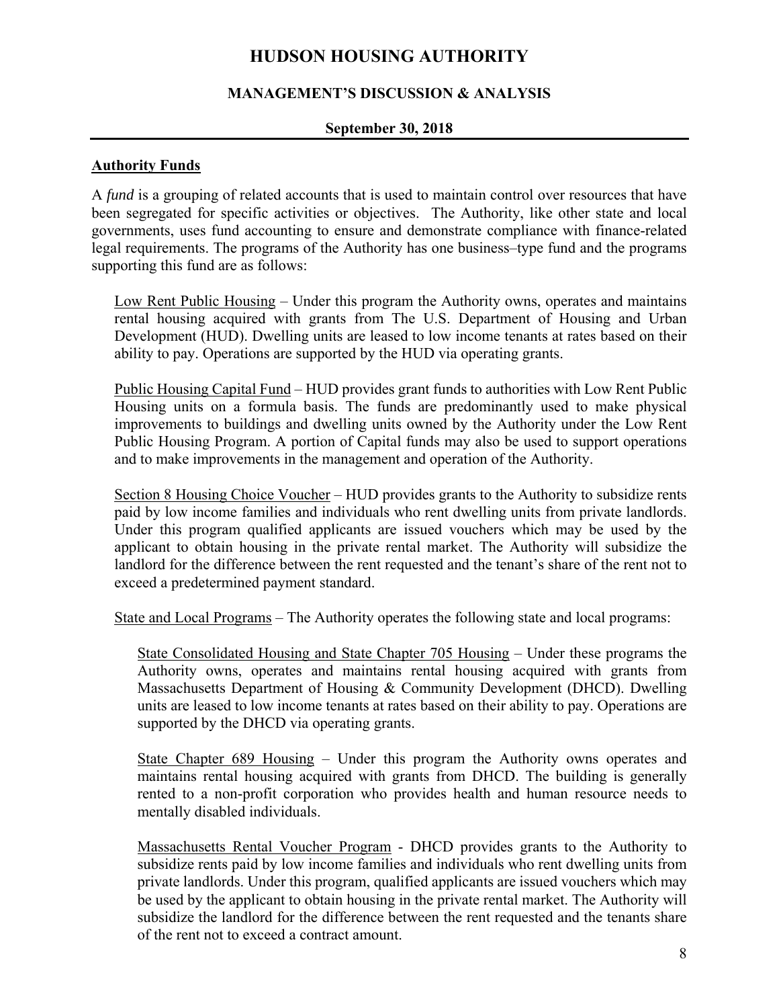## **MANAGEMENT'S DISCUSSION & ANALYSIS**

#### **September 30, 2018**

#### **Authority Funds**

A *fund* is a grouping of related accounts that is used to maintain control over resources that have been segregated for specific activities or objectives. The Authority, like other state and local governments, uses fund accounting to ensure and demonstrate compliance with finance-related legal requirements. The programs of the Authority has one business–type fund and the programs supporting this fund are as follows:

Low Rent Public Housing – Under this program the Authority owns, operates and maintains rental housing acquired with grants from The U.S. Department of Housing and Urban Development (HUD). Dwelling units are leased to low income tenants at rates based on their ability to pay. Operations are supported by the HUD via operating grants.

Public Housing Capital Fund – HUD provides grant funds to authorities with Low Rent Public Housing units on a formula basis. The funds are predominantly used to make physical improvements to buildings and dwelling units owned by the Authority under the Low Rent Public Housing Program. A portion of Capital funds may also be used to support operations and to make improvements in the management and operation of the Authority.

Section 8 Housing Choice Voucher – HUD provides grants to the Authority to subsidize rents paid by low income families and individuals who rent dwelling units from private landlords. Under this program qualified applicants are issued vouchers which may be used by the applicant to obtain housing in the private rental market. The Authority will subsidize the landlord for the difference between the rent requested and the tenant's share of the rent not to exceed a predetermined payment standard.

State and Local Programs – The Authority operates the following state and local programs:

State Consolidated Housing and State Chapter 705 Housing – Under these programs the Authority owns, operates and maintains rental housing acquired with grants from Massachusetts Department of Housing & Community Development (DHCD). Dwelling units are leased to low income tenants at rates based on their ability to pay. Operations are supported by the DHCD via operating grants.

State Chapter 689 Housing – Under this program the Authority owns operates and maintains rental housing acquired with grants from DHCD. The building is generally rented to a non-profit corporation who provides health and human resource needs to mentally disabled individuals.

Massachusetts Rental Voucher Program - DHCD provides grants to the Authority to subsidize rents paid by low income families and individuals who rent dwelling units from private landlords. Under this program, qualified applicants are issued vouchers which may be used by the applicant to obtain housing in the private rental market. The Authority will subsidize the landlord for the difference between the rent requested and the tenants share of the rent not to exceed a contract amount.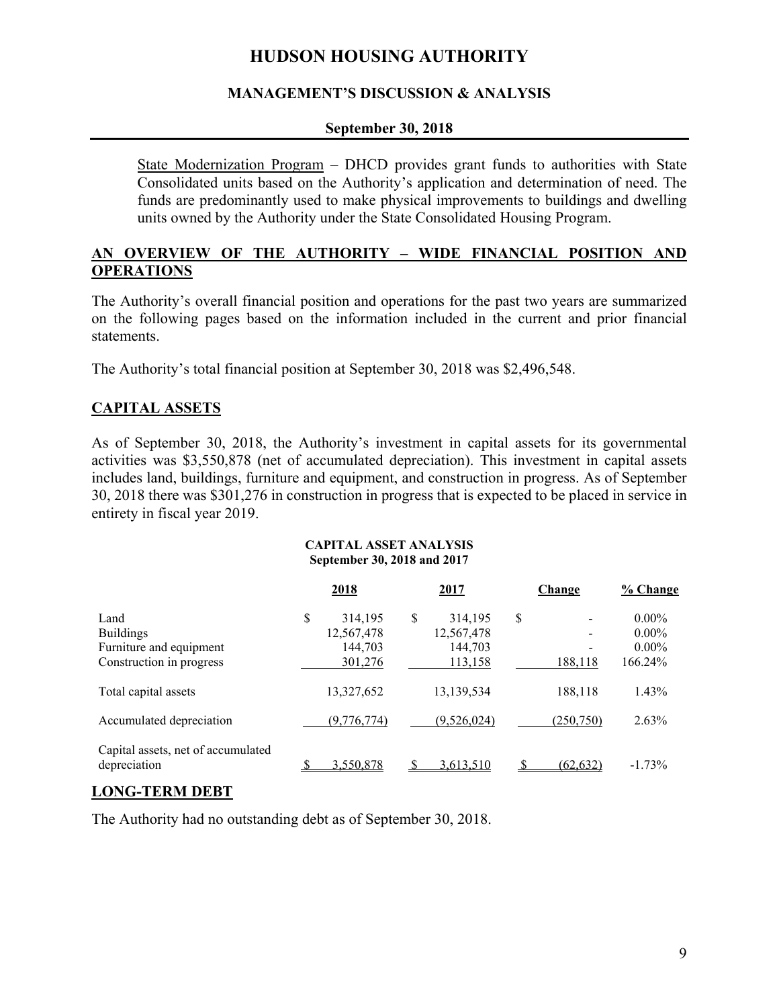## **MANAGEMENT'S DISCUSSION & ANALYSIS**

#### **September 30, 2018**

State Modernization Program – DHCD provides grant funds to authorities with State Consolidated units based on the Authority's application and determination of need. The funds are predominantly used to make physical improvements to buildings and dwelling units owned by the Authority under the State Consolidated Housing Program.

## **AN OVERVIEW OF THE AUTHORITY – WIDE FINANCIAL POSITION AND OPERATIONS**

The Authority's overall financial position and operations for the past two years are summarized on the following pages based on the information included in the current and prior financial statements.

The Authority's total financial position at September 30, 2018 was \$2,496,548.

## **CAPITAL ASSETS**

As of September 30, 2018, the Authority's investment in capital assets for its governmental activities was \$3,550,878 (net of accumulated depreciation). This investment in capital assets includes land, buildings, furniture and equipment, and construction in progress. As of September 30, 2018 there was \$301,276 in construction in progress that is expected to be placed in service in entirety in fiscal year 2019.

#### **CAPITAL ASSET ANALYSIS September 30, 2018 and 2017**

|                                                    | 2018          |    | 2017        | Change     | % <b>Change</b> |
|----------------------------------------------------|---------------|----|-------------|------------|-----------------|
| Land                                               | \$<br>314,195 | \$ | 314,195     | \$         | $0.00\%$        |
| <b>Buildings</b>                                   | 12,567,478    |    | 12,567,478  |            | $0.00\%$        |
| Furniture and equipment                            | 144,703       |    | 144,703     |            | $0.00\%$        |
| Construction in progress                           | 301,276       |    | 113,158     | 188,118    | 166.24%         |
| Total capital assets                               | 13,327,652    |    | 13,139,534  | 188,118    | 1.43%           |
| Accumulated depreciation                           | (9,776,774)   |    | (9,526,024) | (250, 750) | 2.63%           |
| Capital assets, net of accumulated<br>depreciation | 3,550,878     | -S | 3,613,510   | (62, 632)  | $-1.73%$        |

## **LONG-TERM DEBT**

The Authority had no outstanding debt as of September 30, 2018.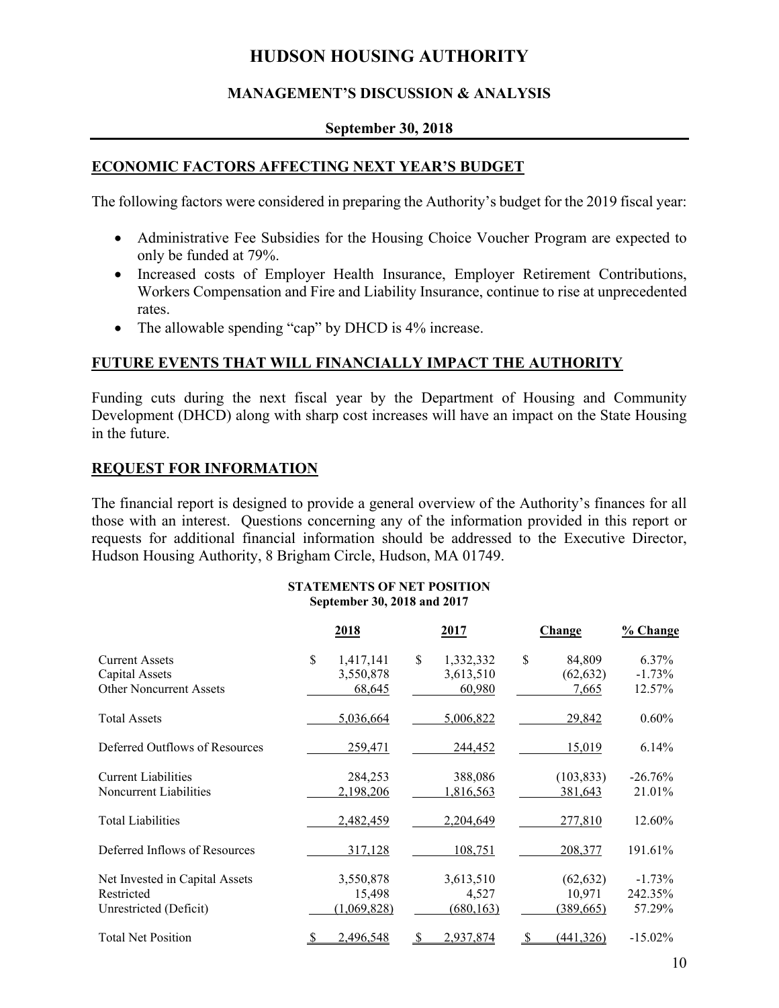## **MANAGEMENT'S DISCUSSION & ANALYSIS**

#### **September 30, 2018**

## **ECONOMIC FACTORS AFFECTING NEXT YEAR'S BUDGET**

The following factors were considered in preparing the Authority's budget for the 2019 fiscal year:

- Administrative Fee Subsidies for the Housing Choice Voucher Program are expected to only be funded at 79%.
- Increased costs of Employer Health Insurance, Employer Retirement Contributions, Workers Compensation and Fire and Liability Insurance, continue to rise at unprecedented rates.
- The allowable spending "cap" by DHCD is 4% increase.

## **FUTURE EVENTS THAT WILL FINANCIALLY IMPACT THE AUTHORITY**

Funding cuts during the next fiscal year by the Department of Housing and Community Development (DHCD) along with sharp cost increases will have an impact on the State Housing in the future.

### **REQUEST FOR INFORMATION**

The financial report is designed to provide a general overview of the Authority's finances for all those with an interest. Questions concerning any of the information provided in this report or requests for additional financial information should be addressed to the Executive Director, Hudson Housing Authority, 8 Brigham Circle, Hudson, MA 01749.

#### **STATEMENTS OF NET POSITION September 30, 2018 and 2017**

|                                                                           | 2018                                   | 2017                                   | Change                             | % Change                       |
|---------------------------------------------------------------------------|----------------------------------------|----------------------------------------|------------------------------------|--------------------------------|
| <b>Current Assets</b><br>Capital Assets<br><b>Other Noncurrent Assets</b> | \$<br>1,417,141<br>3,550,878<br>68,645 | \$<br>1,332,332<br>3,613,510<br>60,980 | \$<br>84,809<br>(62, 632)<br>7,665 | 6.37%<br>$-1.73\%$<br>12.57%   |
| <b>Total Assets</b>                                                       | 5,036,664                              | 5,006,822                              | 29,842                             | $0.60\%$                       |
| Deferred Outflows of Resources                                            | 259,471                                | 244,452                                | 15,019                             | 6.14%                          |
| <b>Current Liabilities</b><br>Noncurrent Liabilities                      | 284,253<br>2,198,206                   | 388,086<br>1,816,563                   | (103, 833)<br>381,643              | $-26.76%$<br>21.01%            |
| <b>Total Liabilities</b>                                                  | 2,482,459                              | 2,204,649                              | 277,810                            | 12.60%                         |
| Deferred Inflows of Resources                                             | 317,128                                | 108,751                                | 208,377                            | 191.61%                        |
| Net Invested in Capital Assets<br>Restricted<br>Unrestricted (Deficit)    | 3,550,878<br>15,498<br>(1,069,828)     | 3,613,510<br>4,527<br>(680, 163)       | (62, 632)<br>10,971<br>(389, 665)  | $-1.73\%$<br>242.35%<br>57.29% |
| <b>Total Net Position</b>                                                 | 2,496,548                              | 2,937,874                              | (441, 326)                         | $-15.02\%$                     |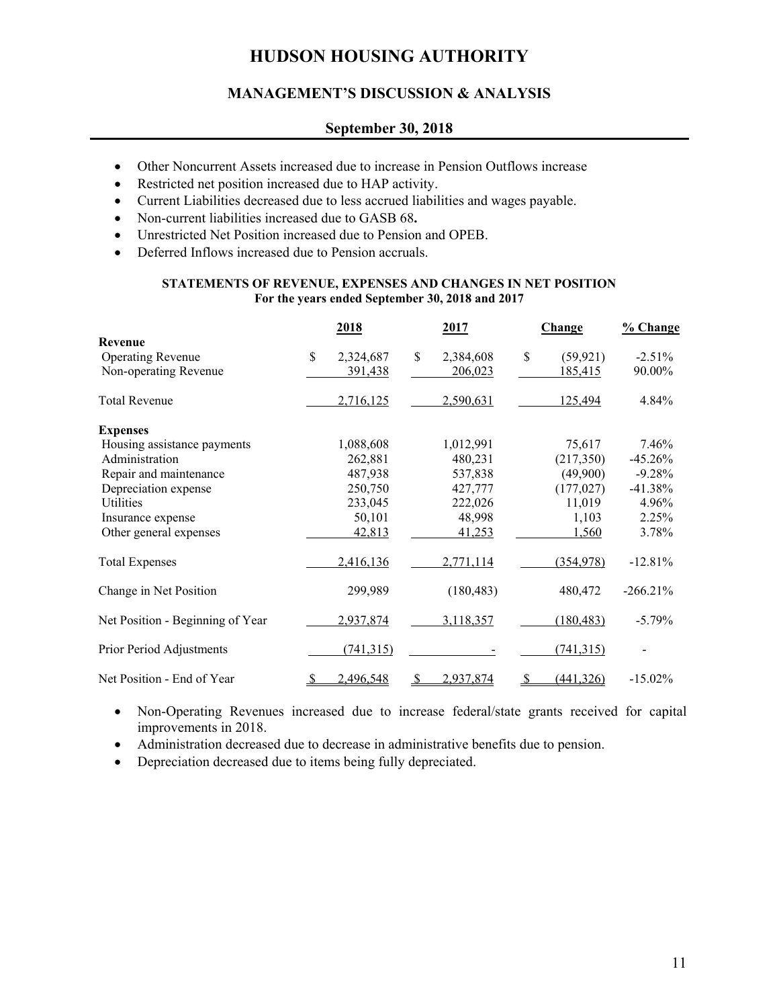## **MANAGEMENT'S DISCUSSION & ANALYSIS**

#### **September 30, 2018**

- Other Noncurrent Assets increased due to increase in Pension Outflows increase
- Restricted net position increased due to HAP activity.
- Current Liabilities decreased due to less accrued liabilities and wages payable.
- Non-current liabilities increased due to GASB 68**.**
- Unrestricted Net Position increased due to Pension and OPEB.
- Deferred Inflows increased due to Pension accruals.

#### **STATEMENTS OF REVENUE, EXPENSES AND CHANGES IN NET POSITION For the years ended September 30, 2018 and 2017**

|                                                              | 2018                       |    | 2017                 | Change                     | % Change           |
|--------------------------------------------------------------|----------------------------|----|----------------------|----------------------------|--------------------|
| Revenue<br><b>Operating Revenue</b><br>Non-operating Revenue | \$<br>2,324,687<br>391,438 | \$ | 2,384,608<br>206,023 | \$<br>(59, 921)<br>185,415 | $-2.51%$<br>90.00% |
| Total Revenue                                                | 2,716,125                  |    | 2,590,631            | 125,494                    | 4.84%              |
| <b>Expenses</b>                                              |                            |    |                      |                            |                    |
| Housing assistance payments                                  | 1,088,608                  |    | 1,012,991            | 75,617                     | 7.46%              |
| Administration                                               | 262,881                    |    | 480,231              | (217,350)                  | $-45.26%$          |
| Repair and maintenance                                       | 487,938                    |    | 537,838              | (49,900)                   | $-9.28%$           |
| Depreciation expense                                         | 250,750                    |    | 427,777              | (177, 027)                 | $-41.38%$          |
| Utilities                                                    | 233,045                    |    | 222,026              | 11,019                     | 4.96%              |
| Insurance expense                                            | 50,101                     |    | 48,998               | 1,103                      | 2.25%              |
| Other general expenses                                       | 42,813                     |    | 41,253               | 1,560                      | 3.78%              |
| <b>Total Expenses</b>                                        | 2,416,136                  |    | 2,771,114            | (354,978)                  | $-12.81%$          |
| Change in Net Position                                       | 299,989                    |    | (180, 483)           | 480,472                    | $-266.21\%$        |
| Net Position - Beginning of Year                             | 2,937,874                  |    | 3,118,357            | (180, 483)                 | $-5.79%$           |
| Prior Period Adjustments                                     | (741, 315)                 |    |                      | (741, 315)                 |                    |
| Net Position - End of Year                                   | 2,496,548                  | S  | 2,937,874            | (441, 326)                 | $-15.02\%$         |

 Non-Operating Revenues increased due to increase federal/state grants received for capital improvements in 2018.

Administration decreased due to decrease in administrative benefits due to pension.

Depreciation decreased due to items being fully depreciated.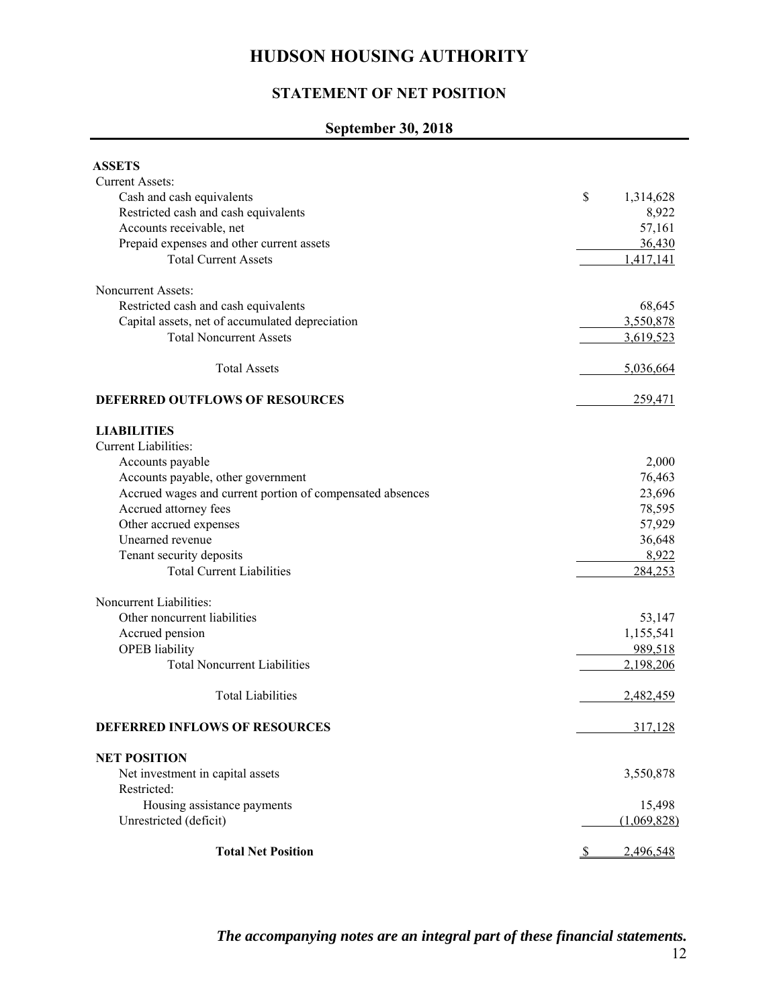## **STATEMENT OF NET POSITION**

# **September 30, 2018**

| <b>ASSETS</b>                                             |                            |
|-----------------------------------------------------------|----------------------------|
| <b>Current Assets:</b>                                    |                            |
| Cash and cash equivalents                                 | \$<br>1,314,628            |
| Restricted cash and cash equivalents                      | 8,922                      |
| Accounts receivable, net                                  | 57,161                     |
| Prepaid expenses and other current assets                 | 36,430                     |
| <b>Total Current Assets</b>                               | 1,417,141                  |
|                                                           |                            |
| Noncurrent Assets:                                        |                            |
| Restricted cash and cash equivalents                      | 68,645                     |
| Capital assets, net of accumulated depreciation           | 3,550,878                  |
| <b>Total Noncurrent Assets</b>                            | 3,619,523                  |
|                                                           |                            |
| <b>Total Assets</b>                                       | 5,036,664                  |
| <b>DEFERRED OUTFLOWS OF RESOURCES</b>                     | 259,471                    |
| <b>LIABILITIES</b>                                        |                            |
| <b>Current Liabilities:</b>                               |                            |
| Accounts payable                                          | 2,000                      |
| Accounts payable, other government                        | 76,463                     |
| Accrued wages and current portion of compensated absences | 23,696                     |
| Accrued attorney fees                                     | 78,595                     |
| Other accrued expenses                                    | 57,929                     |
| Unearned revenue                                          |                            |
|                                                           | 36,648                     |
| Tenant security deposits                                  | 8,922                      |
| <b>Total Current Liabilities</b>                          | 284,253                    |
| Noncurrent Liabilities:                                   |                            |
| Other noncurrent liabilities                              | 53,147                     |
| Accrued pension                                           | 1,155,541                  |
| <b>OPEB</b> liability                                     | 989,518                    |
| <b>Total Noncurrent Liabilities</b>                       | 2,198,206                  |
|                                                           |                            |
| <b>Total Liabilities</b>                                  | 2,482,459                  |
| <b>DEFERRED INFLOWS OF RESOURCES</b>                      | 317,128                    |
| <b>NET POSITION</b>                                       |                            |
| Net investment in capital assets                          | 3,550,878                  |
| Restricted:                                               |                            |
| Housing assistance payments                               | 15,498                     |
| Unrestricted (deficit)                                    | (1,069,828)                |
|                                                           |                            |
| <b>Total Net Position</b>                                 | 2,496,548<br>$\mathcal{S}$ |

*The accompanying notes are an integral part of these financial statements.*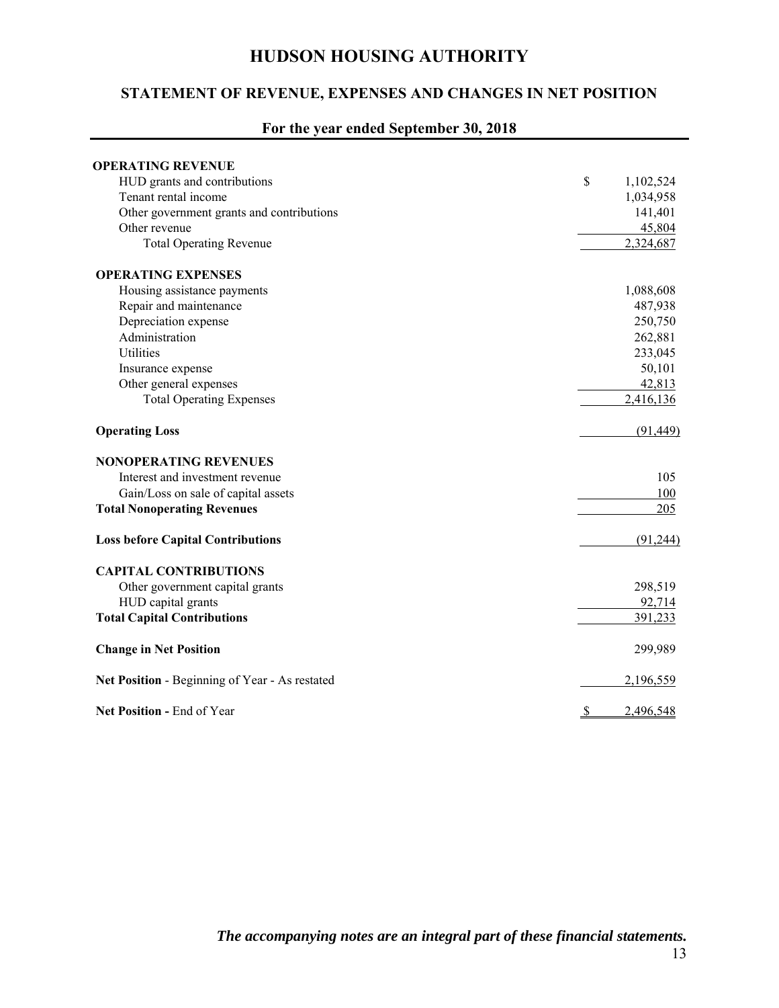## **STATEMENT OF REVENUE, EXPENSES AND CHANGES IN NET POSITION**

# **For the year ended September 30, 2018**

| <b>OPERATING REVENUE</b>                       |                            |
|------------------------------------------------|----------------------------|
| HUD grants and contributions                   | \$<br>1,102,524            |
| Tenant rental income                           | 1,034,958                  |
| Other government grants and contributions      | 141,401                    |
| Other revenue                                  | 45,804                     |
| <b>Total Operating Revenue</b>                 | 2,324,687                  |
| <b>OPERATING EXPENSES</b>                      |                            |
| Housing assistance payments                    | 1,088,608                  |
| Repair and maintenance                         | 487,938                    |
| Depreciation expense                           | 250,750                    |
| Administration                                 | 262,881                    |
| <b>Utilities</b>                               | 233,045                    |
| Insurance expense                              | 50,101                     |
| Other general expenses                         | 42,813                     |
| <b>Total Operating Expenses</b>                | 2,416,136                  |
| <b>Operating Loss</b>                          | (91, 449)                  |
| <b>NONOPERATING REVENUES</b>                   |                            |
| Interest and investment revenue                | 105                        |
| Gain/Loss on sale of capital assets            | 100                        |
| <b>Total Nonoperating Revenues</b>             | 205                        |
| <b>Loss before Capital Contributions</b>       | (91, 244)                  |
| <b>CAPITAL CONTRIBUTIONS</b>                   |                            |
| Other government capital grants                | 298,519                    |
| HUD capital grants                             | 92,714                     |
| <b>Total Capital Contributions</b>             | 391,233                    |
| <b>Change in Net Position</b>                  | 299,989                    |
| Net Position - Beginning of Year - As restated | 2,196,559                  |
| Net Position - End of Year                     | $\frac{1}{2}$<br>2,496,548 |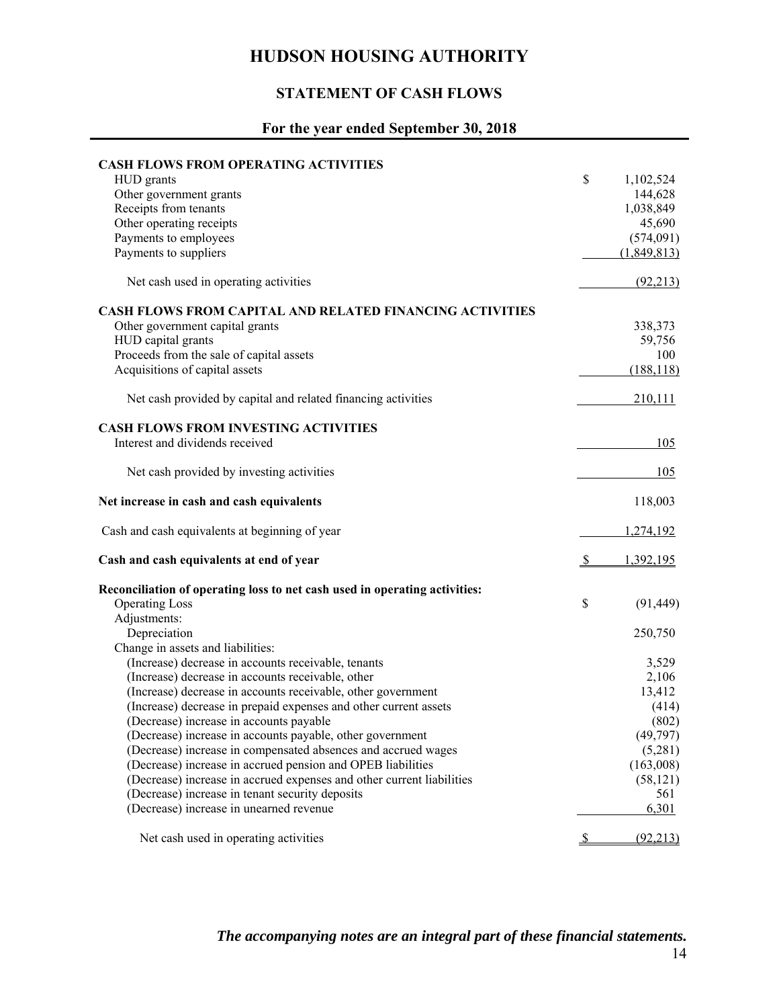## **STATEMENT OF CASH FLOWS**

# **For the year ended September 30, 2018**

| <b>CASH FLOWS FROM OPERATING ACTIVITIES</b>                                |               |             |
|----------------------------------------------------------------------------|---------------|-------------|
| HUD grants                                                                 | \$            | 1,102,524   |
| Other government grants                                                    |               | 144,628     |
| Receipts from tenants                                                      |               | 1,038,849   |
| Other operating receipts                                                   |               | 45,690      |
| Payments to employees                                                      |               | (574,091)   |
| Payments to suppliers                                                      |               | (1,849,813) |
| Net cash used in operating activities                                      |               | (92,213)    |
| <b>CASH FLOWS FROM CAPITAL AND RELATED FINANCING ACTIVITIES</b>            |               |             |
| Other government capital grants                                            |               | 338,373     |
| HUD capital grants                                                         |               | 59,756      |
| Proceeds from the sale of capital assets                                   |               | 100         |
| Acquisitions of capital assets                                             |               | (188, 118)  |
| Net cash provided by capital and related financing activities              |               | 210,111     |
|                                                                            |               |             |
| <b>CASH FLOWS FROM INVESTING ACTIVITIES</b>                                |               |             |
| Interest and dividends received                                            |               | 105         |
| Net cash provided by investing activities                                  |               | 105         |
| Net increase in cash and cash equivalents                                  |               | 118,003     |
| Cash and cash equivalents at beginning of year                             |               | 1,274,192   |
| Cash and cash equivalents at end of year                                   | <sup>8</sup>  | 1,392,195   |
| Reconciliation of operating loss to net cash used in operating activities: |               |             |
| <b>Operating Loss</b>                                                      | \$            | (91, 449)   |
| Adjustments:                                                               |               |             |
| Depreciation                                                               |               | 250,750     |
| Change in assets and liabilities:                                          |               |             |
| (Increase) decrease in accounts receivable, tenants                        |               | 3,529       |
| (Increase) decrease in accounts receivable, other                          |               | 2,106       |
| (Increase) decrease in accounts receivable, other government               |               | 13,412      |
| (Increase) decrease in prepaid expenses and other current assets           |               | (414)       |
| (Decrease) increase in accounts payable                                    |               | (802)       |
| (Decrease) increase in accounts payable, other government                  |               | (49, 797)   |
| (Decrease) increase in compensated absences and accrued wages              |               | (5,281)     |
| (Decrease) increase in accrued pension and OPEB liabilities                |               | (163,008)   |
| (Decrease) increase in accrued expenses and other current liabilities      |               | (58, 121)   |
| (Decrease) increase in tenant security deposits                            |               | 561         |
| (Decrease) increase in unearned revenue                                    |               | 6,301       |
| Net cash used in operating activities                                      | $\mathcal{S}$ | (92, 213)   |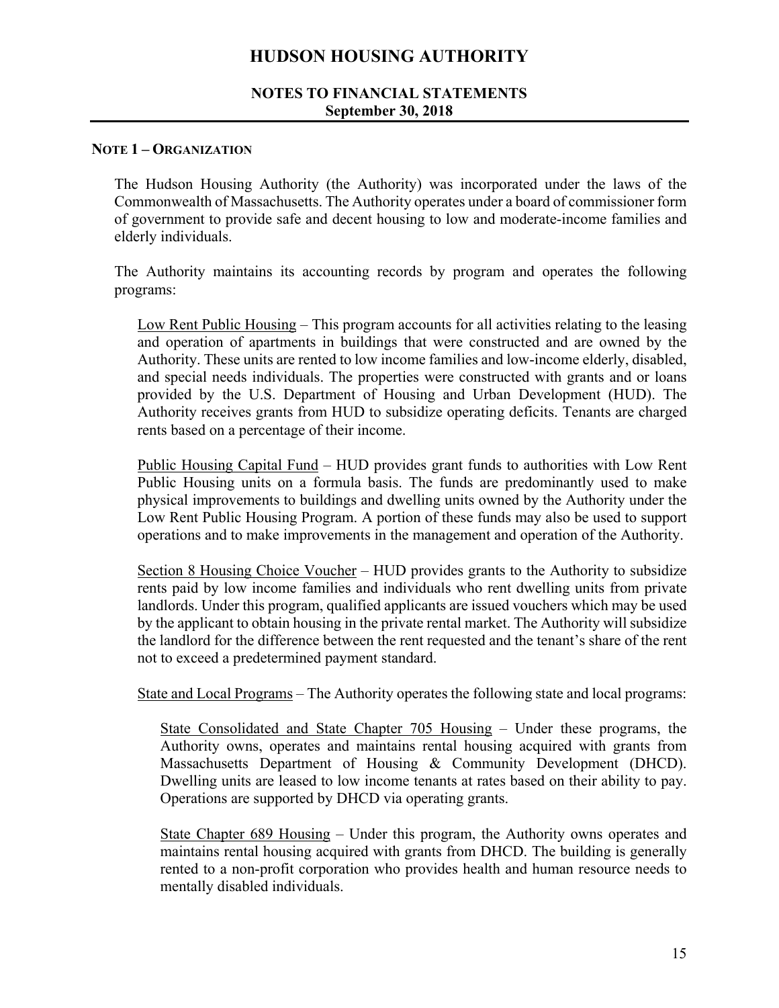### **NOTES TO FINANCIAL STATEMENTS September 30, 2018**

#### **NOTE 1 – ORGANIZATION**

The Hudson Housing Authority (the Authority) was incorporated under the laws of the Commonwealth of Massachusetts. The Authority operates under a board of commissioner form of government to provide safe and decent housing to low and moderate-income families and elderly individuals.

The Authority maintains its accounting records by program and operates the following programs:

Low Rent Public Housing – This program accounts for all activities relating to the leasing and operation of apartments in buildings that were constructed and are owned by the Authority. These units are rented to low income families and low-income elderly, disabled, and special needs individuals. The properties were constructed with grants and or loans provided by the U.S. Department of Housing and Urban Development (HUD). The Authority receives grants from HUD to subsidize operating deficits. Tenants are charged rents based on a percentage of their income.

Public Housing Capital Fund – HUD provides grant funds to authorities with Low Rent Public Housing units on a formula basis. The funds are predominantly used to make physical improvements to buildings and dwelling units owned by the Authority under the Low Rent Public Housing Program. A portion of these funds may also be used to support operations and to make improvements in the management and operation of the Authority.

Section 8 Housing Choice Voucher – HUD provides grants to the Authority to subsidize rents paid by low income families and individuals who rent dwelling units from private landlords. Under this program, qualified applicants are issued vouchers which may be used by the applicant to obtain housing in the private rental market. The Authority will subsidize the landlord for the difference between the rent requested and the tenant's share of the rent not to exceed a predetermined payment standard.

State and Local Programs – The Authority operates the following state and local programs:

State Consolidated and State Chapter 705 Housing – Under these programs, the Authority owns, operates and maintains rental housing acquired with grants from Massachusetts Department of Housing & Community Development (DHCD). Dwelling units are leased to low income tenants at rates based on their ability to pay. Operations are supported by DHCD via operating grants.

State Chapter 689 Housing – Under this program, the Authority owns operates and maintains rental housing acquired with grants from DHCD. The building is generally rented to a non-profit corporation who provides health and human resource needs to mentally disabled individuals.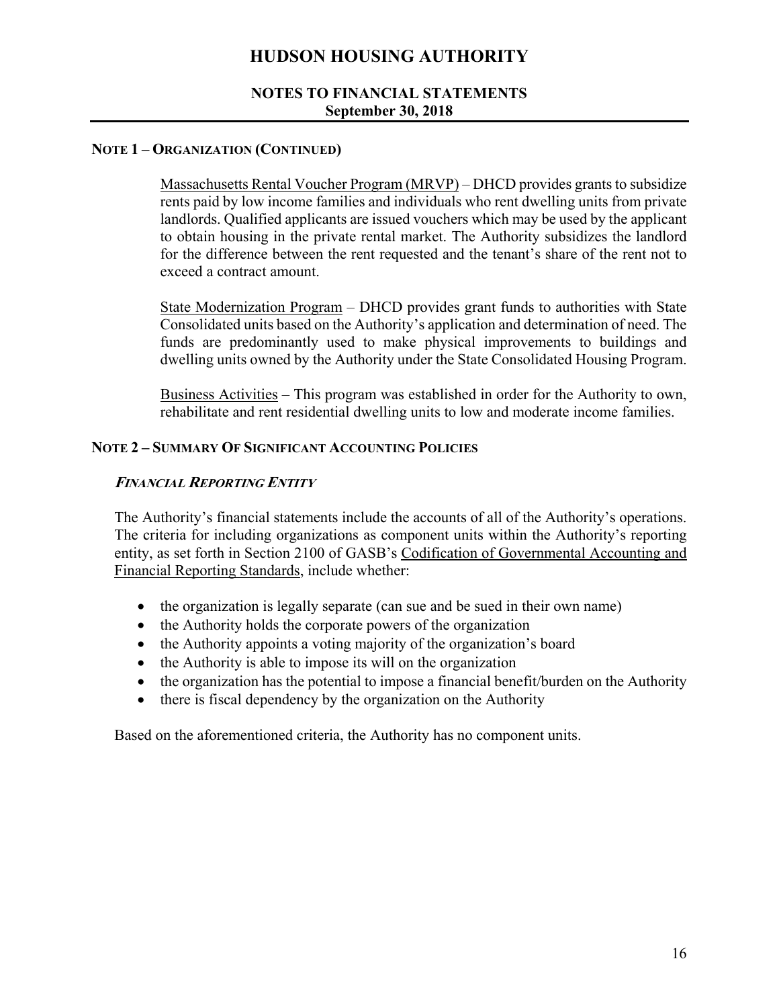## **NOTES TO FINANCIAL STATEMENTS September 30, 2018**

#### **NOTE 1 – ORGANIZATION (CONTINUED)**

Massachusetts Rental Voucher Program (MRVP) – DHCD provides grants to subsidize rents paid by low income families and individuals who rent dwelling units from private landlords. Qualified applicants are issued vouchers which may be used by the applicant to obtain housing in the private rental market. The Authority subsidizes the landlord for the difference between the rent requested and the tenant's share of the rent not to exceed a contract amount.

State Modernization Program – DHCD provides grant funds to authorities with State Consolidated units based on the Authority's application and determination of need. The funds are predominantly used to make physical improvements to buildings and dwelling units owned by the Authority under the State Consolidated Housing Program.

Business Activities – This program was established in order for the Authority to own, rehabilitate and rent residential dwelling units to low and moderate income families.

### **NOTE 2 – SUMMARY OF SIGNIFICANT ACCOUNTING POLICIES**

### **FINANCIAL REPORTING ENTITY**

The Authority's financial statements include the accounts of all of the Authority's operations. The criteria for including organizations as component units within the Authority's reporting entity, as set forth in Section 2100 of GASB's Codification of Governmental Accounting and Financial Reporting Standards, include whether:

- the organization is legally separate (can sue and be sued in their own name)
- the Authority holds the corporate powers of the organization
- the Authority appoints a voting majority of the organization's board
- the Authority is able to impose its will on the organization
- the organization has the potential to impose a financial benefit/burden on the Authority
- there is fiscal dependency by the organization on the Authority

Based on the aforementioned criteria, the Authority has no component units.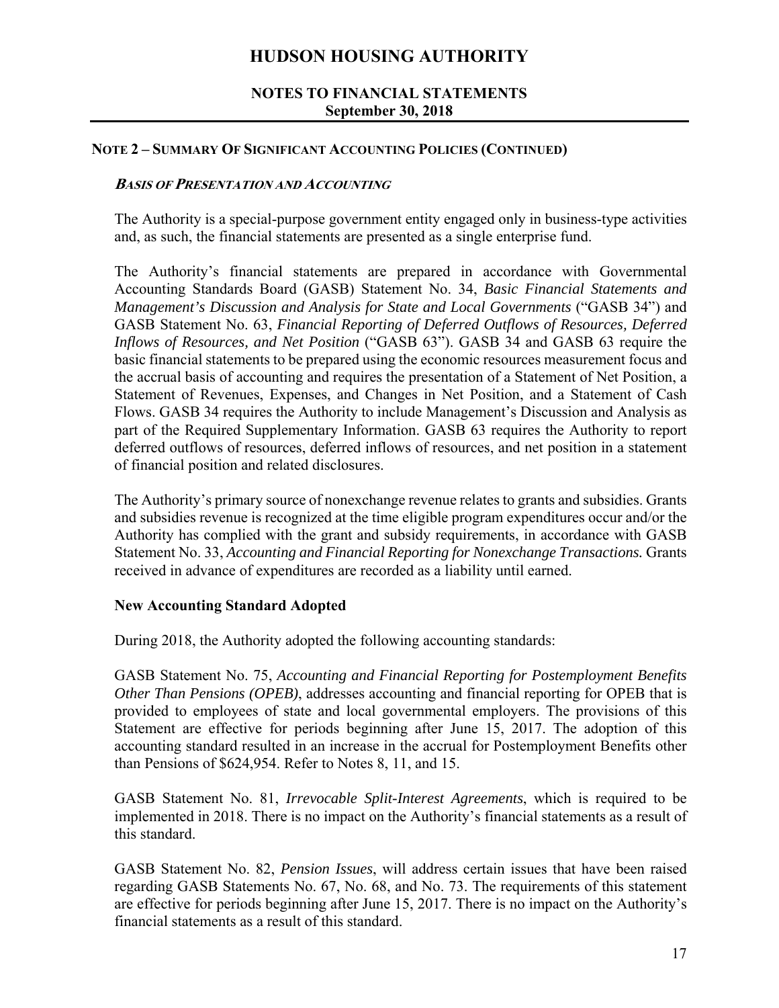### **NOTES TO FINANCIAL STATEMENTS September 30, 2018**

#### **NOTE 2 – SUMMARY OF SIGNIFICANT ACCOUNTING POLICIES (CONTINUED)**

#### **BASIS OF PRESENTATION AND ACCOUNTING**

The Authority is a special-purpose government entity engaged only in business-type activities and, as such, the financial statements are presented as a single enterprise fund.

The Authority's financial statements are prepared in accordance with Governmental Accounting Standards Board (GASB) Statement No. 34, *Basic Financial Statements and Management's Discussion and Analysis for State and Local Governments* ("GASB 34") and GASB Statement No. 63, *Financial Reporting of Deferred Outflows of Resources, Deferred Inflows of Resources, and Net Position* ("GASB 63"). GASB 34 and GASB 63 require the basic financial statements to be prepared using the economic resources measurement focus and the accrual basis of accounting and requires the presentation of a Statement of Net Position, a Statement of Revenues, Expenses, and Changes in Net Position, and a Statement of Cash Flows. GASB 34 requires the Authority to include Management's Discussion and Analysis as part of the Required Supplementary Information. GASB 63 requires the Authority to report deferred outflows of resources, deferred inflows of resources, and net position in a statement of financial position and related disclosures.

The Authority's primary source of nonexchange revenue relates to grants and subsidies. Grants and subsidies revenue is recognized at the time eligible program expenditures occur and/or the Authority has complied with the grant and subsidy requirements, in accordance with GASB Statement No. 33, *Accounting and Financial Reporting for Nonexchange Transactions.* Grants received in advance of expenditures are recorded as a liability until earned.

#### **New Accounting Standard Adopted**

During 2018, the Authority adopted the following accounting standards:

GASB Statement No. 75, *Accounting and Financial Reporting for Postemployment Benefits Other Than Pensions (OPEB)*, addresses accounting and financial reporting for OPEB that is provided to employees of state and local governmental employers. The provisions of this Statement are effective for periods beginning after June 15, 2017. The adoption of this accounting standard resulted in an increase in the accrual for Postemployment Benefits other than Pensions of \$624,954. Refer to Notes 8, 11, and 15.

GASB Statement No. 81, *Irrevocable Split-Interest Agreements*, which is required to be implemented in 2018. There is no impact on the Authority's financial statements as a result of this standard.

GASB Statement No. 82, *Pension Issues*, will address certain issues that have been raised regarding GASB Statements No. 67, No. 68, and No. 73. The requirements of this statement are effective for periods beginning after June 15, 2017. There is no impact on the Authority's financial statements as a result of this standard.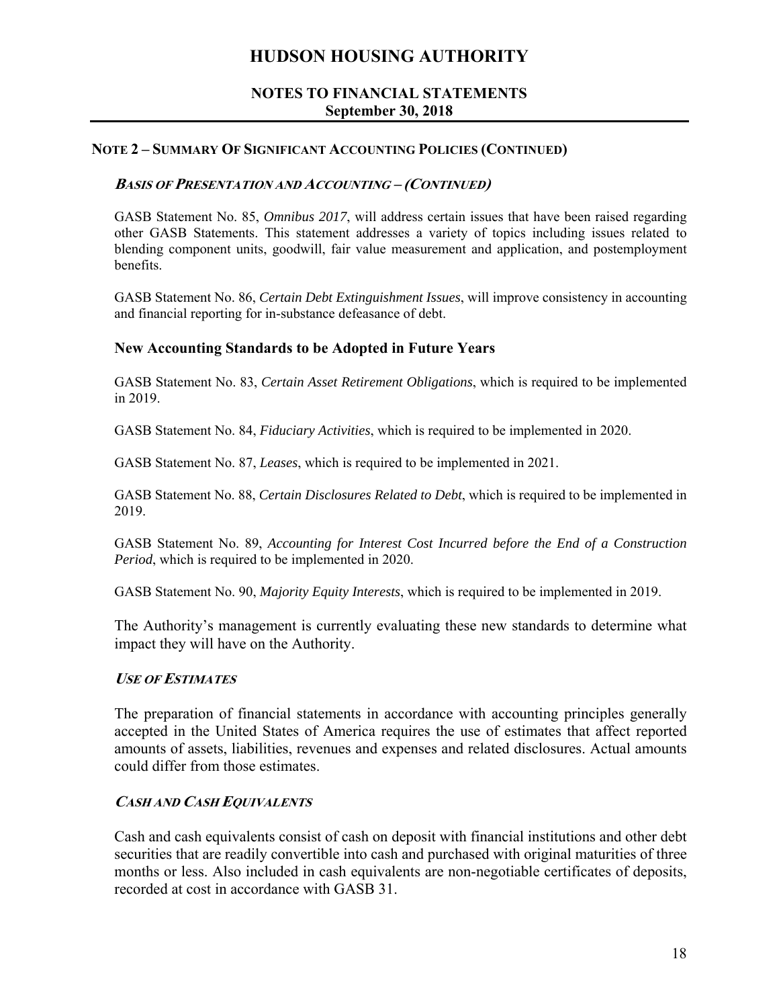## **NOTES TO FINANCIAL STATEMENTS September 30, 2018**

#### **NOTE 2 – SUMMARY OF SIGNIFICANT ACCOUNTING POLICIES (CONTINUED)**

#### **BASIS OF PRESENTATION AND ACCOUNTING – (CONTINUED)**

GASB Statement No. 85, *Omnibus 2017*, will address certain issues that have been raised regarding other GASB Statements. This statement addresses a variety of topics including issues related to blending component units, goodwill, fair value measurement and application, and postemployment benefits.

GASB Statement No. 86, *Certain Debt Extinguishment Issues*, will improve consistency in accounting and financial reporting for in-substance defeasance of debt.

#### **New Accounting Standards to be Adopted in Future Years**

GASB Statement No. 83, *Certain Asset Retirement Obligations*, which is required to be implemented in 2019.

GASB Statement No. 84, *Fiduciary Activities*, which is required to be implemented in 2020.

GASB Statement No. 87, *Leases*, which is required to be implemented in 2021.

GASB Statement No. 88, *Certain Disclosures Related to Debt*, which is required to be implemented in 2019.

GASB Statement No. 89, *Accounting for Interest Cost Incurred before the End of a Construction Period*, which is required to be implemented in 2020.

GASB Statement No. 90, *Majority Equity Interests*, which is required to be implemented in 2019.

The Authority's management is currently evaluating these new standards to determine what impact they will have on the Authority.

### **USE OF ESTIMATES**

The preparation of financial statements in accordance with accounting principles generally accepted in the United States of America requires the use of estimates that affect reported amounts of assets, liabilities, revenues and expenses and related disclosures. Actual amounts could differ from those estimates.

### **CASH AND CASH EQUIVALENTS**

Cash and cash equivalents consist of cash on deposit with financial institutions and other debt securities that are readily convertible into cash and purchased with original maturities of three months or less. Also included in cash equivalents are non-negotiable certificates of deposits, recorded at cost in accordance with GASB 31.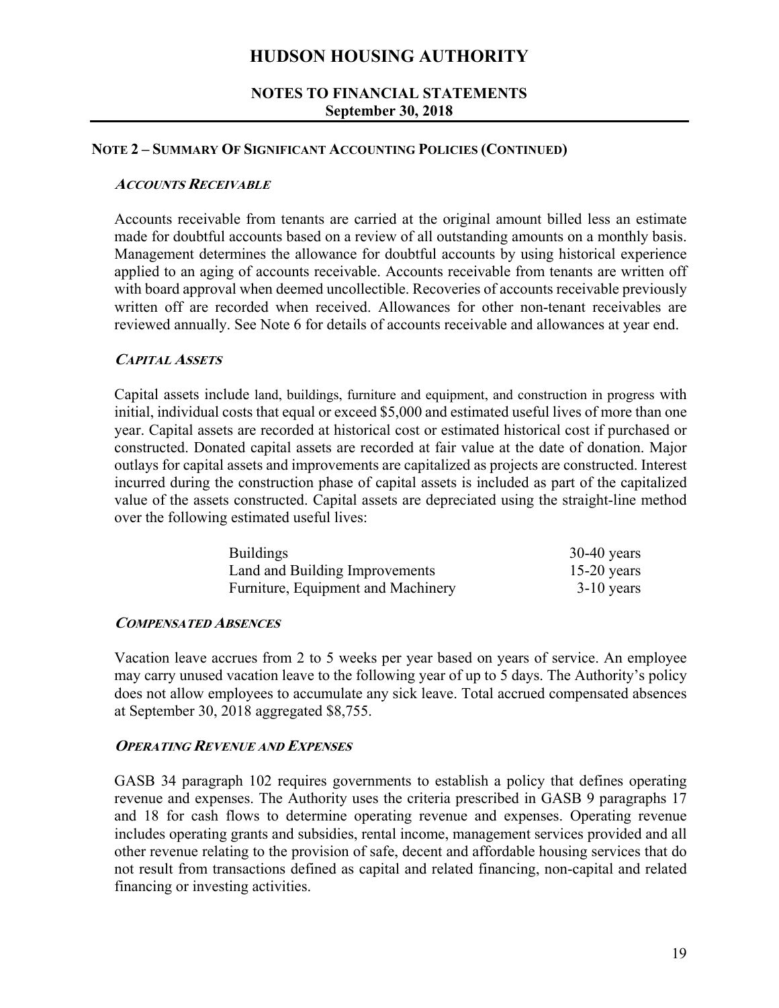### **NOTES TO FINANCIAL STATEMENTS September 30, 2018**

#### **NOTE 2 – SUMMARY OF SIGNIFICANT ACCOUNTING POLICIES (CONTINUED)**

#### **ACCOUNTS RECEIVABLE**

Accounts receivable from tenants are carried at the original amount billed less an estimate made for doubtful accounts based on a review of all outstanding amounts on a monthly basis. Management determines the allowance for doubtful accounts by using historical experience applied to an aging of accounts receivable. Accounts receivable from tenants are written off with board approval when deemed uncollectible. Recoveries of accounts receivable previously written off are recorded when received. Allowances for other non-tenant receivables are reviewed annually. See Note 6 for details of accounts receivable and allowances at year end.

#### **CAPITAL ASSETS**

Capital assets include land, buildings, furniture and equipment, and construction in progress with initial, individual costs that equal or exceed \$5,000 and estimated useful lives of more than one year. Capital assets are recorded at historical cost or estimated historical cost if purchased or constructed. Donated capital assets are recorded at fair value at the date of donation. Major outlays for capital assets and improvements are capitalized as projects are constructed. Interest incurred during the construction phase of capital assets is included as part of the capitalized value of the assets constructed. Capital assets are depreciated using the straight-line method over the following estimated useful lives:

| <b>Buildings</b>                   | $30-40$ years |
|------------------------------------|---------------|
| Land and Building Improvements     | $15-20$ years |
| Furniture, Equipment and Machinery | $3-10$ years  |

#### **COMPENSATED ABSENCES**

Vacation leave accrues from 2 to 5 weeks per year based on years of service. An employee may carry unused vacation leave to the following year of up to 5 days. The Authority's policy does not allow employees to accumulate any sick leave. Total accrued compensated absences at September 30, 2018 aggregated \$8,755.

#### **OPERATING REVENUE AND EXPENSES**

GASB 34 paragraph 102 requires governments to establish a policy that defines operating revenue and expenses. The Authority uses the criteria prescribed in GASB 9 paragraphs 17 and 18 for cash flows to determine operating revenue and expenses. Operating revenue includes operating grants and subsidies, rental income, management services provided and all other revenue relating to the provision of safe, decent and affordable housing services that do not result from transactions defined as capital and related financing, non-capital and related financing or investing activities.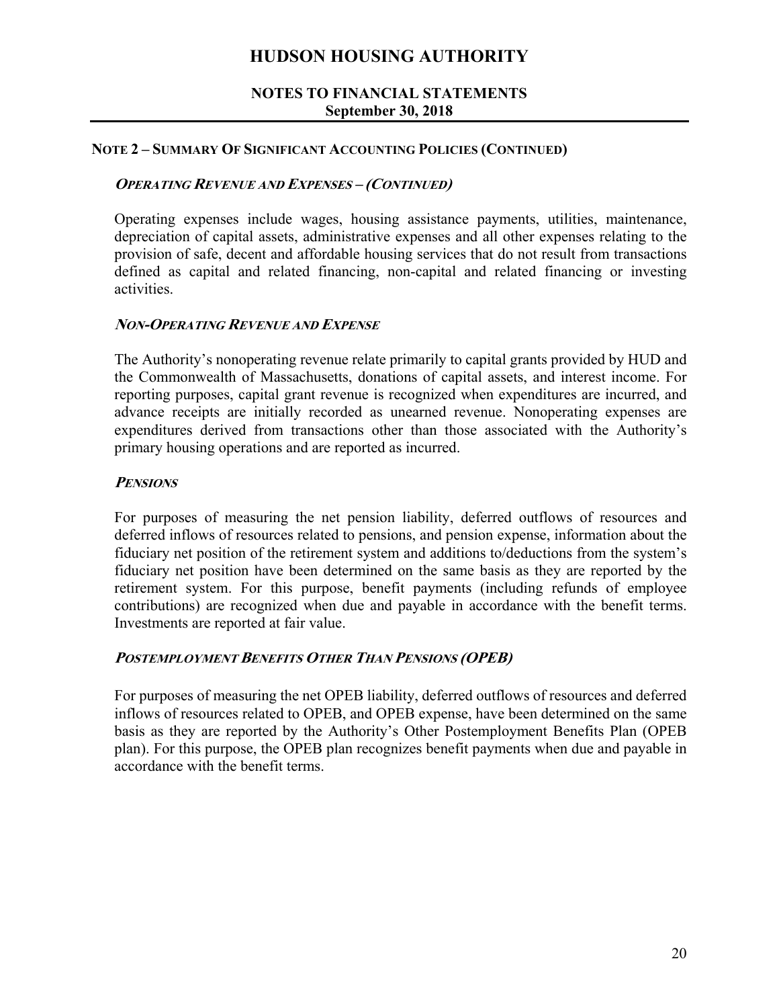## **NOTES TO FINANCIAL STATEMENTS September 30, 2018**

#### **NOTE 2 – SUMMARY OF SIGNIFICANT ACCOUNTING POLICIES (CONTINUED)**

### **OPERATING REVENUE AND EXPENSES – (CONTINUED)**

Operating expenses include wages, housing assistance payments, utilities, maintenance, depreciation of capital assets, administrative expenses and all other expenses relating to the provision of safe, decent and affordable housing services that do not result from transactions defined as capital and related financing, non-capital and related financing or investing activities.

#### **NON-OPERATING REVENUE AND EXPENSE**

The Authority's nonoperating revenue relate primarily to capital grants provided by HUD and the Commonwealth of Massachusetts, donations of capital assets, and interest income. For reporting purposes, capital grant revenue is recognized when expenditures are incurred, and advance receipts are initially recorded as unearned revenue. Nonoperating expenses are expenditures derived from transactions other than those associated with the Authority's primary housing operations and are reported as incurred.

### **PENSIONS**

For purposes of measuring the net pension liability, deferred outflows of resources and deferred inflows of resources related to pensions, and pension expense, information about the fiduciary net position of the retirement system and additions to/deductions from the system's fiduciary net position have been determined on the same basis as they are reported by the retirement system. For this purpose, benefit payments (including refunds of employee contributions) are recognized when due and payable in accordance with the benefit terms. Investments are reported at fair value.

### **POSTEMPLOYMENT BENEFITS OTHER THAN PENSIONS (OPEB)**

For purposes of measuring the net OPEB liability, deferred outflows of resources and deferred inflows of resources related to OPEB, and OPEB expense, have been determined on the same basis as they are reported by the Authority's Other Postemployment Benefits Plan (OPEB plan). For this purpose, the OPEB plan recognizes benefit payments when due and payable in accordance with the benefit terms.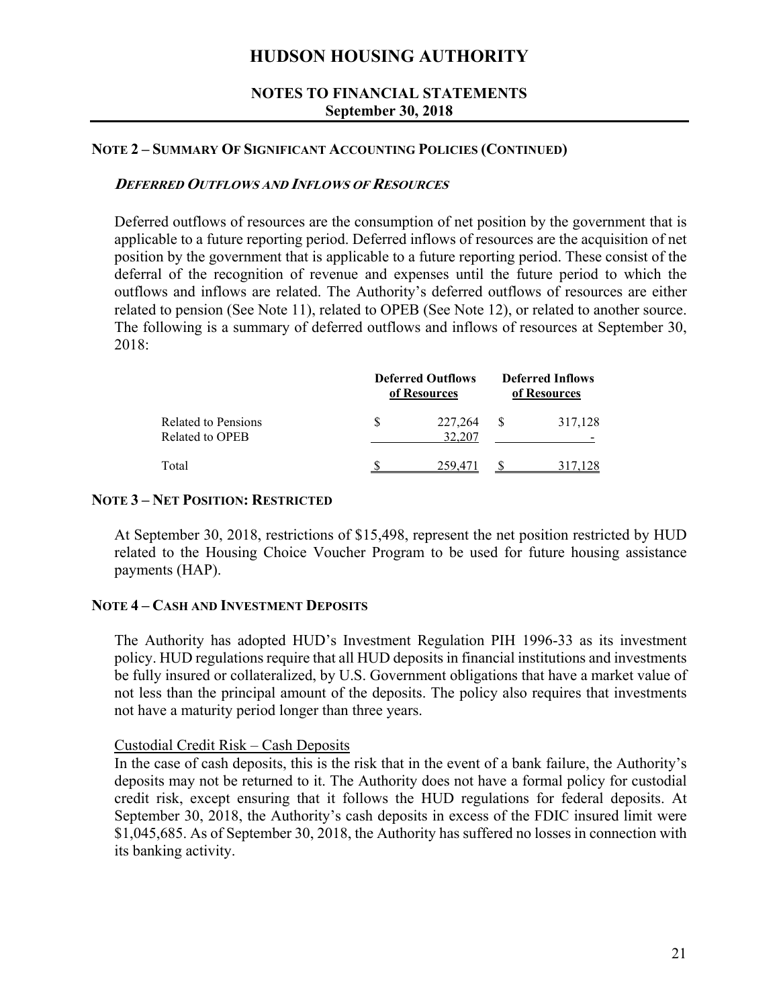### **NOTES TO FINANCIAL STATEMENTS September 30, 2018**

#### **NOTE 2 – SUMMARY OF SIGNIFICANT ACCOUNTING POLICIES (CONTINUED)**

#### **DEFERRED OUTFLOWS AND INFLOWS OF RESOURCES**

Deferred outflows of resources are the consumption of net position by the government that is applicable to a future reporting period. Deferred inflows of resources are the acquisition of net position by the government that is applicable to a future reporting period. These consist of the deferral of the recognition of revenue and expenses until the future period to which the outflows and inflows are related. The Authority's deferred outflows of resources are either related to pension (See Note 11), related to OPEB (See Note 12), or related to another source. The following is a summary of deferred outflows and inflows of resources at September 30, 2018:

|                                        | <b>Deferred Outflows</b><br>of Resources | <b>Deferred Inflows</b><br>of Resources |    |         |
|----------------------------------------|------------------------------------------|-----------------------------------------|----|---------|
| Related to Pensions<br>Related to OPEB | -S                                       | 227,264<br>32,207                       | -S | 317,128 |
| Total                                  |                                          | 259.471                                 |    |         |

#### **NOTE 3 – NET POSITION: RESTRICTED**

At September 30, 2018, restrictions of \$15,498, represent the net position restricted by HUD related to the Housing Choice Voucher Program to be used for future housing assistance payments (HAP).

## **NOTE 4 – CASH AND INVESTMENT DEPOSITS**

The Authority has adopted HUD's Investment Regulation PIH 1996-33 as its investment policy. HUD regulations require that all HUD deposits in financial institutions and investments be fully insured or collateralized, by U.S. Government obligations that have a market value of not less than the principal amount of the deposits. The policy also requires that investments not have a maturity period longer than three years.

#### Custodial Credit Risk – Cash Deposits

In the case of cash deposits, this is the risk that in the event of a bank failure, the Authority's deposits may not be returned to it. The Authority does not have a formal policy for custodial credit risk, except ensuring that it follows the HUD regulations for federal deposits. At September 30, 2018, the Authority's cash deposits in excess of the FDIC insured limit were \$1,045,685. As of September 30, 2018, the Authority has suffered no losses in connection with its banking activity.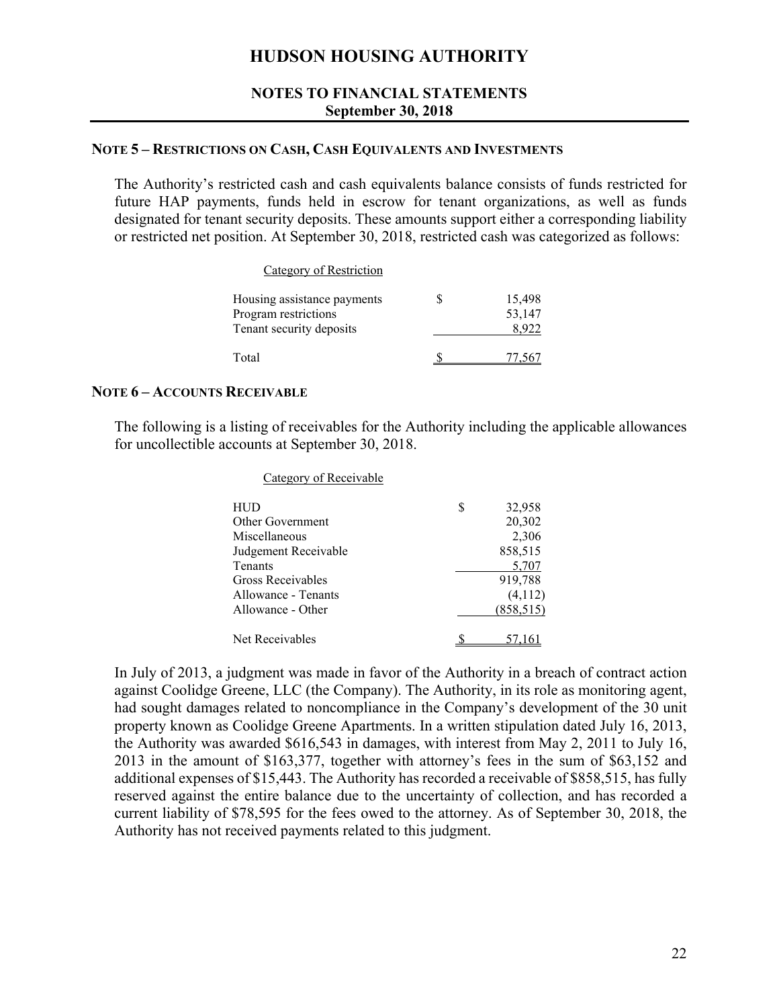### **NOTES TO FINANCIAL STATEMENTS September 30, 2018**

#### **NOTE 5 – RESTRICTIONS ON CASH, CASH EQUIVALENTS AND INVESTMENTS**

The Authority's restricted cash and cash equivalents balance consists of funds restricted for future HAP payments, funds held in escrow for tenant organizations, as well as funds designated for tenant security deposits. These amounts support either a corresponding liability or restricted net position. At September 30, 2018, restricted cash was categorized as follows:

#### Category of Restriction

| Housing assistance payments<br>Program restrictions<br>Tenant security deposits | 15,498<br>53,147 |
|---------------------------------------------------------------------------------|------------------|
| Total                                                                           |                  |

### **NOTE 6 – ACCOUNTS RECEIVABLE**

The following is a listing of receivables for the Authority including the applicable allowances for uncollectible accounts at September 30, 2018.

#### Category of Receivable

| HUD                  | S | 32,958     |
|----------------------|---|------------|
| Other Government     |   | 20,302     |
| Miscellaneous        |   | 2,306      |
| Judgement Receivable |   | 858,515    |
| Tenants              |   | 5,707      |
| Gross Receivables    |   | 919,788    |
| Allowance - Tenants  |   | (4,112)    |
| Allowance - Other    |   | (858, 515) |
|                      |   |            |
| Net Receivables      |   |            |

In July of 2013, a judgment was made in favor of the Authority in a breach of contract action against Coolidge Greene, LLC (the Company). The Authority, in its role as monitoring agent, had sought damages related to noncompliance in the Company's development of the 30 unit property known as Coolidge Greene Apartments. In a written stipulation dated July 16, 2013, the Authority was awarded \$616,543 in damages, with interest from May 2, 2011 to July 16, 2013 in the amount of \$163,377, together with attorney's fees in the sum of \$63,152 and additional expenses of \$15,443. The Authority has recorded a receivable of \$858,515, has fully reserved against the entire balance due to the uncertainty of collection, and has recorded a current liability of \$78,595 for the fees owed to the attorney. As of September 30, 2018, the Authority has not received payments related to this judgment.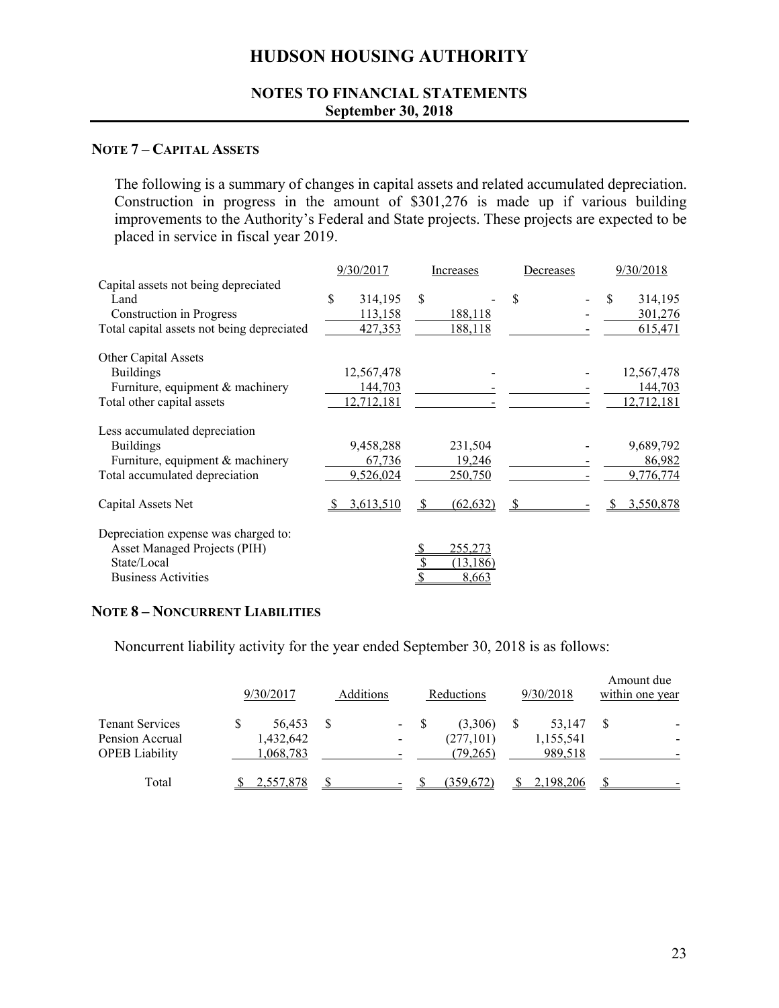## **NOTES TO FINANCIAL STATEMENTS September 30, 2018**

## **NOTE 7 – CAPITAL ASSETS**

The following is a summary of changes in capital assets and related accumulated depreciation. Construction in progress in the amount of \$301,276 is made up if various building improvements to the Authority's Federal and State projects. These projects are expected to be placed in service in fiscal year 2019.

|                                            | 9/30/2017     | Increases | Decreases | 9/30/2018    |
|--------------------------------------------|---------------|-----------|-----------|--------------|
| Capital assets not being depreciated       |               |           |           |              |
| Land                                       | \$<br>314,195 | \$        | S         | 314,195<br>S |
| Construction in Progress                   | 113,158       | 188,118   |           | 301,276      |
| Total capital assets not being depreciated | 427,353       | 188,118   |           | 615,471      |
| Other Capital Assets                       |               |           |           |              |
| <b>Buildings</b>                           | 12,567,478    |           |           | 12,567,478   |
| Furniture, equipment & machinery           | 144,703       |           |           | 144,703      |
| Total other capital assets                 | 12,712,181    |           |           | 12,712,181   |
| Less accumulated depreciation              |               |           |           |              |
| <b>Buildings</b>                           | 9,458,288     | 231,504   |           | 9,689,792    |
| Furniture, equipment & machinery           | 67,736        | 19,246    |           | 86,982       |
| Total accumulated depreciation             | 9,526,024     | 250,750   |           | 9,776,774    |
| Capital Assets Net                         | 3,613,510     | (62, 632) |           | 3,550,878    |
| Depreciation expense was charged to:       |               |           |           |              |
| <b>Asset Managed Projects (PIH)</b>        |               | 255.273   |           |              |
| State/Local                                |               | (13, 186) |           |              |
| <b>Business Activities</b>                 |               | 8,663     |           |              |

#### **NOTE 8 – NONCURRENT LIABILITIES**

Noncurrent liability activity for the year ended September 30, 2018 is as follows:

|                                                                    | 9/30/2017                        |   | Additions      |       | Reductions                       | 9/30/2018                      |   | Amount due<br>within one year |
|--------------------------------------------------------------------|----------------------------------|---|----------------|-------|----------------------------------|--------------------------------|---|-------------------------------|
| <b>Tenant Services</b><br>Pension Accrual<br><b>OPEB</b> Liability | 56,453<br>1,432,642<br>1,068,783 | S | $\overline{a}$ | $- S$ | (3,306)<br>(277,101)<br>(79,265) | 53,147<br>1,155,541<br>989,518 | S |                               |
| Total                                                              | <u>2,557,878</u>                 |   |                |       | (359,672)                        | 2,198,206                      |   |                               |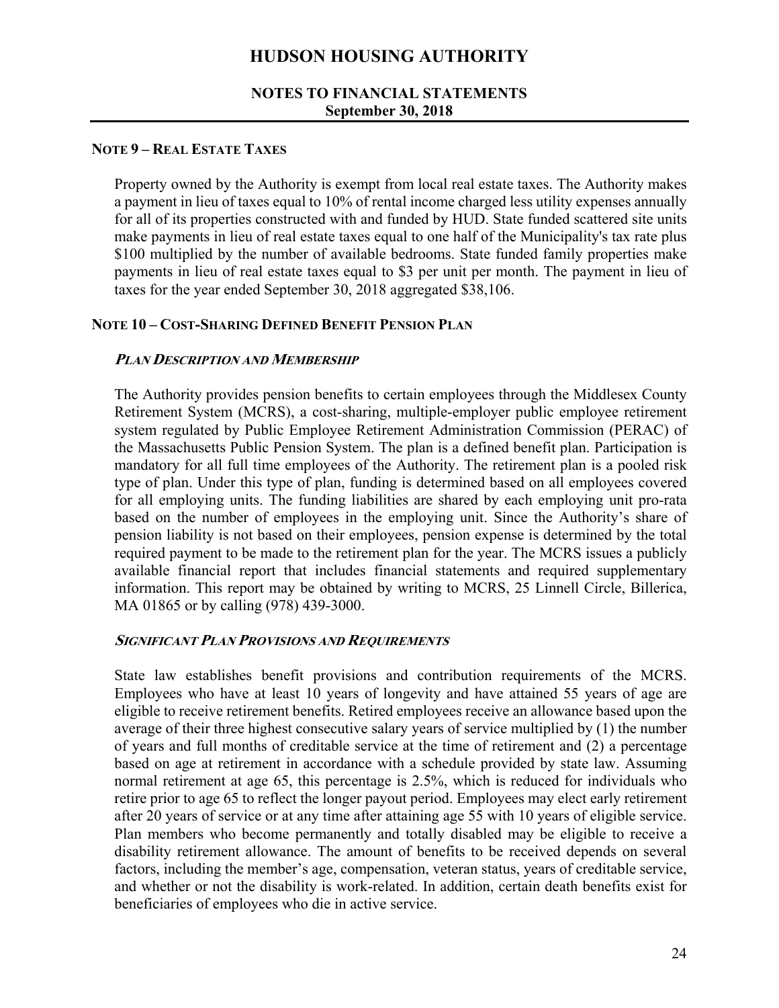### **NOTES TO FINANCIAL STATEMENTS September 30, 2018**

### **NOTE 9 – REAL ESTATE TAXES**

Property owned by the Authority is exempt from local real estate taxes. The Authority makes a payment in lieu of taxes equal to 10% of rental income charged less utility expenses annually for all of its properties constructed with and funded by HUD. State funded scattered site units make payments in lieu of real estate taxes equal to one half of the Municipality's tax rate plus \$100 multiplied by the number of available bedrooms. State funded family properties make payments in lieu of real estate taxes equal to \$3 per unit per month. The payment in lieu of taxes for the year ended September 30, 2018 aggregated \$38,106.

#### **NOTE 10 – COST-SHARING DEFINED BENEFIT PENSION PLAN**

#### **PLAN DESCRIPTION AND MEMBERSHIP**

The Authority provides pension benefits to certain employees through the Middlesex County Retirement System (MCRS), a cost-sharing, multiple-employer public employee retirement system regulated by Public Employee Retirement Administration Commission (PERAC) of the Massachusetts Public Pension System. The plan is a defined benefit plan. Participation is mandatory for all full time employees of the Authority. The retirement plan is a pooled risk type of plan. Under this type of plan, funding is determined based on all employees covered for all employing units. The funding liabilities are shared by each employing unit pro-rata based on the number of employees in the employing unit. Since the Authority's share of pension liability is not based on their employees, pension expense is determined by the total required payment to be made to the retirement plan for the year. The MCRS issues a publicly available financial report that includes financial statements and required supplementary information. This report may be obtained by writing to MCRS, 25 Linnell Circle, Billerica, MA 01865 or by calling (978) 439-3000.

#### **SIGNIFICANT PLAN PROVISIONS AND REQUIREMENTS**

State law establishes benefit provisions and contribution requirements of the MCRS. Employees who have at least 10 years of longevity and have attained 55 years of age are eligible to receive retirement benefits. Retired employees receive an allowance based upon the average of their three highest consecutive salary years of service multiplied by (1) the number of years and full months of creditable service at the time of retirement and (2) a percentage based on age at retirement in accordance with a schedule provided by state law. Assuming normal retirement at age 65, this percentage is 2.5%, which is reduced for individuals who retire prior to age 65 to reflect the longer payout period. Employees may elect early retirement after 20 years of service or at any time after attaining age 55 with 10 years of eligible service. Plan members who become permanently and totally disabled may be eligible to receive a disability retirement allowance. The amount of benefits to be received depends on several factors, including the member's age, compensation, veteran status, years of creditable service, and whether or not the disability is work-related. In addition, certain death benefits exist for beneficiaries of employees who die in active service.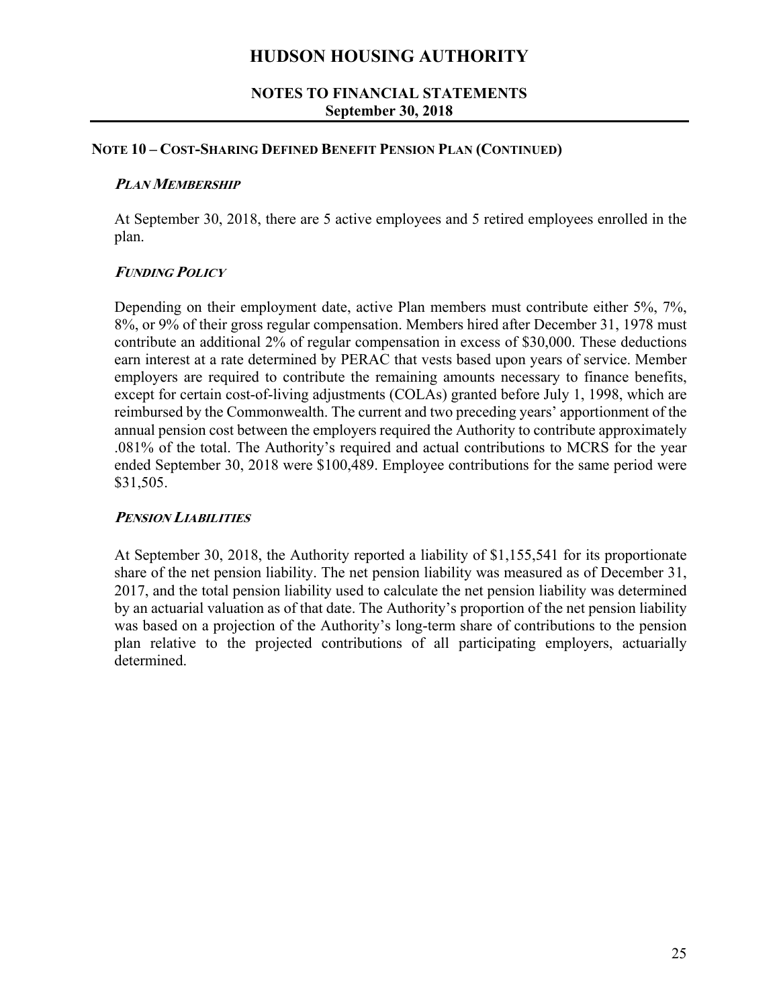### **NOTES TO FINANCIAL STATEMENTS September 30, 2018**

#### **NOTE 10 – COST-SHARING DEFINED BENEFIT PENSION PLAN (CONTINUED)**

### **PLAN MEMBERSHIP**

At September 30, 2018, there are 5 active employees and 5 retired employees enrolled in the plan.

## **FUNDING POLICY**

Depending on their employment date, active Plan members must contribute either 5%, 7%, 8%, or 9% of their gross regular compensation. Members hired after December 31, 1978 must contribute an additional 2% of regular compensation in excess of \$30,000. These deductions earn interest at a rate determined by PERAC that vests based upon years of service. Member employers are required to contribute the remaining amounts necessary to finance benefits, except for certain cost-of-living adjustments (COLAs) granted before July 1, 1998, which are reimbursed by the Commonwealth. The current and two preceding years' apportionment of the annual pension cost between the employers required the Authority to contribute approximately .081% of the total. The Authority's required and actual contributions to MCRS for the year ended September 30, 2018 were \$100,489. Employee contributions for the same period were \$31,505.

## **PENSION LIABILITIES**

At September 30, 2018, the Authority reported a liability of \$1,155,541 for its proportionate share of the net pension liability. The net pension liability was measured as of December 31, 2017, and the total pension liability used to calculate the net pension liability was determined by an actuarial valuation as of that date. The Authority's proportion of the net pension liability was based on a projection of the Authority's long-term share of contributions to the pension plan relative to the projected contributions of all participating employers, actuarially determined.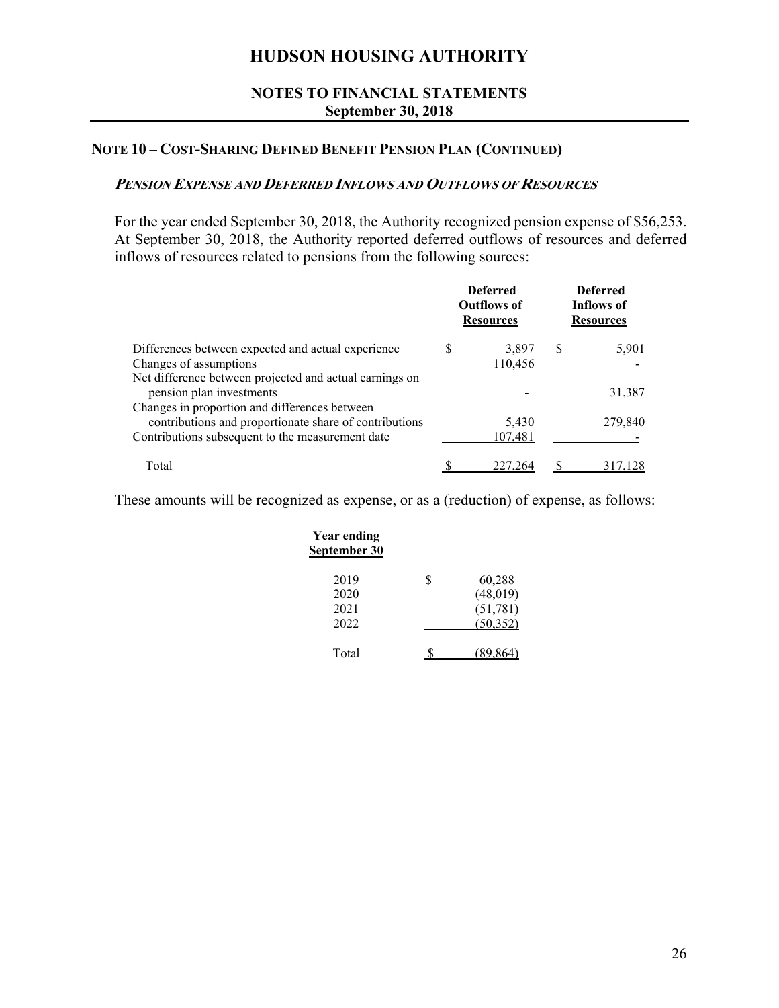## **NOTES TO FINANCIAL STATEMENTS September 30, 2018**

## **NOTE 10 – COST-SHARING DEFINED BENEFIT PENSION PLAN (CONTINUED)**

### **PENSION EXPENSE AND DEFERRED INFLOWS AND OUTFLOWS OF RESOURCES**

For the year ended September 30, 2018, the Authority recognized pension expense of \$56,253. At September 30, 2018, the Authority reported deferred outflows of resources and deferred inflows of resources related to pensions from the following sources:

|                                                         |   | <b>Deferred</b><br><b>Outflows of</b><br><b>Resources</b> | <b>Deferred</b><br>Inflows of<br><b>Resources</b> |         |  |
|---------------------------------------------------------|---|-----------------------------------------------------------|---------------------------------------------------|---------|--|
| Differences between expected and actual experience      | S | 3,897                                                     | S                                                 | 5,901   |  |
| Changes of assumptions                                  |   | 110,456                                                   |                                                   |         |  |
| Net difference between projected and actual earnings on |   |                                                           |                                                   |         |  |
| pension plan investments                                |   |                                                           |                                                   | 31,387  |  |
| Changes in proportion and differences between           |   |                                                           |                                                   |         |  |
| contributions and proportionate share of contributions  |   | 5,430                                                     |                                                   | 279,840 |  |
| Contributions subsequent to the measurement date        |   | 107,481                                                   |                                                   |         |  |
| Total                                                   |   |                                                           |                                                   |         |  |

These amounts will be recognized as expense, or as a (reduction) of expense, as follows:

| Year ending<br><u>September 30</u> |   |                                               |
|------------------------------------|---|-----------------------------------------------|
| 2019<br>2020<br>2021<br>2022       | S | 60,288<br>(48, 019)<br>(51, 781)<br>(50, 352) |
| Total                              |   |                                               |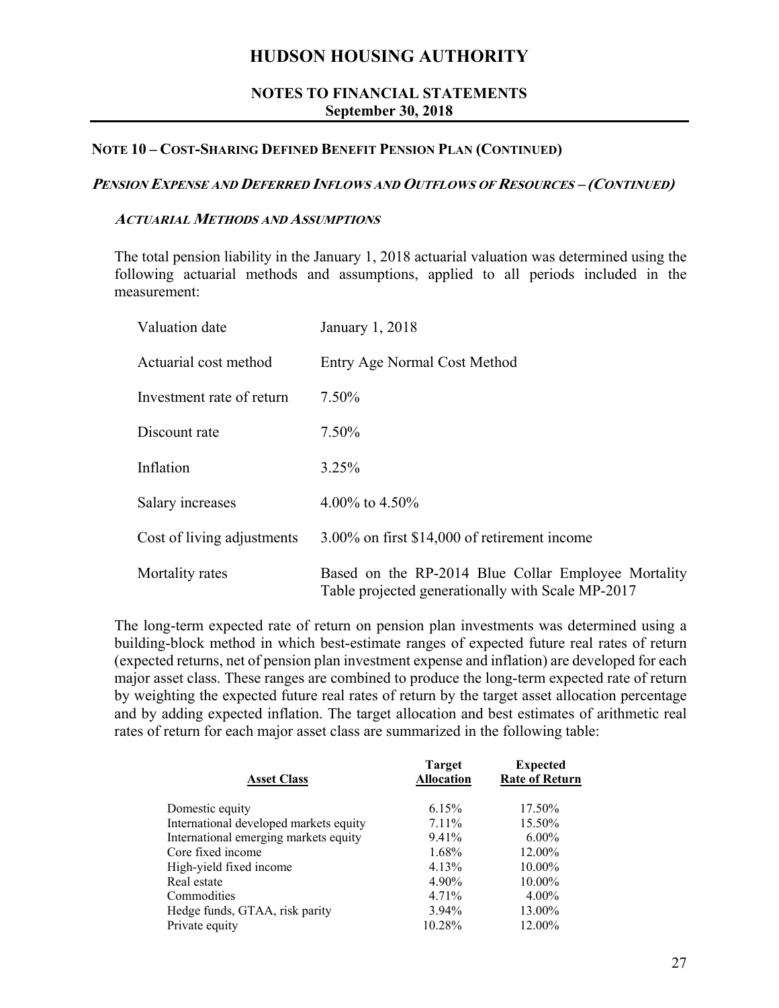## **NOTES TO FINANCIAL STATEMENTS September 30, 2018**

### **NOTE 10 – COST-SHARING DEFINED BENEFIT PENSION PLAN (CONTINUED)**

#### **PENSION EXPENSE AND DEFERRED INFLOWS AND OUTFLOWS OF RESOURCES – (CONTINUED)**

#### **ACTUARIAL METHODS AND ASSUMPTIONS**

The total pension liability in the January 1, 2018 actuarial valuation was determined using the following actuarial methods and assumptions, applied to all periods included in the measurement:

| Valuation date             | January 1, 2018                                                                                          |
|----------------------------|----------------------------------------------------------------------------------------------------------|
| Actuarial cost method      | Entry Age Normal Cost Method                                                                             |
| Investment rate of return  | 7.50%                                                                                                    |
| Discount rate              | 7.50%                                                                                                    |
| Inflation                  | 3.25%                                                                                                    |
| Salary increases           | 4.00\% to 4.50\%                                                                                         |
| Cost of living adjustments | 3.00% on first \$14,000 of retirement income                                                             |
| Mortality rates            | Based on the RP-2014 Blue Collar Employee Mortality<br>Table projected generationally with Scale MP-2017 |

The long-term expected rate of return on pension plan investments was determined using a building-block method in which best-estimate ranges of expected future real rates of return (expected returns, net of pension plan investment expense and inflation) are developed for each major asset class. These ranges are combined to produce the long-term expected rate of return by weighting the expected future real rates of return by the target asset allocation percentage and by adding expected inflation. The target allocation and best estimates of arithmetic real rates of return for each major asset class are summarized in the following table:

|                                        | <b>Target</b>     | <b>Expected</b>       |
|----------------------------------------|-------------------|-----------------------|
| <b>Asset Class</b>                     | <b>Allocation</b> | <b>Rate of Return</b> |
|                                        |                   |                       |
| Domestic equity                        | 6.15%             | 17.50%                |
| International developed markets equity | 7.11\%            | 15.50%                |
| International emerging markets equity  | 9.41%             | $6.00\%$              |
| Core fixed income                      | 1.68%             | 12.00%                |
| High-yield fixed income                | 4.13%             | 10.00%                |
| Real estate                            | 4.90%             | 10.00%                |
| Commodities                            | 4.71%             | $4.00\%$              |
| Hedge funds, GTAA, risk parity         | 3.94%             | 13.00%                |
| Private equity                         | 10.28%            | 12.00%                |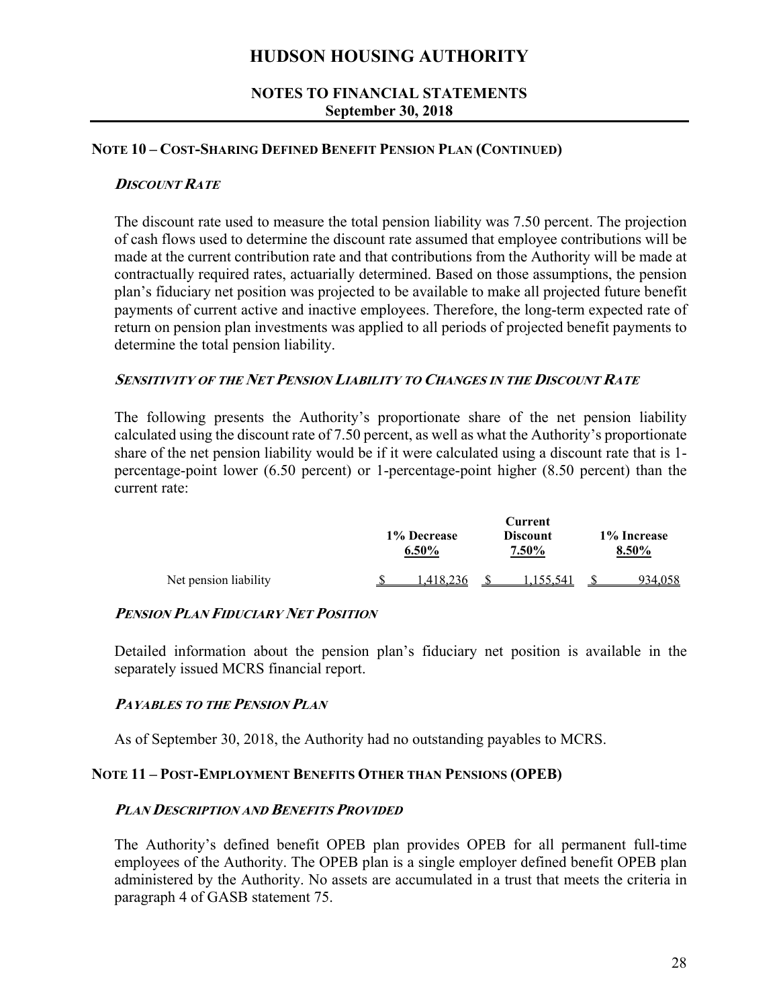### **NOTES TO FINANCIAL STATEMENTS September 30, 2018**

#### **NOTE 10 – COST-SHARING DEFINED BENEFIT PENSION PLAN (CONTINUED)**

#### **DISCOUNT RATE**

The discount rate used to measure the total pension liability was 7.50 percent. The projection of cash flows used to determine the discount rate assumed that employee contributions will be made at the current contribution rate and that contributions from the Authority will be made at contractually required rates, actuarially determined. Based on those assumptions, the pension plan's fiduciary net position was projected to be available to make all projected future benefit payments of current active and inactive employees. Therefore, the long-term expected rate of return on pension plan investments was applied to all periods of projected benefit payments to determine the total pension liability.

#### **SENSITIVITY OF THE NET PENSION LIABILITY TO CHANGES IN THE DISCOUNT RATE**

The following presents the Authority's proportionate share of the net pension liability calculated using the discount rate of 7.50 percent, as well as what the Authority's proportionate share of the net pension liability would be if it were calculated using a discount rate that is 1 percentage-point lower (6.50 percent) or 1-percentage-point higher (8.50 percent) than the current rate:

|                       | 1% Decrease<br>$6.50\%$ |  | Current<br><b>Discount</b><br>7.50% |  | 1% Increase<br>8.50% |  |
|-----------------------|-------------------------|--|-------------------------------------|--|----------------------|--|
| Net pension liability | .418.236                |  | .155.541                            |  | 934.058              |  |

### **PENSION PLAN FIDUCIARY NET POSITION**

Detailed information about the pension plan's fiduciary net position is available in the separately issued MCRS financial report.

### **PAYABLES TO THE PENSION PLAN**

As of September 30, 2018, the Authority had no outstanding payables to MCRS.

#### **NOTE 11 – POST-EMPLOYMENT BENEFITS OTHER THAN PENSIONS (OPEB)**

#### **PLAN DESCRIPTION AND BENEFITS PROVIDED**

The Authority's defined benefit OPEB plan provides OPEB for all permanent full-time employees of the Authority. The OPEB plan is a single employer defined benefit OPEB plan administered by the Authority. No assets are accumulated in a trust that meets the criteria in paragraph 4 of GASB statement 75.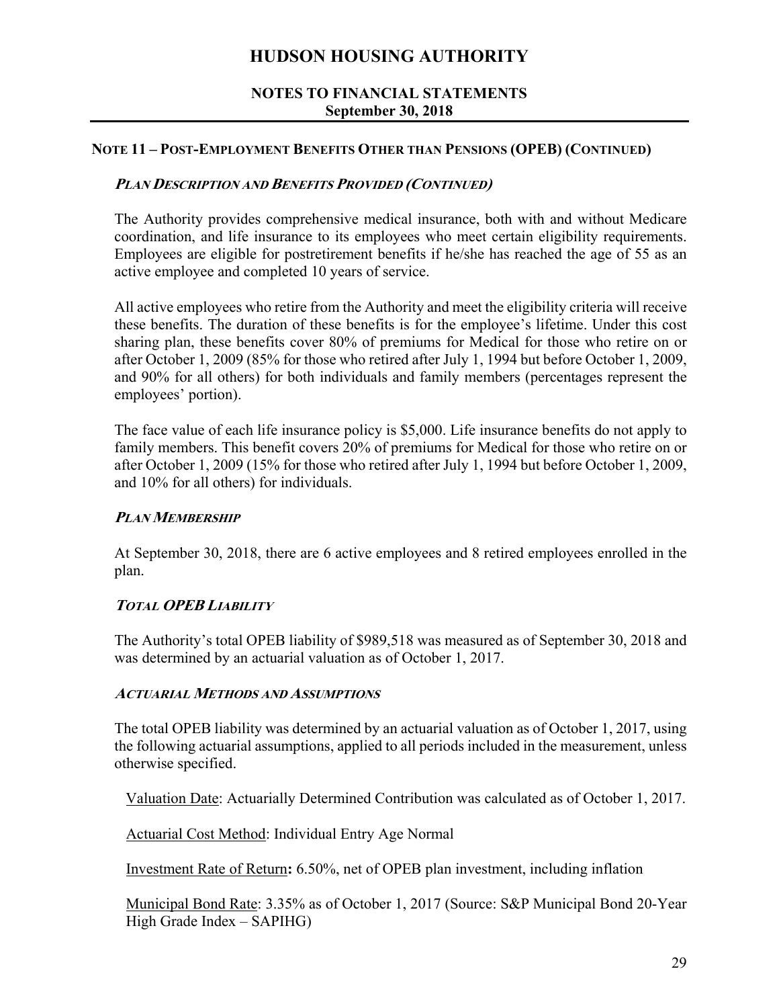## **NOTES TO FINANCIAL STATEMENTS September 30, 2018**

### **NOTE 11 – POST-EMPLOYMENT BENEFITS OTHER THAN PENSIONS (OPEB) (CONTINUED)**

### **PLAN DESCRIPTION AND BENEFITS PROVIDED (CONTINUED)**

The Authority provides comprehensive medical insurance, both with and without Medicare coordination, and life insurance to its employees who meet certain eligibility requirements. Employees are eligible for postretirement benefits if he/she has reached the age of 55 as an active employee and completed 10 years of service.

All active employees who retire from the Authority and meet the eligibility criteria will receive these benefits. The duration of these benefits is for the employee's lifetime. Under this cost sharing plan, these benefits cover 80% of premiums for Medical for those who retire on or after October 1, 2009 (85% for those who retired after July 1, 1994 but before October 1, 2009, and 90% for all others) for both individuals and family members (percentages represent the employees' portion).

The face value of each life insurance policy is \$5,000. Life insurance benefits do not apply to family members. This benefit covers 20% of premiums for Medical for those who retire on or after October 1, 2009 (15% for those who retired after July 1, 1994 but before October 1, 2009, and 10% for all others) for individuals.

## **PLAN MEMBERSHIP**

At September 30, 2018, there are 6 active employees and 8 retired employees enrolled in the plan.

## **TOTAL OPEB LIABILITY**

The Authority's total OPEB liability of \$989,518 was measured as of September 30, 2018 and was determined by an actuarial valuation as of October 1, 2017.

### **ACTUARIAL METHODS AND ASSUMPTIONS**

The total OPEB liability was determined by an actuarial valuation as of October 1, 2017, using the following actuarial assumptions, applied to all periods included in the measurement, unless otherwise specified.

Valuation Date: Actuarially Determined Contribution was calculated as of October 1, 2017.

Actuarial Cost Method: Individual Entry Age Normal

Investment Rate of Return**:** 6.50%, net of OPEB plan investment, including inflation

Municipal Bond Rate: 3.35% as of October 1, 2017 (Source: S&P Municipal Bond 20-Year High Grade Index – SAPIHG)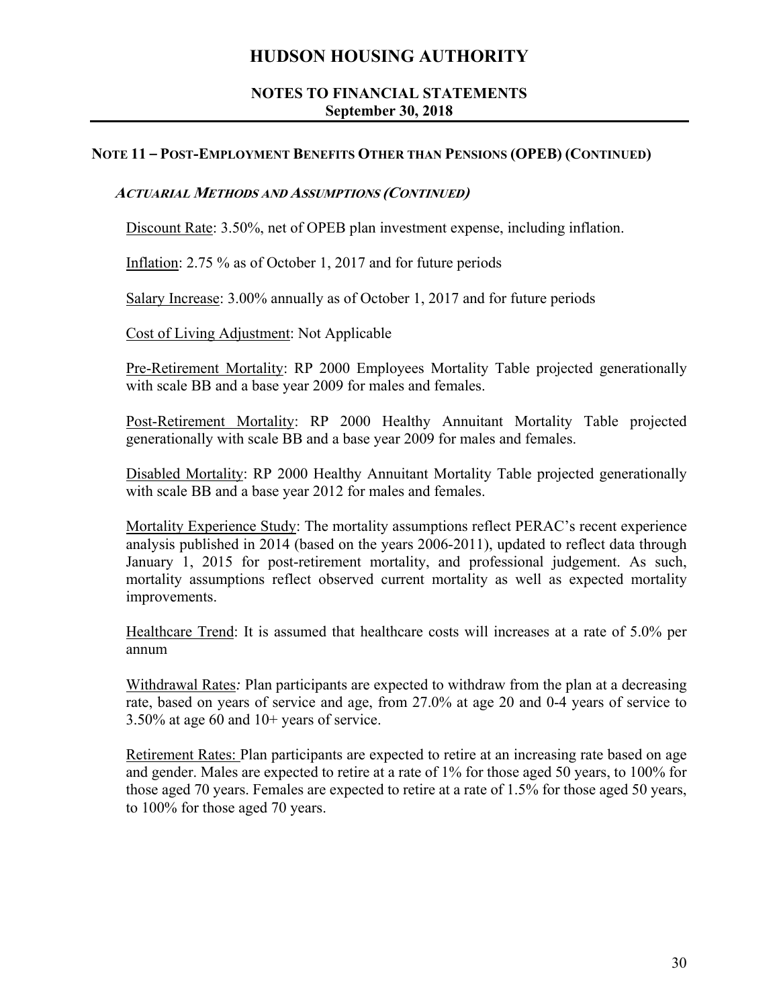## **NOTES TO FINANCIAL STATEMENTS September 30, 2018**

### **NOTE 11 – POST-EMPLOYMENT BENEFITS OTHER THAN PENSIONS (OPEB) (CONTINUED)**

### **ACTUARIAL METHODS AND ASSUMPTIONS (CONTINUED)**

Discount Rate: 3.50%, net of OPEB plan investment expense, including inflation.

Inflation: 2.75 % as of October 1, 2017 and for future periods

Salary Increase: 3.00% annually as of October 1, 2017 and for future periods

Cost of Living Adjustment: Not Applicable

Pre-Retirement Mortality: RP 2000 Employees Mortality Table projected generationally with scale BB and a base year 2009 for males and females.

Post-Retirement Mortality: RP 2000 Healthy Annuitant Mortality Table projected generationally with scale BB and a base year 2009 for males and females.

Disabled Mortality: RP 2000 Healthy Annuitant Mortality Table projected generationally with scale BB and a base year 2012 for males and females.

Mortality Experience Study: The mortality assumptions reflect PERAC's recent experience analysis published in 2014 (based on the years 2006-2011), updated to reflect data through January 1, 2015 for post-retirement mortality, and professional judgement. As such, mortality assumptions reflect observed current mortality as well as expected mortality improvements.

Healthcare Trend: It is assumed that healthcare costs will increases at a rate of 5.0% per annum

Withdrawal Rates*:* Plan participants are expected to withdraw from the plan at a decreasing rate, based on years of service and age, from 27.0% at age 20 and 0-4 years of service to 3.50% at age 60 and 10+ years of service.

Retirement Rates: Plan participants are expected to retire at an increasing rate based on age and gender. Males are expected to retire at a rate of 1% for those aged 50 years, to 100% for those aged 70 years. Females are expected to retire at a rate of 1.5% for those aged 50 years, to 100% for those aged 70 years.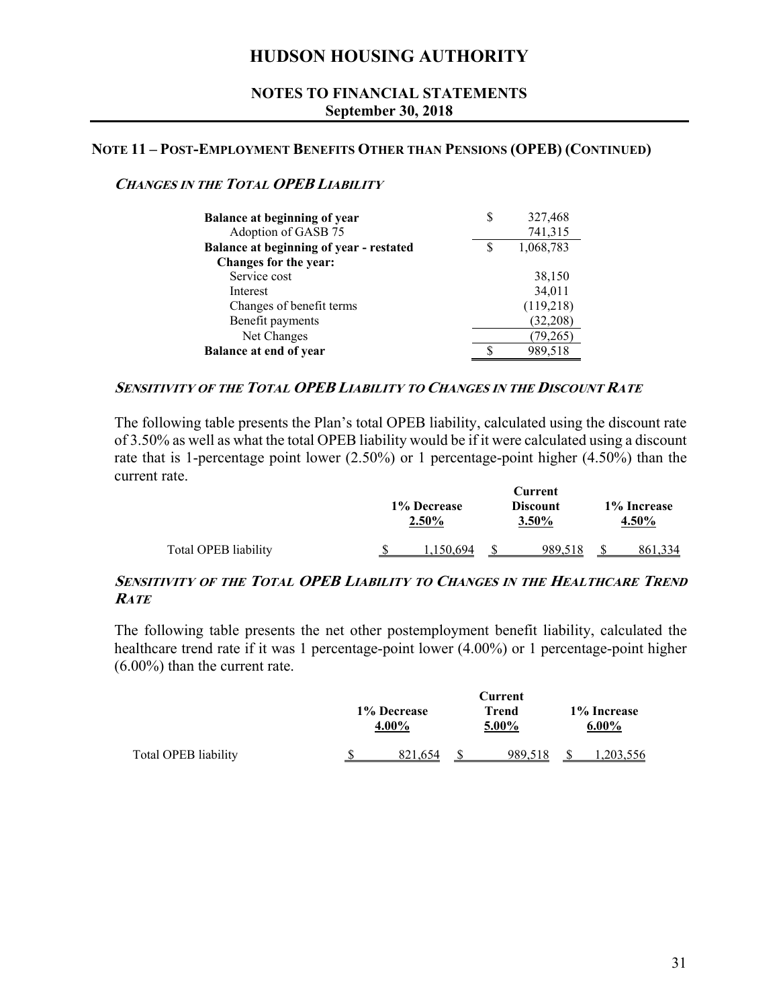## **NOTES TO FINANCIAL STATEMENTS September 30, 2018**

#### **NOTE 11 – POST-EMPLOYMENT BENEFITS OTHER THAN PENSIONS (OPEB) (CONTINUED)**

## **CHANGES IN THE TOTAL OPEB LIABILITY**

| <b>Balance at beginning of year</b>     | S | 327,468   |
|-----------------------------------------|---|-----------|
| Adoption of GASB 75                     |   | 741,315   |
| Balance at beginning of year - restated | S | 1,068,783 |
| Changes for the year:                   |   |           |
| Service cost                            |   | 38,150    |
| Interest                                |   | 34,011    |
| Changes of benefit terms                |   | (119,218) |
| Benefit payments                        |   | (32, 208) |
| Net Changes                             |   | 79,265    |
| <b>Balance at end of year</b>           | S | 989,518   |

### **SENSITIVITY OF THE TOTAL OPEB LIABILITY TO CHANGES IN THE DISCOUNT RATE**

The following table presents the Plan's total OPEB liability, calculated using the discount rate of 3.50% as well as what the total OPEB liability would be if it were calculated using a discount rate that is 1-percentage point lower (2.50%) or 1 percentage-point higher (4.50%) than the current rate.

|                      | 1% Decrease<br>2.50% |         |  | Current<br><b>Discount</b><br>$3.50\%$ |  | 1% Increase<br>4.50% |  |
|----------------------|----------------------|---------|--|----------------------------------------|--|----------------------|--|
| Total OPEB liability |                      | 150.694 |  | 989.518                                |  |                      |  |

### **SENSITIVITY OF THE TOTAL OPEB LIABILITY TO CHANGES IN THE HEALTHCARE TREND RATE**

The following table presents the net other postemployment benefit liability, calculated the healthcare trend rate if it was 1 percentage-point lower (4.00%) or 1 percentage-point higher (6.00%) than the current rate.

|                      |                      |  | Current           |  |                         |  |
|----------------------|----------------------|--|-------------------|--|-------------------------|--|
|                      | 1% Decrease<br>4.00% |  | Trend<br>$5.00\%$ |  | 1% Increase<br>$6.00\%$ |  |
| Total OPEB liability | 821.654              |  | 989.518           |  | .203,556                |  |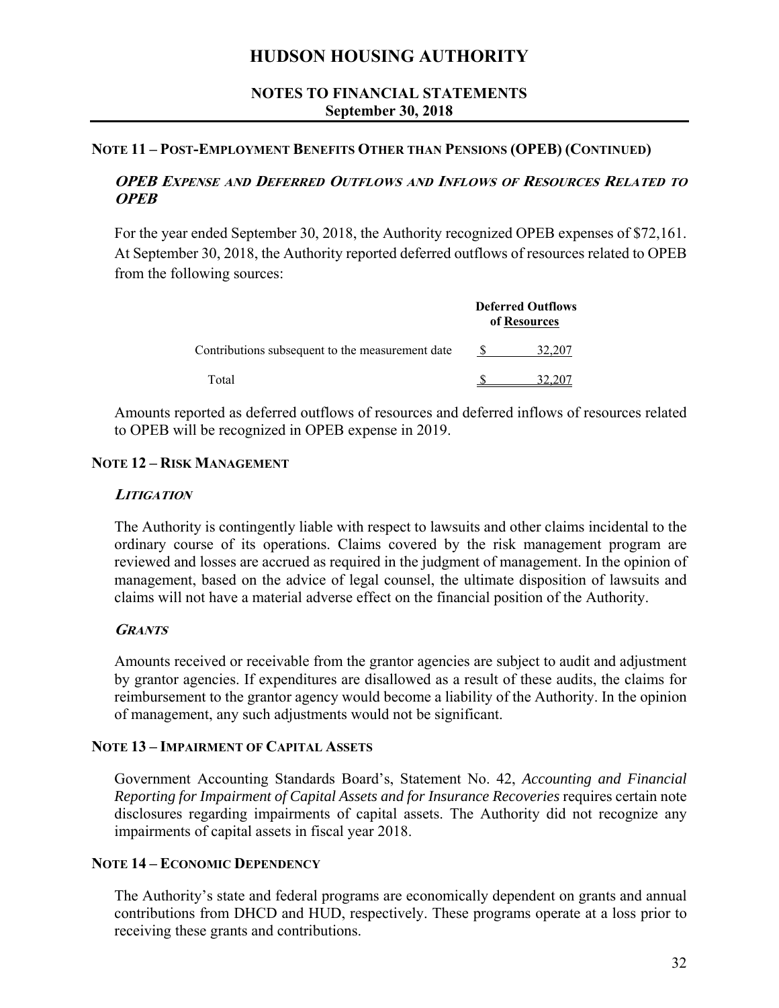### **NOTES TO FINANCIAL STATEMENTS September 30, 2018**

#### **NOTE 11 – POST-EMPLOYMENT BENEFITS OTHER THAN PENSIONS (OPEB) (CONTINUED)**

### **OPEB EXPENSE AND DEFERRED OUTFLOWS AND INFLOWS OF RESOURCES RELATED TO OPEB**

For the year ended September 30, 2018, the Authority recognized OPEB expenses of \$72,161. At September 30, 2018, the Authority reported deferred outflows of resources related to OPEB from the following sources:

|                                                  | <b>Deferred Outflows</b><br>of Resources |        |  |  |
|--------------------------------------------------|------------------------------------------|--------|--|--|
| Contributions subsequent to the measurement date |                                          | 32.207 |  |  |
| Total                                            |                                          |        |  |  |

Amounts reported as deferred outflows of resources and deferred inflows of resources related to OPEB will be recognized in OPEB expense in 2019.

#### **NOTE 12 – RISK MANAGEMENT**

#### **LITIGATION**

The Authority is contingently liable with respect to lawsuits and other claims incidental to the ordinary course of its operations. Claims covered by the risk management program are reviewed and losses are accrued as required in the judgment of management. In the opinion of management, based on the advice of legal counsel, the ultimate disposition of lawsuits and claims will not have a material adverse effect on the financial position of the Authority.

### **GRANTS**

Amounts received or receivable from the grantor agencies are subject to audit and adjustment by grantor agencies. If expenditures are disallowed as a result of these audits, the claims for reimbursement to the grantor agency would become a liability of the Authority. In the opinion of management, any such adjustments would not be significant.

#### **NOTE 13 – IMPAIRMENT OF CAPITAL ASSETS**

Government Accounting Standards Board's, Statement No. 42, *Accounting and Financial Reporting for Impairment of Capital Assets and for Insurance Recoveries* requires certain note disclosures regarding impairments of capital assets. The Authority did not recognize any impairments of capital assets in fiscal year 2018.

### **NOTE 14 – ECONOMIC DEPENDENCY**

The Authority's state and federal programs are economically dependent on grants and annual contributions from DHCD and HUD, respectively. These programs operate at a loss prior to receiving these grants and contributions.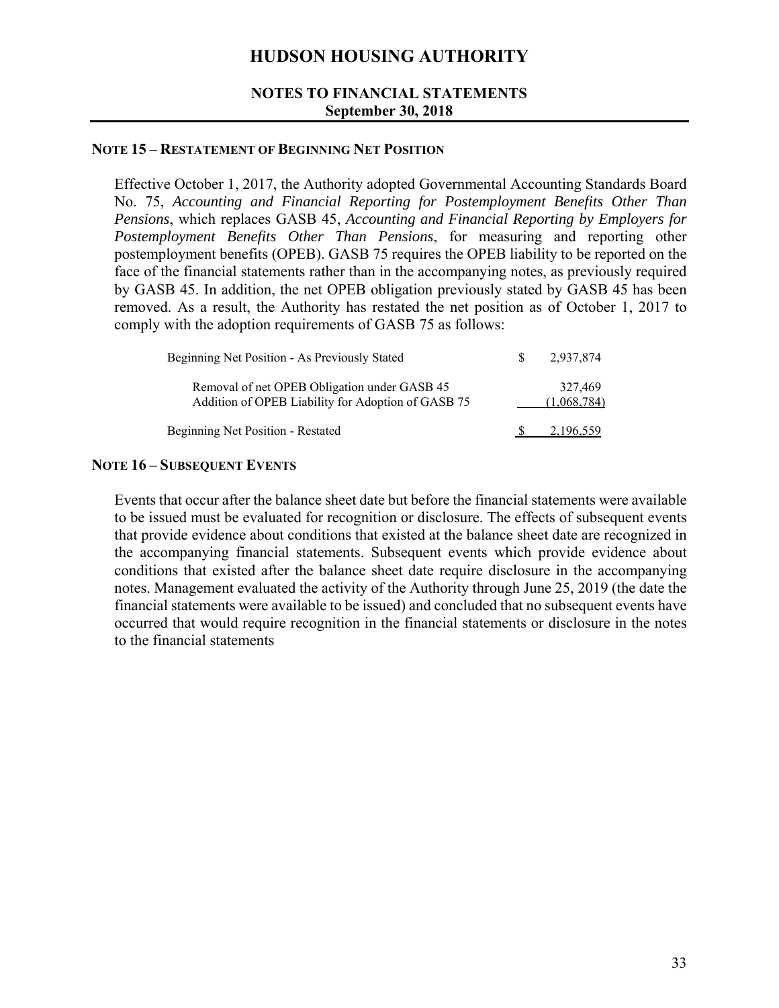### **NOTES TO FINANCIAL STATEMENTS September 30, 2018**

#### **NOTE 15 – RESTATEMENT OF BEGINNING NET POSITION**

Effective October 1, 2017, the Authority adopted Governmental Accounting Standards Board No. 75, *Accounting and Financial Reporting for Postemployment Benefits Other Than Pensions*, which replaces GASB 45, *Accounting and Financial Reporting by Employers for Postemployment Benefits Other Than Pensions*, for measuring and reporting other postemployment benefits (OPEB). GASB 75 requires the OPEB liability to be reported on the face of the financial statements rather than in the accompanying notes, as previously required by GASB 45. In addition, the net OPEB obligation previously stated by GASB 45 has been removed. As a result, the Authority has restated the net position as of October 1, 2017 to comply with the adoption requirements of GASB 75 as follows:

| Beginning Net Position - As Previously Stated                                                      | 2.937.874              |
|----------------------------------------------------------------------------------------------------|------------------------|
| Removal of net OPEB Obligation under GASB 45<br>Addition of OPEB Liability for Adoption of GASB 75 | 327,469<br>(1,068,784) |
| Beginning Net Position - Restated                                                                  | 2.196.559              |

#### **NOTE 16 – SUBSEQUENT EVENTS**

Events that occur after the balance sheet date but before the financial statements were available to be issued must be evaluated for recognition or disclosure. The effects of subsequent events that provide evidence about conditions that existed at the balance sheet date are recognized in the accompanying financial statements. Subsequent events which provide evidence about conditions that existed after the balance sheet date require disclosure in the accompanying notes. Management evaluated the activity of the Authority through June 25, 2019 (the date the financial statements were available to be issued) and concluded that no subsequent events have occurred that would require recognition in the financial statements or disclosure in the notes to the financial statements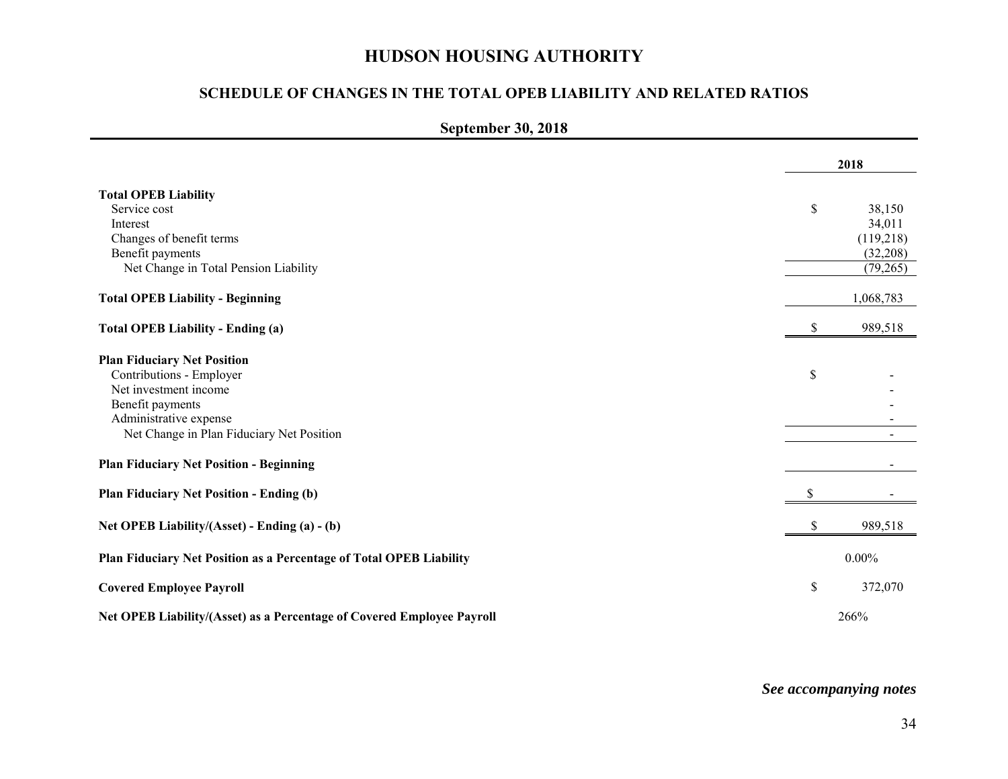#### **SCHEDULE OF CHANGES IN THE TOTAL OPEB LIABILITY AND RELATED RATIOS**

|                                                                                                                                                                                    |    | 2018                                                  |
|------------------------------------------------------------------------------------------------------------------------------------------------------------------------------------|----|-------------------------------------------------------|
| <b>Total OPEB Liability</b><br>Service cost<br>Interest<br>Changes of benefit terms<br>Benefit payments<br>Net Change in Total Pension Liability                                   | \$ | 38,150<br>34,011<br>(119,218)<br>(32,208)<br>(79,265) |
| <b>Total OPEB Liability - Beginning</b>                                                                                                                                            |    | 1,068,783                                             |
| <b>Total OPEB Liability - Ending (a)</b>                                                                                                                                           | \$ | 989,518                                               |
| <b>Plan Fiduciary Net Position</b><br>Contributions - Employer<br>Net investment income<br>Benefit payments<br>Administrative expense<br>Net Change in Plan Fiduciary Net Position | \$ |                                                       |
| <b>Plan Fiduciary Net Position - Beginning</b>                                                                                                                                     |    |                                                       |
| <b>Plan Fiduciary Net Position - Ending (b)</b>                                                                                                                                    | S  |                                                       |
| Net OPEB Liability/(Asset) - Ending (a) - (b)                                                                                                                                      |    | 989,518                                               |
| Plan Fiduciary Net Position as a Percentage of Total OPEB Liability                                                                                                                |    | $0.00\%$                                              |
| <b>Covered Employee Payroll</b>                                                                                                                                                    | \$ | 372,070                                               |
| Net OPEB Liability/(Asset) as a Percentage of Covered Employee Payroll                                                                                                             |    | 266%                                                  |

# **September 30, 2018**

*See accompanying notes*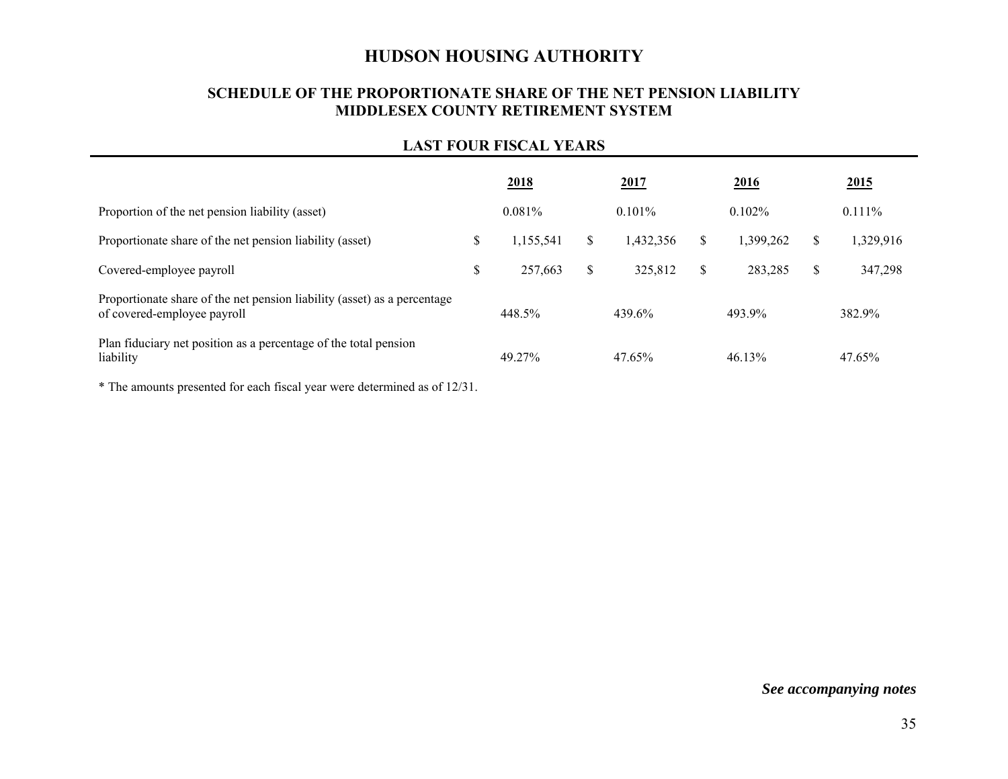## **SCHEDULE OF THE PROPORTIONATE SHARE OF THE NET PENSION LIABILITY MIDDLESEX COUNTY RETIREMENT SYSTEM**

### **LAST FOUR FISCAL YEARS**

|                                                                                                         |     | 2018      |    | <u>2017</u> |    | <u>2016</u> |               | 2015      |
|---------------------------------------------------------------------------------------------------------|-----|-----------|----|-------------|----|-------------|---------------|-----------|
| Proportion of the net pension liability (asset)                                                         |     | 0.081%    |    | $0.101\%$   |    | $0.102\%$   |               | $0.111\%$ |
| Proportionate share of the net pension liability (asset)                                                | ъĐ. | 1,155,541 | S  | 1,432,356   | S. | 1,399,262   | <sup>\$</sup> | 1,329,916 |
| Covered-employee payroll                                                                                | \$  | 257,663   | \$ | 325,812     | \$ | 283,285     | \$            | 347,298   |
| Proportionate share of the net pension liability (asset) as a percentage<br>of covered-employee payroll |     | 448.5%    |    | 439.6%      |    | 493.9%      |               | 382.9%    |
| Plan fiduciary net position as a percentage of the total pension<br>liability                           |     | 49.27%    |    | 47.65%      |    | 46.13%      |               | 47.65%    |

\* The amounts presented for each fiscal year were determined as of 12/31.

*See accompanying notes*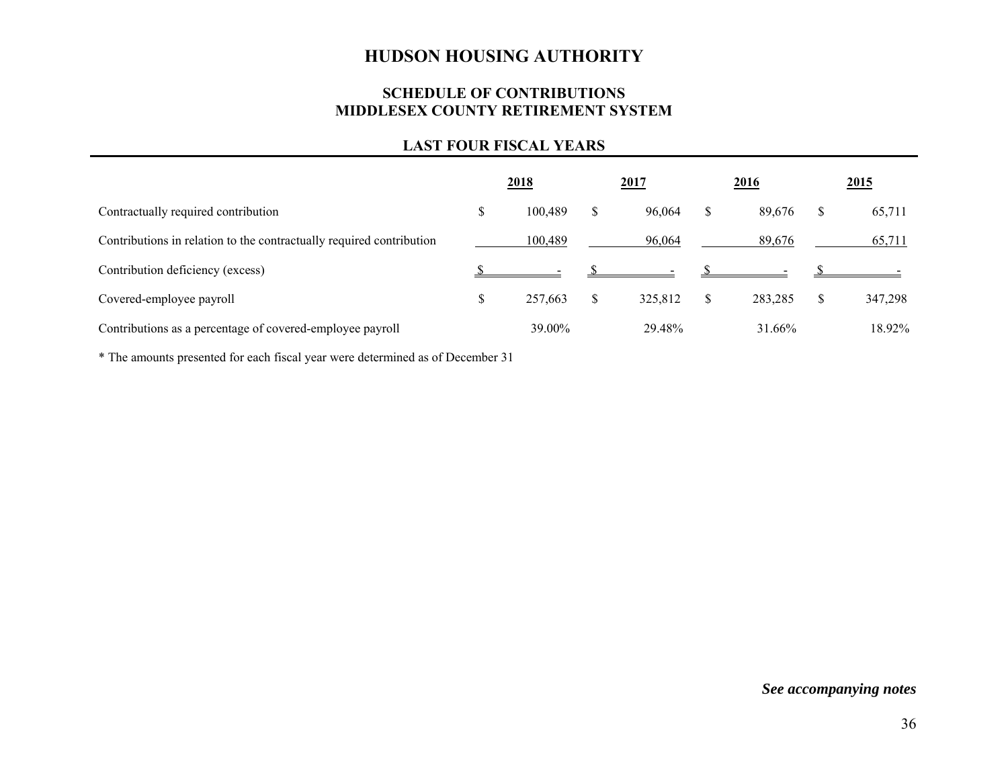## **SCHEDULE OF CONTRIBUTIONS MIDDLESEX COUNTY RETIREMENT SYSTEM**

## **LAST FOUR FISCAL YEARS**

|                                                                      |    | 2018    |    | 2017    |   | 2016    |   | 2015    |
|----------------------------------------------------------------------|----|---------|----|---------|---|---------|---|---------|
| Contractually required contribution                                  | J. | 100.489 | S  | 96,064  | S | 89.676  | S | 65,711  |
| Contributions in relation to the contractually required contribution |    | 100.489 |    | 96,064  |   | 89,676  |   | 65,711  |
| Contribution deficiency (excess)                                     |    |         |    |         |   |         |   |         |
| Covered-employee payroll                                             |    | 257,663 | \$ | 325,812 | S | 283,285 | S | 347,298 |
| Contributions as a percentage of covered-employee payroll            |    | 39.00%  |    | 29.48%  |   | 31.66%  |   | 18.92%  |

\* The amounts presented for each fiscal year were determined as of December 31

*See accompanying notes*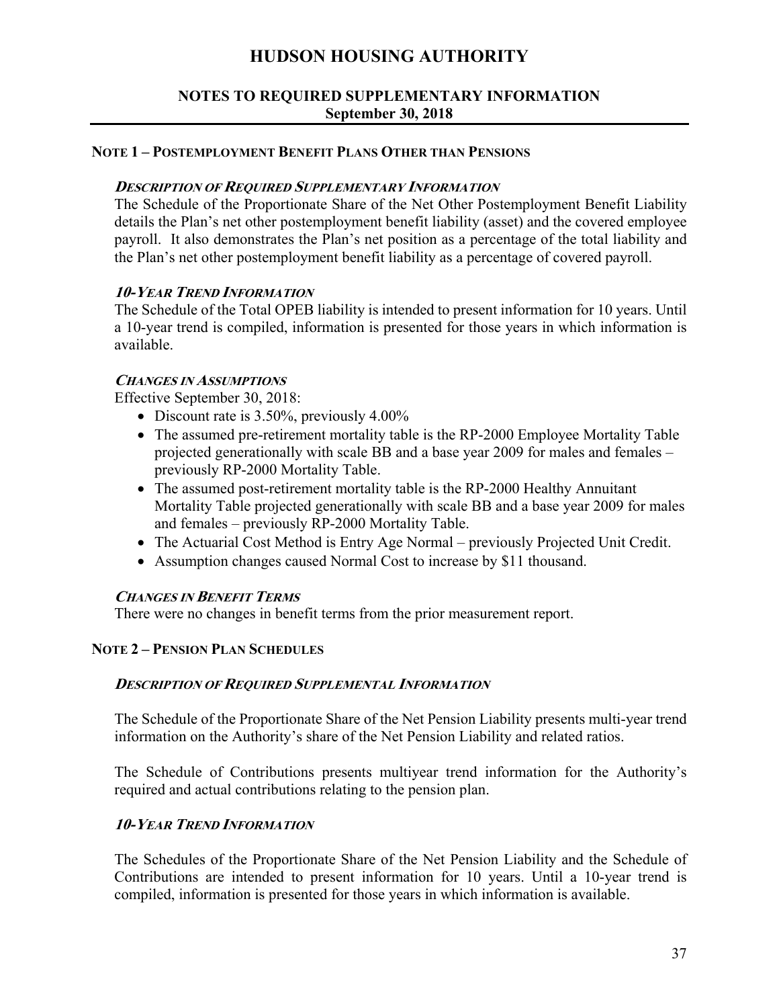## **NOTES TO REQUIRED SUPPLEMENTARY INFORMATION September 30, 2018**

## **NOTE 1 – POSTEMPLOYMENT BENEFIT PLANS OTHER THAN PENSIONS**

## **DESCRIPTION OF REQUIRED SUPPLEMENTARY INFORMATION**

The Schedule of the Proportionate Share of the Net Other Postemployment Benefit Liability details the Plan's net other postemployment benefit liability (asset) and the covered employee payroll. It also demonstrates the Plan's net position as a percentage of the total liability and the Plan's net other postemployment benefit liability as a percentage of covered payroll.

#### **10-YEAR TREND INFORMATION**

The Schedule of the Total OPEB liability is intended to present information for 10 years. Until a 10-year trend is compiled, information is presented for those years in which information is available.

#### **CHANGES IN ASSUMPTIONS**

Effective September 30, 2018:

- Discount rate is 3.50%, previously 4.00%
- The assumed pre-retirement mortality table is the RP-2000 Employee Mortality Table projected generationally with scale BB and a base year 2009 for males and females – previously RP-2000 Mortality Table.
- The assumed post-retirement mortality table is the RP-2000 Healthy Annuitant Mortality Table projected generationally with scale BB and a base year 2009 for males and females – previously RP-2000 Mortality Table.
- The Actuarial Cost Method is Entry Age Normal previously Projected Unit Credit.
- Assumption changes caused Normal Cost to increase by \$11 thousand.

### **CHANGES IN BENEFIT TERMS**

There were no changes in benefit terms from the prior measurement report.

### **NOTE 2 – PENSION PLAN SCHEDULES**

#### **DESCRIPTION OF REQUIRED SUPPLEMENTAL INFORMATION**

The Schedule of the Proportionate Share of the Net Pension Liability presents multi-year trend information on the Authority's share of the Net Pension Liability and related ratios.

The Schedule of Contributions presents multiyear trend information for the Authority's required and actual contributions relating to the pension plan.

### **10-YEAR TREND INFORMATION**

The Schedules of the Proportionate Share of the Net Pension Liability and the Schedule of Contributions are intended to present information for 10 years. Until a 10-year trend is compiled, information is presented for those years in which information is available.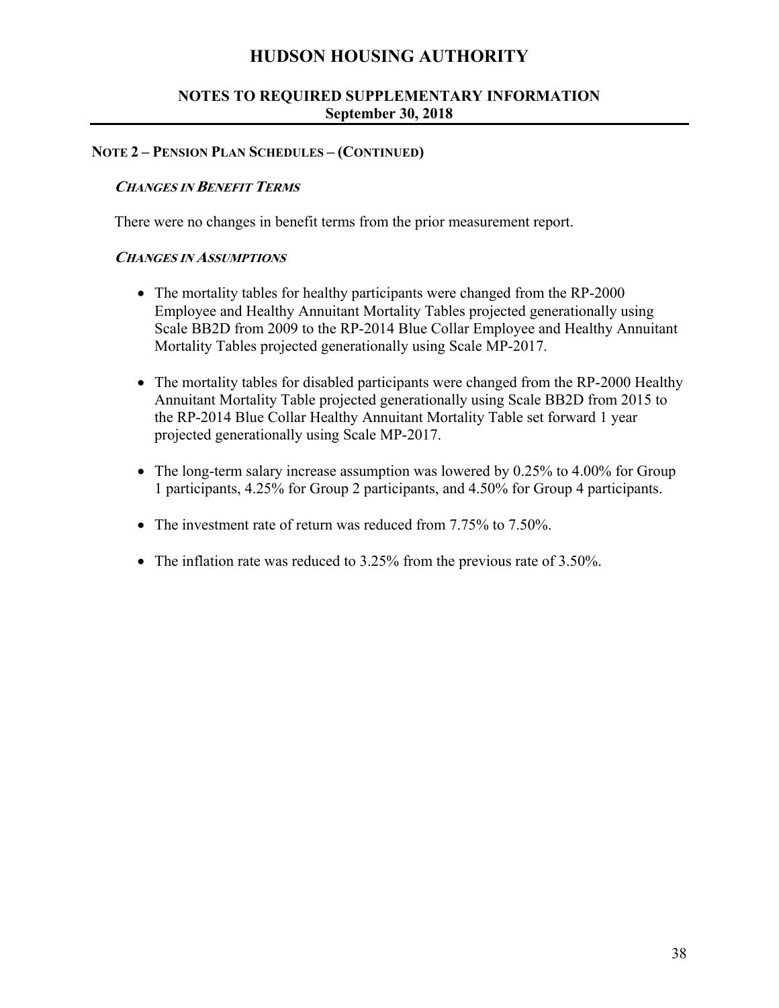## **NOTES TO REQUIRED SUPPLEMENTARY INFORMATION September 30, 2018**

### **NOTE 2 – PENSION PLAN SCHEDULES – (CONTINUED)**

### **CHANGES IN BENEFIT TERMS**

There were no changes in benefit terms from the prior measurement report.

#### **CHANGES IN ASSUMPTIONS**

- The mortality tables for healthy participants were changed from the RP-2000 Employee and Healthy Annuitant Mortality Tables projected generationally using Scale BB2D from 2009 to the RP-2014 Blue Collar Employee and Healthy Annuitant Mortality Tables projected generationally using Scale MP-2017.
- The mortality tables for disabled participants were changed from the RP-2000 Healthy Annuitant Mortality Table projected generationally using Scale BB2D from 2015 to the RP-2014 Blue Collar Healthy Annuitant Mortality Table set forward 1 year projected generationally using Scale MP-2017.
- The long-term salary increase assumption was lowered by 0.25% to 4.00% for Group 1 participants, 4.25% for Group 2 participants, and 4.50% for Group 4 participants.
- The investment rate of return was reduced from 7.75% to 7.50%.
- The inflation rate was reduced to 3.25% from the previous rate of 3.50%.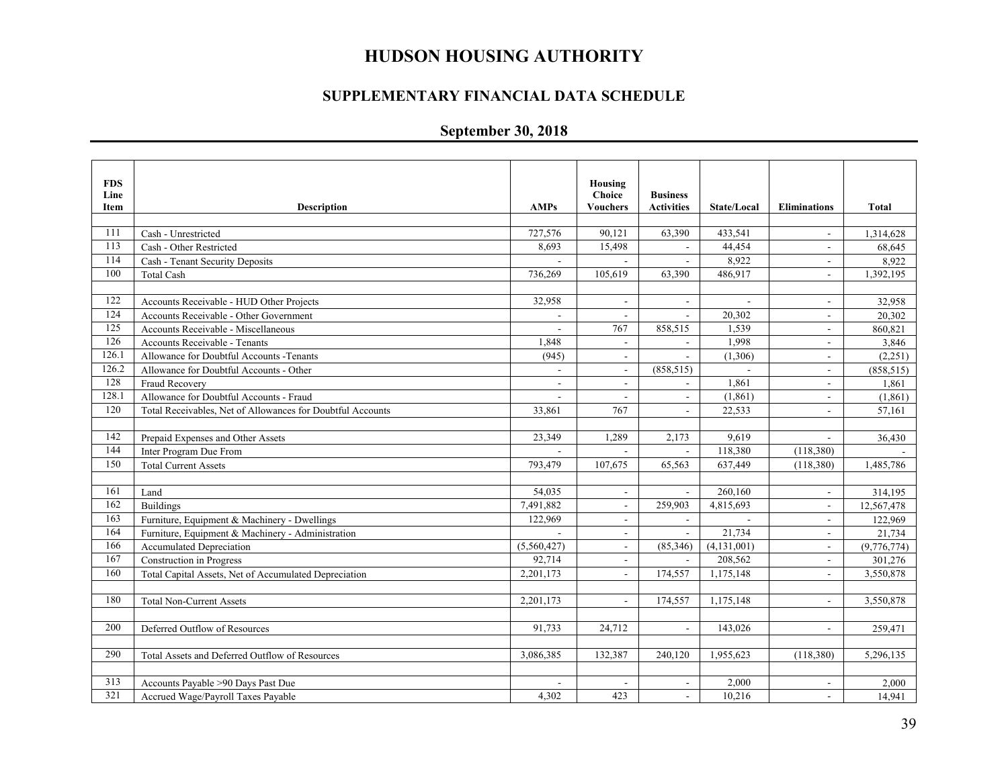#### **SUPPLEMENTARY FINANCIAL DATA SCHEDULE**

| <b>FDS</b><br>Line |                                                            |                | Housing<br>Choice        | <b>Business</b>           |                    |                     |              |
|--------------------|------------------------------------------------------------|----------------|--------------------------|---------------------------|--------------------|---------------------|--------------|
| Item               | <b>Description</b>                                         | <b>AMPs</b>    | <b>Vouchers</b>          | <b>Activities</b>         | <b>State/Local</b> | <b>Eliminations</b> | <b>Total</b> |
|                    |                                                            |                |                          |                           |                    |                     |              |
| 111                | Cash - Unrestricted                                        | 727,576        | 90,121                   | 63,390                    | 433,541            | $\sim$              | 1,314,628    |
| 113                | Cash - Other Restricted                                    | 8,693          | 15,498                   | $\blacksquare$            | 44,454             | $\blacksquare$      | 68,645       |
| 114                | Cash - Tenant Security Deposits                            |                |                          | $\mathbf{r}$              | 8,922              |                     | 8,922        |
| 100                | <b>Total Cash</b>                                          | 736,269        | 105,619                  | 63,390                    | 486,917            | $\sim$              | 1,392,195    |
|                    |                                                            |                |                          |                           |                    |                     |              |
| 122                | Accounts Receivable - HUD Other Projects                   | 32,958         |                          |                           |                    |                     | 32,958       |
| 124                | Accounts Receivable - Other Government                     | $\mathcal{L}$  | $\mathcal{L}$            | $\mathbb{L}^2$            | 20,302             | $\mathbf{u}$        | 20,302       |
| 125                | <b>Accounts Receivable - Miscellaneous</b>                 | $\sim$         | 767                      | 858,515                   | 1,539              | $\sim$              | 860,821      |
| 126                | Accounts Receivable - Tenants                              | 1,848          | $\blacksquare$           |                           | 1,998              | $\blacksquare$      | 3,846        |
| 126.1              | Allowance for Doubtful Accounts -Tenants                   | (945)          | $\blacksquare$           | $\overline{\phantom{a}}$  | (1,306)            | $\blacksquare$      | (2,251)      |
| 126.2              | Allowance for Doubtful Accounts - Other                    | $\sim$         | $\blacksquare$           | (858, 515)                |                    | $\sim$              | (858, 515)   |
| 128                | Fraud Recovery                                             | $\sim$         | $\overline{\phantom{a}}$ |                           | 1,861              | $\sim$              | 1,861        |
| 128.1              | Allowance for Doubtful Accounts - Fraud                    | $\blacksquare$ | $\blacksquare$           | $\blacksquare$            | (1,861)            | $\blacksquare$      | (1, 861)     |
| 120                | Total Receivables, Net of Allowances for Doubtful Accounts | 33,861         | 767                      | $\mathbb{L}^{\mathbb{N}}$ | 22,533             | $\sim$              | 57,161       |
|                    |                                                            |                |                          |                           |                    |                     |              |
| 142                | Prepaid Expenses and Other Assets                          | 23,349         | 1,289                    | 2,173                     | 9,619              | $\blacksquare$      | 36,430       |
| 144                | Inter Program Due From                                     |                |                          |                           | 118,380            | (118,380)           |              |
| 150                | <b>Total Current Assets</b>                                | 793,479        | 107,675                  | 65,563                    | 637,449            | (118,380)           | 1,485,786    |
|                    |                                                            |                |                          |                           |                    |                     |              |
| 161                | Land                                                       | 54,035         | $\blacksquare$           |                           | 260,160            | $\mathbf{u}$        | 314,195      |
| 162                | <b>Buildings</b>                                           | 7,491,882      | $\mathbb{Z}^2$           | 259,903                   | 4,815,693          | $\mathbf{r}$        | 12,567,478   |
| 163                | Furniture, Equipment & Machinery - Dwellings               | 122,969        | $\sim$                   |                           |                    | $\sim$              | 122,969      |
| 164                | Furniture, Equipment & Machinery - Administration          |                | $\blacksquare$           | $\sim$                    | 21,734             | $\blacksquare$      | 21,734       |
| 166                | Accumulated Depreciation                                   | (5,560,427)    | $\blacksquare$           | (85,346)                  | (4,131,001)        | $\blacksquare$      | (9,776,774)  |
| 167                | <b>Construction</b> in Progress                            | 92,714         | $\blacksquare$           | $\mathbf{r}$              | 208,562            | $\blacksquare$      | 301,276      |
| 160                | Total Capital Assets, Net of Accumulated Depreciation      | 2,201,173      | $\mathbb{L}$             | 174,557                   | 1,175,148          | $\sim$              | 3,550,878    |
|                    |                                                            |                |                          |                           |                    |                     |              |
| 180                | <b>Total Non-Current Assets</b>                            | 2,201,173      | $\mathbf{r}$             | 174,557                   | 1,175,148          |                     | 3,550,878    |
|                    |                                                            |                |                          |                           |                    |                     |              |
| 200                | Deferred Outflow of Resources                              | 91,733         | 24,712                   | $\mathbf{r}$              | 143,026            | $\sim$              | 259,471      |
|                    |                                                            |                |                          |                           |                    |                     |              |
| 290                | Total Assets and Deferred Outflow of Resources             | 3,086,385      | 132,387                  | 240,120                   | 1,955,623          | (118,380)           | 5,296,135    |
|                    |                                                            |                |                          |                           |                    |                     |              |
| 313                | Accounts Payable >90 Days Past Due                         |                |                          | $\sim$                    | 2,000              |                     | 2,000        |
| 321                | Accrued Wage/Payroll Taxes Payable                         | 4,302          | 423                      | $\blacksquare$            | 10,216             | $\blacksquare$      | 14,941       |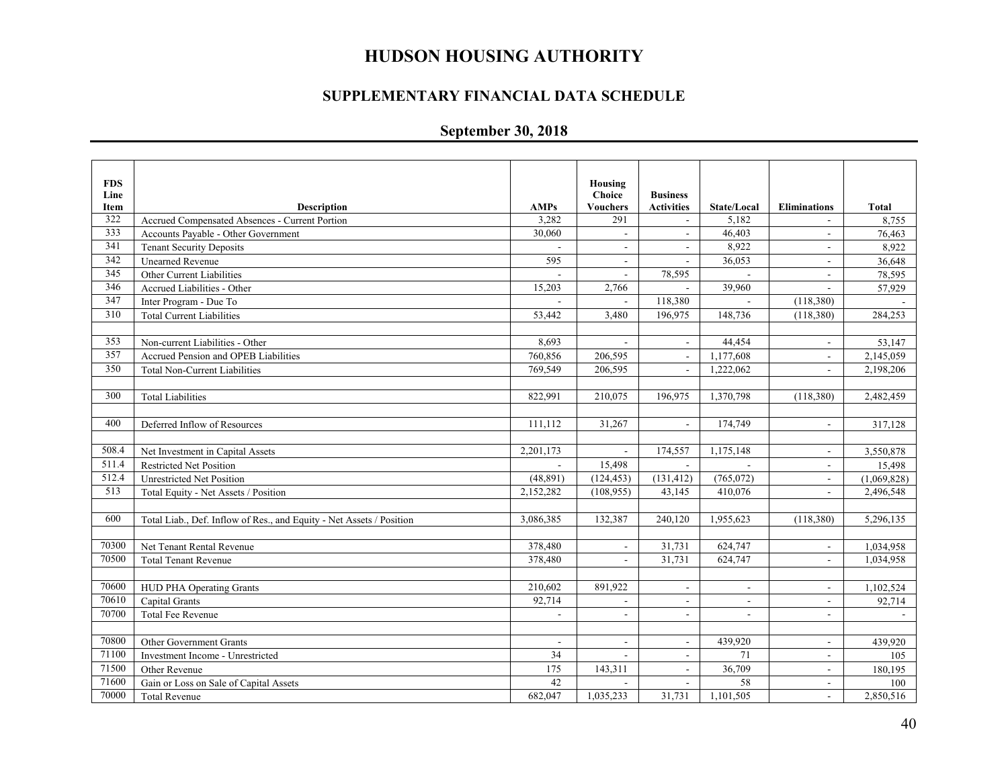#### **SUPPLEMENTARY FINANCIAL DATA SCHEDULE**

| <b>FDS</b> |                                                                      |                | Housing         |                          |                          |                          |              |
|------------|----------------------------------------------------------------------|----------------|-----------------|--------------------------|--------------------------|--------------------------|--------------|
| Line       |                                                                      |                | <b>Choice</b>   | <b>Business</b>          |                          |                          |              |
| Item       | <b>Description</b>                                                   | <b>AMPs</b>    | <b>Vouchers</b> | <b>Activities</b>        | State/Local              | <b>Eliminations</b>      | Total        |
| 322        | Accrued Compensated Absences - Current Portion                       | 3,282          | 291             | $\mathbf{r}$             | 5,182                    |                          | 8,755        |
| 333        | Accounts Payable - Other Government                                  | 30,060         | $\sim$          | ÷.                       | 46,403                   | $\blacksquare$           | 76,463       |
| 341        | <b>Tenant Security Deposits</b>                                      | $\overline{a}$ | $\blacksquare$  | $\blacksquare$           | 8,922                    | $\overline{\phantom{a}}$ | 8,922        |
| 342        | <b>Unearned Revenue</b>                                              | 595            | $\mathbb{Z}^2$  | $\mathbb{L}$             | 36,053                   | $\overline{a}$           | 36,648       |
| 345        | Other Current Liabilities                                            | $\sim$         | $\mathcal{L}$   | 78,595                   | $\sim$                   | $\blacksquare$           | 78,595       |
| 346        | Accrued Liabilities - Other                                          | 15,203         | 2,766           |                          | 39,960                   |                          | 57,929       |
| 347        | Inter Program - Due To                                               |                |                 | 118,380                  |                          | (118,380)                |              |
| 310        | <b>Total Current Liabilities</b>                                     | 53,442         | 3,480           | 196,975                  | 148,736                  | (118,380)                | 284,253      |
|            |                                                                      |                |                 |                          |                          |                          |              |
| 353        | Non-current Liabilities - Other                                      | 8,693          | $\blacksquare$  | $\overline{\phantom{a}}$ | 44,454                   | $\blacksquare$           | 53,147       |
| 357        | Accrued Pension and OPEB Liabilities                                 | 760,856        | 206,595         | $\blacksquare$           | 1,177,608                | $\blacksquare$           | 2,145,059    |
| 350        | <b>Total Non-Current Liabilities</b>                                 | 769,549        | 206,595         |                          | 1,222,062                | $\overline{a}$           | 2,198,206    |
|            |                                                                      |                |                 |                          |                          |                          |              |
| 300        | <b>Total Liabilities</b>                                             | 822,991        | 210,075         | 196,975                  | 1,370,798                | (118,380)                | 2,482,459    |
|            |                                                                      |                |                 |                          |                          |                          |              |
| 400        | Deferred Inflow of Resources                                         | 111,112        | 31,267          | $\blacksquare$           | 174,749                  | $\overline{\phantom{a}}$ | 317,128      |
|            |                                                                      |                |                 |                          |                          |                          |              |
| 508.4      | Net Investment in Capital Assets                                     | 2,201,173      | $\blacksquare$  | 174,557                  | 1,175,148                | ÷                        | 3,550,878    |
| 511.4      | <b>Restricted Net Position</b>                                       | ÷              | 15,498          | $\mathbf{r}$             |                          | ÷                        | 15,498       |
| 512.4      | <b>Unrestricted Net Position</b>                                     | (48, 891)      | (124, 453)      | (131, 412)               | (765, 072)               | ÷                        | (1,069,828)  |
| 513        | Total Equity - Net Assets / Position                                 | 2,152,282      | (108, 955)      | 43,145                   | 410,076                  | ÷                        | 2,496,548    |
|            |                                                                      |                |                 |                          |                          |                          |              |
| 600        | Total Liab., Def. Inflow of Res., and Equity - Net Assets / Position | 3,086,385      | 132,387         | 240,120                  | 1,955,623                | (118,380)                | 5,296,135    |
|            |                                                                      |                |                 |                          |                          |                          |              |
| 70300      | Net Tenant Rental Revenue                                            | 378,480        | $\blacksquare$  | 31,731                   | 624,747                  | $\blacksquare$           | 1,034,958    |
| 70500      | <b>Total Tenant Revenue</b>                                          | 378,480        | $\mathcal{L}$   | 31,731                   | 624,747                  | $\overline{a}$           | 1,034,958    |
|            |                                                                      |                |                 |                          |                          |                          |              |
| 70600      | HUD PHA Operating Grants                                             | 210,602        | 891,922         | $\overline{\phantom{a}}$ | $\blacksquare$           | $\blacksquare$           | 1,102,524    |
| 70610      | Capital Grants                                                       | 92,714         | $\blacksquare$  | $\overline{a}$           | $\overline{\phantom{a}}$ | $\overline{\phantom{a}}$ | 92,714       |
| 70700      | Total Fee Revenue                                                    | $\mathbf{u}$   | $\sim$          | ÷.                       | $\blacksquare$           | $\sim$                   | $\mathbf{r}$ |
|            |                                                                      |                |                 |                          |                          |                          |              |
| 70800      | Other Government Grants                                              | $\sim$         | $\blacksquare$  | $\overline{\phantom{a}}$ | 439,920                  | $\blacksquare$           | 439,920      |
| 71100      | Investment Income - Unrestricted                                     | 34             | $\mathbf{r}$    | $\mathbf{r}$             | 71                       | $\overline{a}$           | 105          |
| 71500      | Other Revenue                                                        | 175            | 143,311         | $\blacksquare$           | 36,709                   | $\overline{\phantom{a}}$ | 180,195      |
| 71600      | Gain or Loss on Sale of Capital Assets                               | 42             |                 |                          | 58                       | ÷                        | 100          |
| 70000      | <b>Total Revenue</b>                                                 | 682,047        | 1,035,233       | 31,731                   | 1,101,505                | $\overline{\phantom{a}}$ | 2,850,516    |
|            |                                                                      |                |                 |                          |                          |                          |              |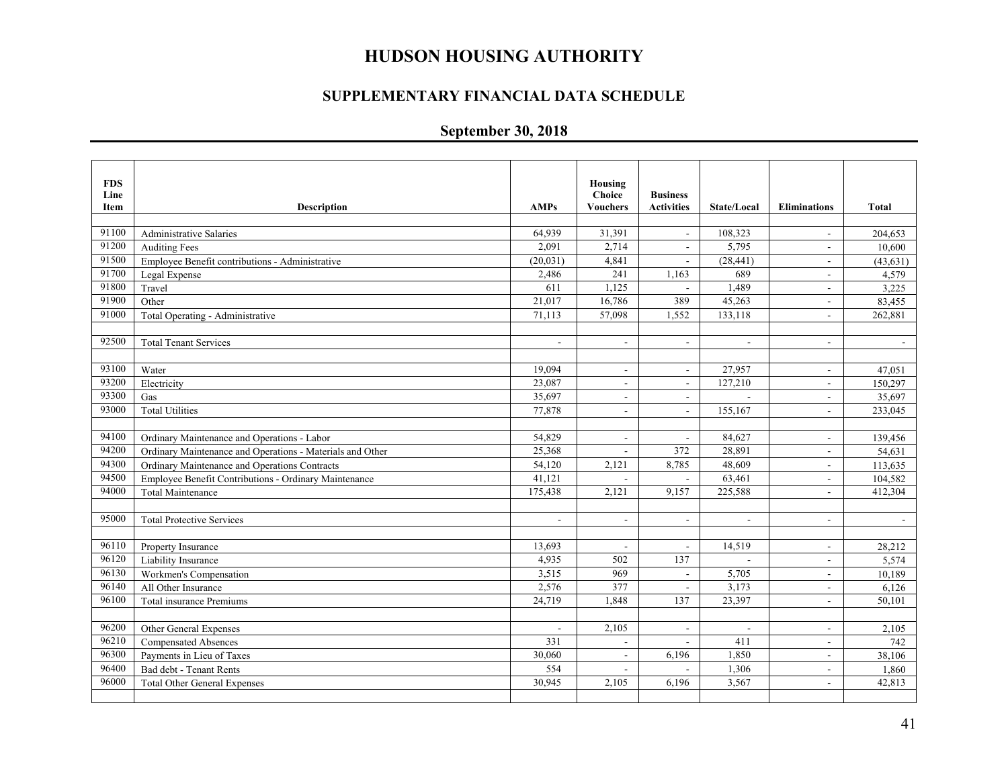#### **SUPPLEMENTARY FINANCIAL DATA SCHEDULE**

| <b>FDS</b>   |                                                           |                | Housing                          |                                      |                |                          |                |
|--------------|-----------------------------------------------------------|----------------|----------------------------------|--------------------------------------|----------------|--------------------------|----------------|
| Line<br>Item | <b>Description</b>                                        | <b>AMPs</b>    | <b>Choice</b><br><b>Vouchers</b> | <b>Business</b><br><b>Activities</b> | State/Local    | <b>Eliminations</b>      | Total          |
|              |                                                           |                |                                  |                                      |                |                          |                |
| 91100        | <b>Administrative Salaries</b>                            | 64,939         | 31,391                           | $\blacksquare$                       | 108,323        | $\overline{\phantom{a}}$ | 204,653        |
| 91200        | <b>Auditing Fees</b>                                      | 2,091          | 2,714                            | $\overline{\phantom{a}}$             | 5,795          | $\blacksquare$           | 10,600         |
| 91500        | Employee Benefit contributions - Administrative           | (20, 031)      | 4,841                            | $\blacksquare$                       | (28, 441)      | $\overline{\phantom{a}}$ | (43, 631)      |
| 91700        | Legal Expense                                             | 2,486          | 241                              | 1,163                                | 689            | $\sim$                   | 4,579          |
| 91800        | Travel                                                    | 611            | 1,125                            | ÷.                                   | 1,489          | ÷                        | 3,225          |
| 91900        | Other                                                     | 21,017         | 16,786                           | 389                                  | 45,263         | ÷                        | 83,455         |
| 91000        | Total Operating - Administrative                          | 71,113         | 57,098                           | 1.552                                | 133,118        | $\blacksquare$           | 262,881        |
|              |                                                           |                |                                  |                                      |                |                          |                |
| 92500        | <b>Total Tenant Services</b>                              | $\blacksquare$ | $\blacksquare$                   | $\blacksquare$                       | $\blacksquare$ | ÷                        | $\blacksquare$ |
|              |                                                           |                |                                  |                                      |                |                          |                |
| 93100        | Water                                                     | 19,094         | $\blacksquare$                   | $\mathbf{r}$                         | 27,957         | ÷                        | 47.051         |
| 93200        | Electricity                                               | 23,087         | $\overline{\phantom{a}}$         | ÷.                                   | 127,210        | $\sim$                   | 150,297        |
| 93300        | Gas                                                       | 35,697         | $\blacksquare$                   | $\mathbf{r}$                         |                | $\overline{a}$           | 35,697         |
| 93000        | <b>Total Utilities</b>                                    | 77,878         | $\blacksquare$                   | $\blacksquare$                       | 155, 167       | ÷                        | 233,045        |
|              |                                                           |                |                                  |                                      |                |                          |                |
| 94100        | Ordinary Maintenance and Operations - Labor               | 54,829         | $\blacksquare$                   | $\overline{a}$                       | 84,627         | $\blacksquare$           | 139,456        |
| 94200        | Ordinary Maintenance and Operations - Materials and Other | 25,368         | $\blacksquare$                   | 372                                  | 28,891         | $\blacksquare$           | 54,631         |
| 94300        | Ordinary Maintenance and Operations Contracts             | 54,120         | 2,121                            | 8,785                                | 48,609         | $\blacksquare$           | 113,635        |
| 94500        | Employee Benefit Contributions - Ordinary Maintenance     | 41,121         | $\sim$                           | $\overline{\phantom{a}}$             | 63,461         | ÷                        | 104,582        |
| 94000        | Total Maintenance                                         | 175,438        | 2,121                            | 9,157                                | 225,588        | $\overline{a}$           | 412,304        |
|              |                                                           |                |                                  |                                      |                |                          |                |
| 95000        | <b>Total Protective Services</b>                          | $\sim$         | $\mathcal{L}$                    | $\mathbf{r}$                         | $\mathbf{r}$   | ÷.                       | $\omega$       |
|              |                                                           |                |                                  |                                      |                |                          |                |
| 96110        | Property Insurance                                        | 13,693         | $\overline{\phantom{a}}$         | $\sim$                               | 14,519         | $\blacksquare$           | 28,212         |
| 96120        | Liability Insurance                                       | 4,935          | 502                              | 137                                  |                | $\blacksquare$           | 5,574          |
| 96130        | Workmen's Compensation                                    | 3,515          | 969                              | $\mathbf{r}$                         | 5,705          | $\sim$                   | 10,189         |
| 96140        | All Other Insurance                                       | 2,576          | 377                              | $\overline{a}$                       | 3,173          | $\sim$                   | 6,126          |
| 96100        | <b>Total insurance Premiums</b>                           | 24,719         | 1,848                            | 137                                  | 23,397         | ÷                        | 50,101         |
|              |                                                           |                |                                  |                                      |                |                          |                |
| 96200        | Other General Expenses                                    | $\sim$         | 2.105                            | $\blacksquare$                       | $\sim$         | $\sim$                   | 2,105          |
| 96210        | <b>Compensated Absences</b>                               | 331            | $\blacksquare$                   | $\blacksquare$                       | 411            | $\blacksquare$           | 742            |
| 96300        | Payments in Lieu of Taxes                                 | 30,060         | $\overline{\phantom{a}}$         | 6,196                                | 1,850          | $\overline{\phantom{a}}$ | 38,106         |
| 96400        | Bad debt - Tenant Rents                                   | 554            | $\mathbf{r}$                     | $\mathbf{r}$                         | 1,306          | $\overline{\phantom{a}}$ | 1,860          |
| 96000        | <b>Total Other General Expenses</b>                       | 30,945         | 2,105                            | 6,196                                | 3,567          | $\blacksquare$           | 42,813         |
|              |                                                           |                |                                  |                                      |                |                          |                |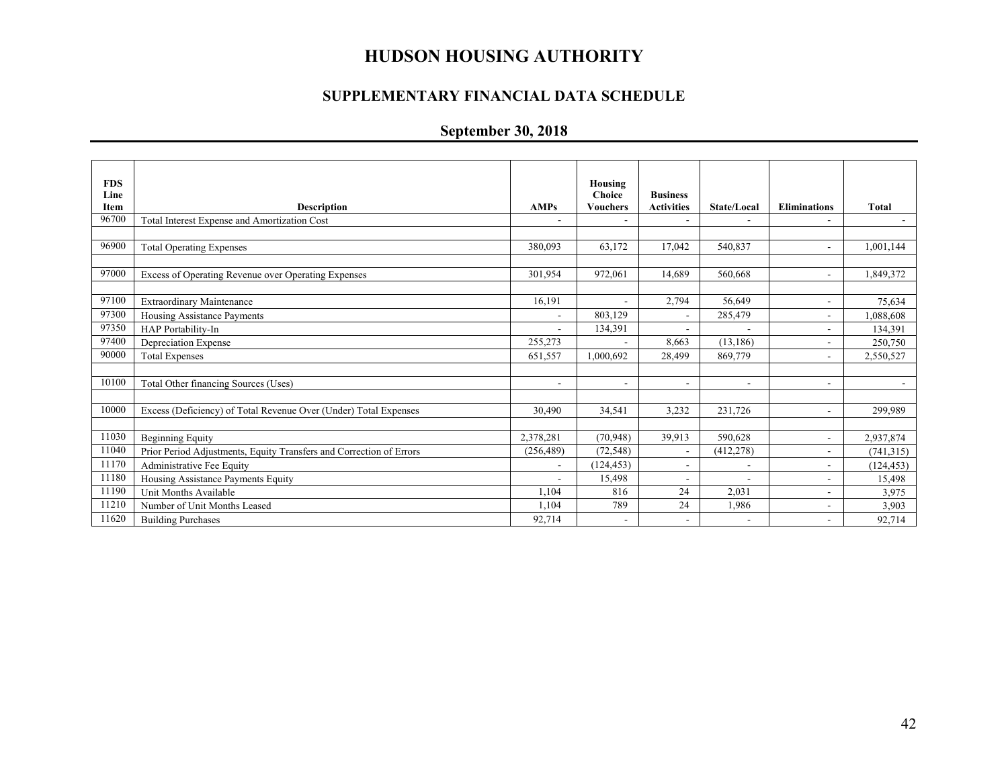#### **SUPPLEMENTARY FINANCIAL DATA SCHEDULE**

| <b>FDS</b><br>Line<br>Item | <b>Description</b>                                                  | <b>AMPs</b>    | Housing<br>Choice<br><b>Vouchers</b> | <b>Business</b><br><b>Activities</b> | State/Local              | <b>Eliminations</b> | <b>Total</b> |
|----------------------------|---------------------------------------------------------------------|----------------|--------------------------------------|--------------------------------------|--------------------------|---------------------|--------------|
| 96700                      | Total Interest Expense and Amortization Cost                        | ٠              |                                      |                                      |                          |                     |              |
| 96900                      | <b>Total Operating Expenses</b>                                     | 380,093        | 63,172                               | 17,042                               | 540,837                  | $\sim$              | 1,001,144    |
| 97000                      | Excess of Operating Revenue over Operating Expenses                 | 301,954        | 972,061                              | 14.689                               | 560,668                  |                     | 1,849,372    |
| 97100                      | <b>Extraordinary Maintenance</b>                                    | 16,191         | $\overline{\phantom{a}}$             | 2,794                                | 56,649                   |                     | 75,634       |
| 97300                      | Housing Assistance Payments                                         | $\overline{a}$ | 803,129                              |                                      | 285,479                  |                     | 1,088,608    |
| 97350                      | HAP Portability-In                                                  | $\sim$         | 134,391                              | $\sim$                               |                          |                     | 134,391      |
| 97400                      | Depreciation Expense                                                | 255,273        |                                      | 8,663                                | (13, 186)                |                     | 250,750      |
| 90000                      | <b>Total Expenses</b>                                               | 651,557        | 1,000,692                            | 28,499                               | 869,779                  |                     | 2,550,527    |
| 10100                      | Total Other financing Sources (Uses)                                | $\blacksquare$ | $\overline{\phantom{a}}$             | $\overline{\phantom{a}}$             | $\overline{\phantom{a}}$ |                     | $\sim$       |
| 10000                      | Excess (Deficiency) of Total Revenue Over (Under) Total Expenses    | 30,490         | 34,541                               | 3,232                                | 231,726                  | $\sim$              | 299,989      |
| 11030                      | <b>Beginning Equity</b>                                             | 2,378,281      | (70, 948)                            | 39,913                               | 590,628                  |                     | 2,937,874    |
| 11040                      | Prior Period Adjustments, Equity Transfers and Correction of Errors | (256, 489)     | (72, 548)                            |                                      | (412, 278)               |                     | (741, 315)   |
| 11170                      | Administrative Fee Equity                                           | $\overline{a}$ | (124, 453)                           | $\sim$                               |                          |                     | (124, 453)   |
| 11180                      | Housing Assistance Payments Equity                                  | ٠              | 15,498                               |                                      |                          |                     | 15,498       |
| 11190                      | Unit Months Available                                               | 1,104          | 816                                  | 24                                   | 2,031                    |                     | 3,975        |
| 11210                      | Number of Unit Months Leased                                        | 1.104          | 789                                  | 24                                   | 1,986                    |                     | 3,903        |
| 11620                      | <b>Building Purchases</b>                                           | 92,714         | $\overline{a}$                       |                                      |                          |                     | 92,714       |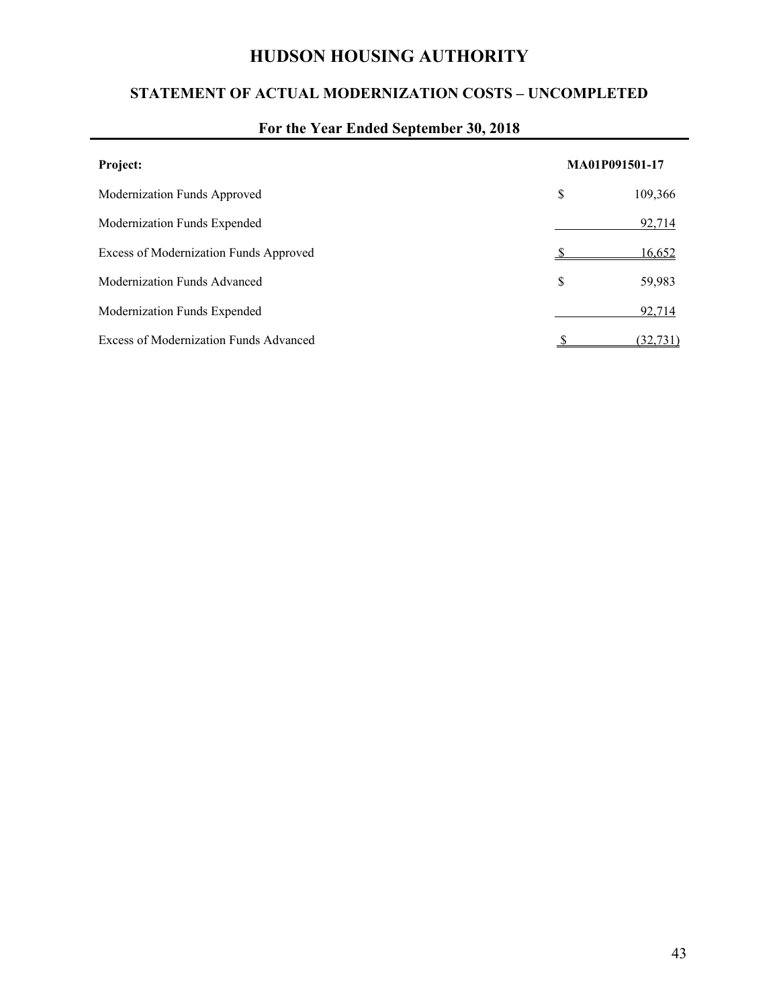# **STATEMENT OF ACTUAL MODERNIZATION COSTS – UNCOMPLETED**

| Project:                               | MA01P091501-17 |
|----------------------------------------|----------------|
| Modernization Funds Approved           | \$<br>109,366  |
| Modernization Funds Expended           | 92,714         |
| Excess of Modernization Funds Approved | <u>16,652</u>  |
| Modernization Funds Advanced           | \$<br>59,983   |
| Modernization Funds Expended           | 92,714         |
| Excess of Modernization Funds Advanced | (32.731        |

# **For the Year Ended September 30, 2018**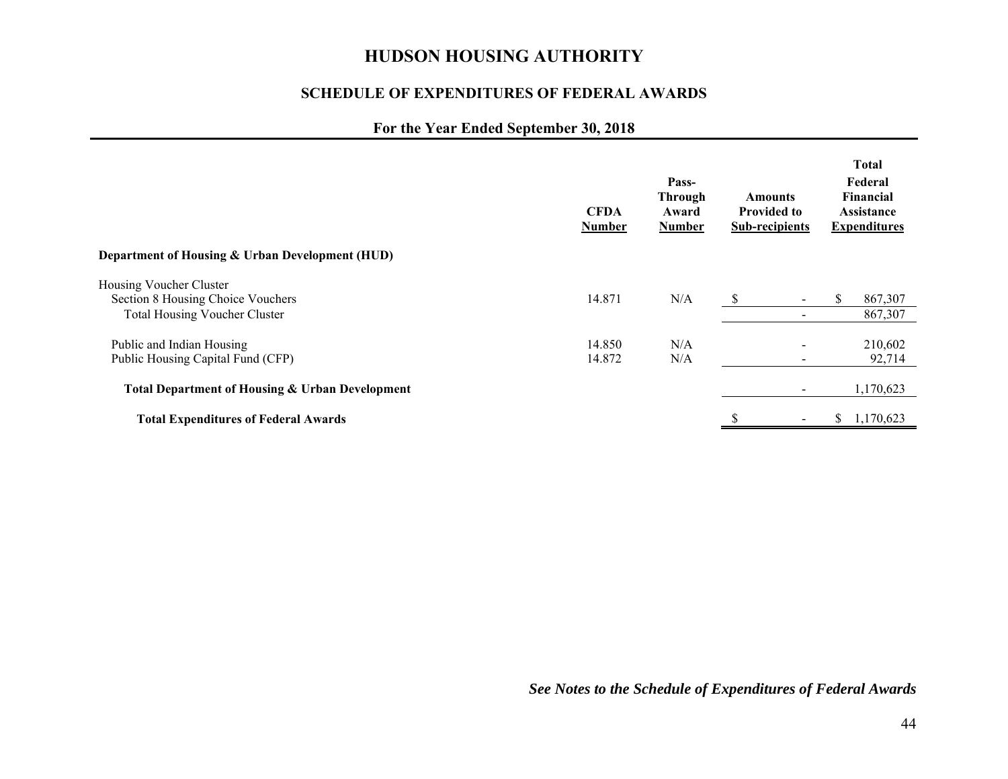#### **SCHEDULE OF EXPENDITURES OF FEDERAL AWARDS**

## **For the Year Ended September 30, 2018**

|                                                                                                      | <b>CFDA</b><br>Number | Pass-<br><b>Through</b><br>Award<br><b>Number</b> |                    | <b>Amounts</b><br><b>Provided to</b><br>Sub-recipients |    | <b>Total</b><br>Federal<br>Financial<br><b>Assistance</b><br><b>Expenditures</b> |
|------------------------------------------------------------------------------------------------------|-----------------------|---------------------------------------------------|--------------------|--------------------------------------------------------|----|----------------------------------------------------------------------------------|
| Department of Housing & Urban Development (HUD)                                                      |                       |                                                   |                    |                                                        |    |                                                                                  |
| Housing Voucher Cluster<br>Section 8 Housing Choice Vouchers<br><b>Total Housing Voucher Cluster</b> | 14.871                | N/A                                               | $\mathbf{\hat{s}}$ | $\blacksquare$<br>$\overline{\phantom{a}}$             | S  | 867,307<br>867,307                                                               |
| Public and Indian Housing<br>Public Housing Capital Fund (CFP)                                       | 14.850<br>14.872      | N/A<br>N/A                                        |                    | -<br>$\blacksquare$                                    |    | 210,602<br>92,714                                                                |
| Total Department of Housing & Urban Development                                                      |                       |                                                   |                    | $\overline{\phantom{a}}$                               |    | 1,170,623                                                                        |
| <b>Total Expenditures of Federal Awards</b>                                                          |                       |                                                   | \$                 | $\overline{\phantom{a}}$                               | S. | 1,170,623                                                                        |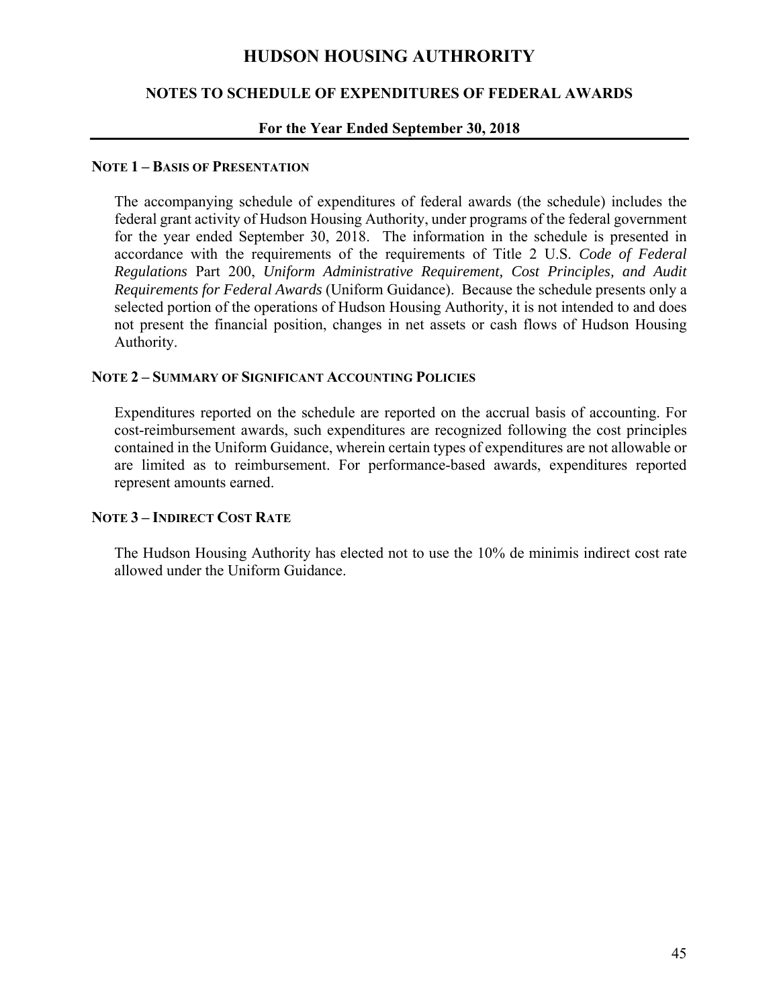## **NOTES TO SCHEDULE OF EXPENDITURES OF FEDERAL AWARDS**

#### **For the Year Ended September 30, 2018**

#### **NOTE 1 – BASIS OF PRESENTATION**

The accompanying schedule of expenditures of federal awards (the schedule) includes the federal grant activity of Hudson Housing Authority, under programs of the federal government for the year ended September 30, 2018. The information in the schedule is presented in accordance with the requirements of the requirements of Title 2 U.S. *Code of Federal Regulations* Part 200, *Uniform Administrative Requirement, Cost Principles, and Audit Requirements for Federal Awards* (Uniform Guidance). Because the schedule presents only a selected portion of the operations of Hudson Housing Authority, it is not intended to and does not present the financial position, changes in net assets or cash flows of Hudson Housing Authority.

#### **NOTE 2 – SUMMARY OF SIGNIFICANT ACCOUNTING POLICIES**

Expenditures reported on the schedule are reported on the accrual basis of accounting. For cost-reimbursement awards, such expenditures are recognized following the cost principles contained in the Uniform Guidance, wherein certain types of expenditures are not allowable or are limited as to reimbursement. For performance-based awards, expenditures reported represent amounts earned.

### **NOTE 3 – INDIRECT COST RATE**

The Hudson Housing Authority has elected not to use the 10% de minimis indirect cost rate allowed under the Uniform Guidance.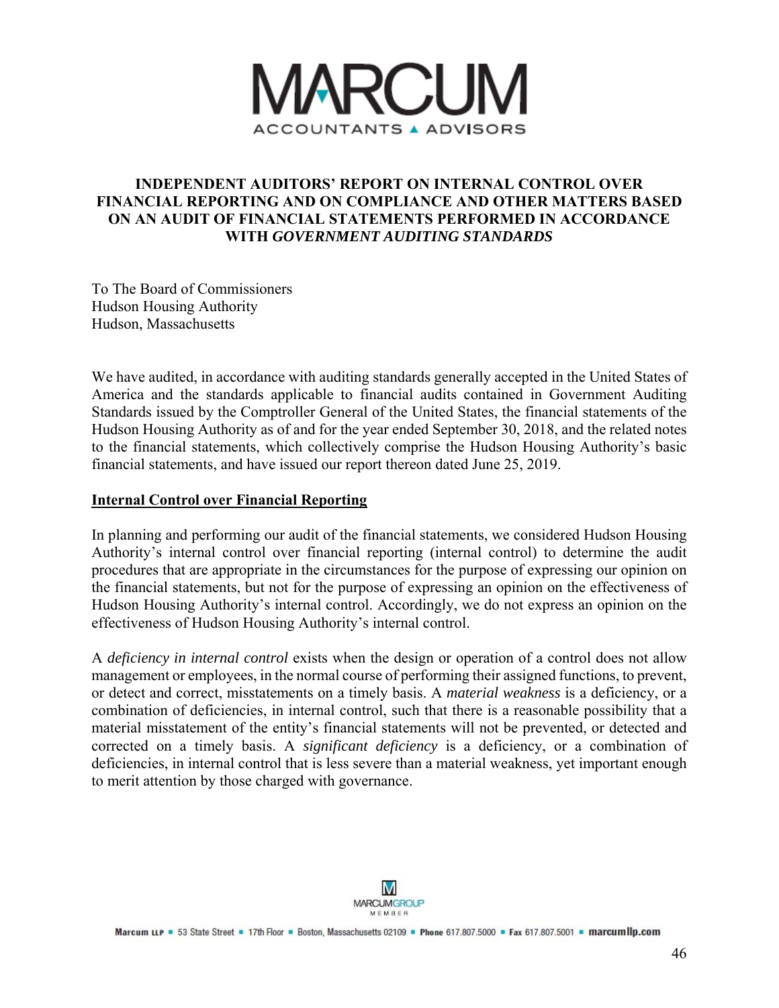

## **INDEPENDENT AUDITORS' REPORT ON INTERNAL CONTROL OVER FINANCIAL REPORTING AND ON COMPLIANCE AND OTHER MATTERS BASED ON AN AUDIT OF FINANCIAL STATEMENTS PERFORMED IN ACCORDANCE WITH** *GOVERNMENT AUDITING STANDARDS*

To The Board of Commissioners Hudson Housing Authority Hudson, Massachusetts

We have audited, in accordance with auditing standards generally accepted in the United States of America and the standards applicable to financial audits contained in Government Auditing Standards issued by the Comptroller General of the United States, the financial statements of the Hudson Housing Authority as of and for the year ended September 30, 2018, and the related notes to the financial statements, which collectively comprise the Hudson Housing Authority's basic financial statements, and have issued our report thereon dated June 25, 2019.

## **Internal Control over Financial Reporting**

In planning and performing our audit of the financial statements, we considered Hudson Housing Authority's internal control over financial reporting (internal control) to determine the audit procedures that are appropriate in the circumstances for the purpose of expressing our opinion on the financial statements, but not for the purpose of expressing an opinion on the effectiveness of Hudson Housing Authority's internal control. Accordingly, we do not express an opinion on the effectiveness of Hudson Housing Authority's internal control.

A *deficiency in internal control* exists when the design or operation of a control does not allow management or employees, in the normal course of performing their assigned functions, to prevent, or detect and correct, misstatements on a timely basis. A *material weakness* is a deficiency, or a combination of deficiencies, in internal control, such that there is a reasonable possibility that a material misstatement of the entity's financial statements will not be prevented, or detected and corrected on a timely basis. A *significant deficiency* is a deficiency, or a combination of deficiencies, in internal control that is less severe than a material weakness, yet important enough to merit attention by those charged with governance.



Marcum LLP = 53 State Street = 17th Floor = Boston, Massachusetts 02109 = Phone 617.807.5000 = Fax 617.807.5001 = marcum llp.com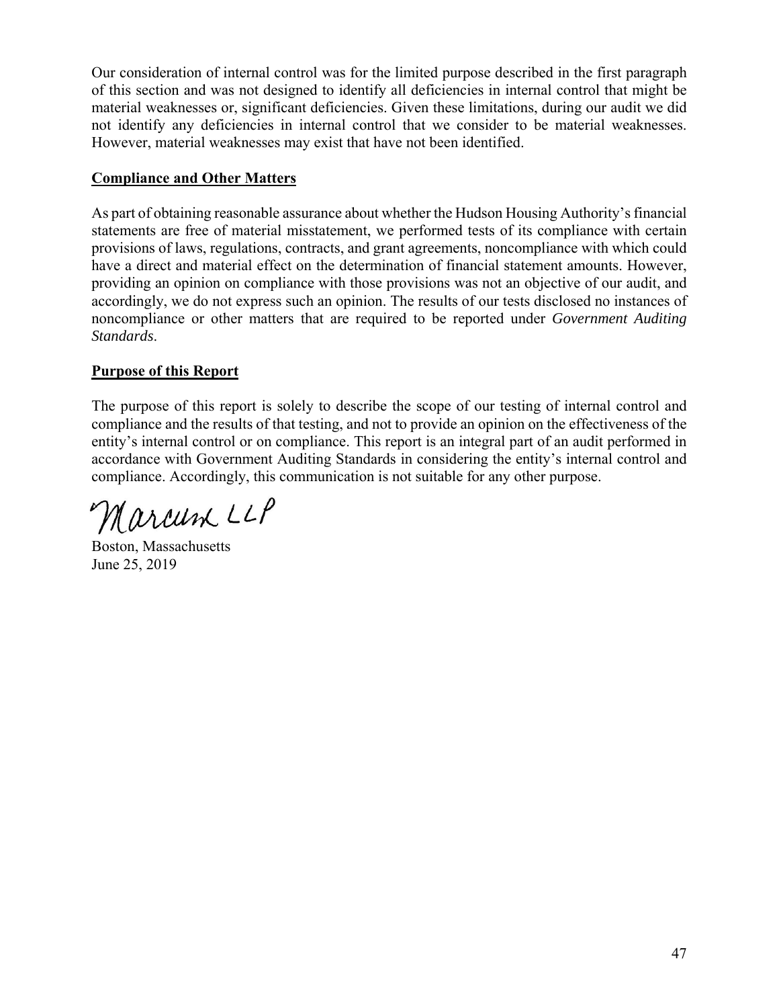Our consideration of internal control was for the limited purpose described in the first paragraph of this section and was not designed to identify all deficiencies in internal control that might be material weaknesses or, significant deficiencies. Given these limitations, during our audit we did not identify any deficiencies in internal control that we consider to be material weaknesses. However, material weaknesses may exist that have not been identified.

## **Compliance and Other Matters**

As part of obtaining reasonable assurance about whether the Hudson Housing Authority's financial statements are free of material misstatement, we performed tests of its compliance with certain provisions of laws, regulations, contracts, and grant agreements, noncompliance with which could have a direct and material effect on the determination of financial statement amounts. However, providing an opinion on compliance with those provisions was not an objective of our audit, and accordingly, we do not express such an opinion. The results of our tests disclosed no instances of noncompliance or other matters that are required to be reported under *Government Auditing Standards*.

## **Purpose of this Report**

The purpose of this report is solely to describe the scope of our testing of internal control and compliance and the results of that testing, and not to provide an opinion on the effectiveness of the entity's internal control or on compliance. This report is an integral part of an audit performed in accordance with Government Auditing Standards in considering the entity's internal control and compliance. Accordingly, this communication is not suitable for any other purpose.

Marcum LLP

Boston, Massachusetts June 25, 2019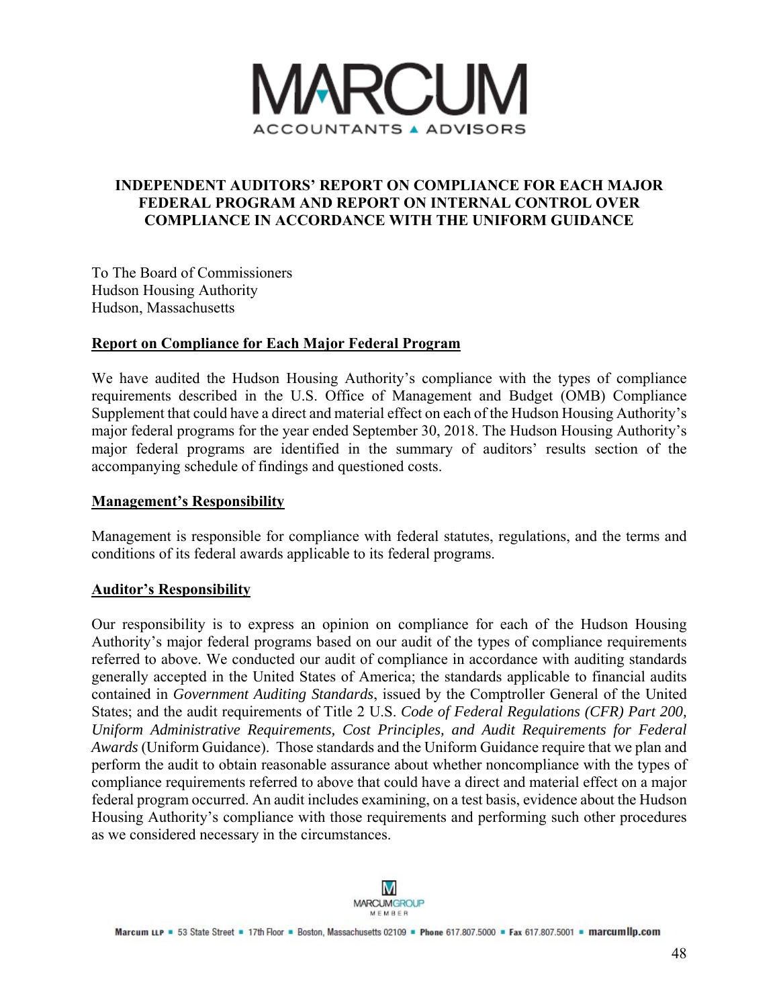

## **INDEPENDENT AUDITORS' REPORT ON COMPLIANCE FOR EACH MAJOR FEDERAL PROGRAM AND REPORT ON INTERNAL CONTROL OVER COMPLIANCE IN ACCORDANCE WITH THE UNIFORM GUIDANCE**

To The Board of Commissioners Hudson Housing Authority Hudson, Massachusetts

### **Report on Compliance for Each Major Federal Program**

We have audited the Hudson Housing Authority's compliance with the types of compliance requirements described in the U.S. Office of Management and Budget (OMB) Compliance Supplement that could have a direct and material effect on each of the Hudson Housing Authority's major federal programs for the year ended September 30, 2018. The Hudson Housing Authority's major federal programs are identified in the summary of auditors' results section of the accompanying schedule of findings and questioned costs.

#### **Management's Responsibility**

Management is responsible for compliance with federal statutes, regulations, and the terms and conditions of its federal awards applicable to its federal programs.

### **Auditor's Responsibility**

Our responsibility is to express an opinion on compliance for each of the Hudson Housing Authority's major federal programs based on our audit of the types of compliance requirements referred to above. We conducted our audit of compliance in accordance with auditing standards generally accepted in the United States of America; the standards applicable to financial audits contained in *Government Auditing Standards*, issued by the Comptroller General of the United States; and the audit requirements of Title 2 U.S. *Code of Federal Regulations (CFR) Part 200, Uniform Administrative Requirements, Cost Principles, and Audit Requirements for Federal Awards* (Uniform Guidance). Those standards and the Uniform Guidance require that we plan and perform the audit to obtain reasonable assurance about whether noncompliance with the types of compliance requirements referred to above that could have a direct and material effect on a major federal program occurred. An audit includes examining, on a test basis, evidence about the Hudson Housing Authority's compliance with those requirements and performing such other procedures as we considered necessary in the circumstances.

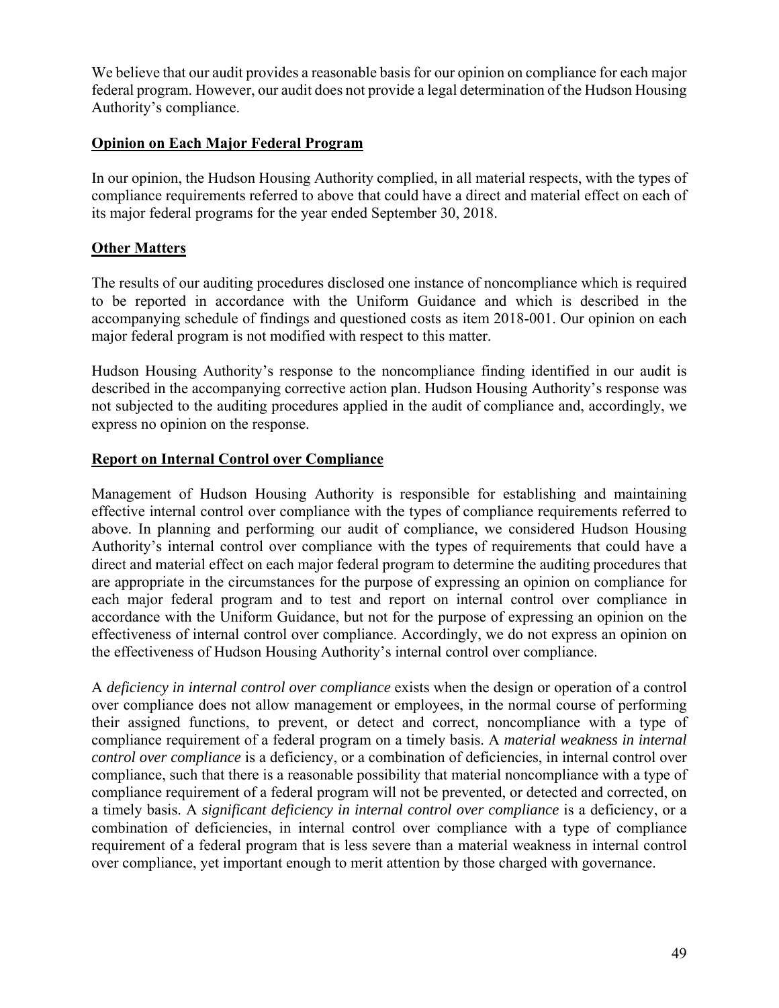We believe that our audit provides a reasonable basis for our opinion on compliance for each major federal program. However, our audit does not provide a legal determination of the Hudson Housing Authority's compliance.

## **Opinion on Each Major Federal Program**

In our opinion, the Hudson Housing Authority complied, in all material respects, with the types of compliance requirements referred to above that could have a direct and material effect on each of its major federal programs for the year ended September 30, 2018.

## **Other Matters**

The results of our auditing procedures disclosed one instance of noncompliance which is required to be reported in accordance with the Uniform Guidance and which is described in the accompanying schedule of findings and questioned costs as item 2018-001. Our opinion on each major federal program is not modified with respect to this matter.

Hudson Housing Authority's response to the noncompliance finding identified in our audit is described in the accompanying corrective action plan. Hudson Housing Authority's response was not subjected to the auditing procedures applied in the audit of compliance and, accordingly, we express no opinion on the response.

### **Report on Internal Control over Compliance**

Management of Hudson Housing Authority is responsible for establishing and maintaining effective internal control over compliance with the types of compliance requirements referred to above. In planning and performing our audit of compliance, we considered Hudson Housing Authority's internal control over compliance with the types of requirements that could have a direct and material effect on each major federal program to determine the auditing procedures that are appropriate in the circumstances for the purpose of expressing an opinion on compliance for each major federal program and to test and report on internal control over compliance in accordance with the Uniform Guidance, but not for the purpose of expressing an opinion on the effectiveness of internal control over compliance. Accordingly, we do not express an opinion on the effectiveness of Hudson Housing Authority's internal control over compliance.

A *deficiency in internal control over compliance* exists when the design or operation of a control over compliance does not allow management or employees, in the normal course of performing their assigned functions, to prevent, or detect and correct, noncompliance with a type of compliance requirement of a federal program on a timely basis. A *material weakness in internal control over compliance* is a deficiency, or a combination of deficiencies, in internal control over compliance, such that there is a reasonable possibility that material noncompliance with a type of compliance requirement of a federal program will not be prevented, or detected and corrected, on a timely basis. A *significant deficiency in internal control over compliance* is a deficiency, or a combination of deficiencies, in internal control over compliance with a type of compliance requirement of a federal program that is less severe than a material weakness in internal control over compliance, yet important enough to merit attention by those charged with governance.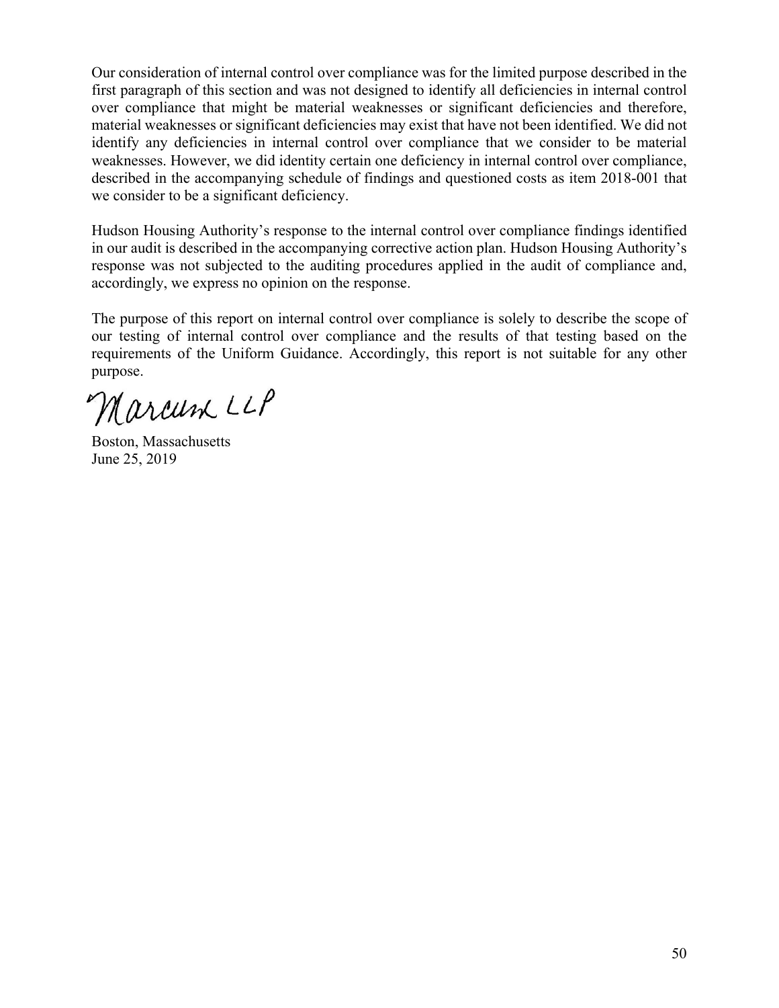Our consideration of internal control over compliance was for the limited purpose described in the first paragraph of this section and was not designed to identify all deficiencies in internal control over compliance that might be material weaknesses or significant deficiencies and therefore, material weaknesses or significant deficiencies may exist that have not been identified. We did not identify any deficiencies in internal control over compliance that we consider to be material weaknesses. However, we did identity certain one deficiency in internal control over compliance, described in the accompanying schedule of findings and questioned costs as item 2018-001 that we consider to be a significant deficiency.

Hudson Housing Authority's response to the internal control over compliance findings identified in our audit is described in the accompanying corrective action plan. Hudson Housing Authority's response was not subjected to the auditing procedures applied in the audit of compliance and, accordingly, we express no opinion on the response.

The purpose of this report on internal control over compliance is solely to describe the scope of our testing of internal control over compliance and the results of that testing based on the requirements of the Uniform Guidance. Accordingly, this report is not suitable for any other purpose.

Marcum LLP

Boston, Massachusetts June 25, 2019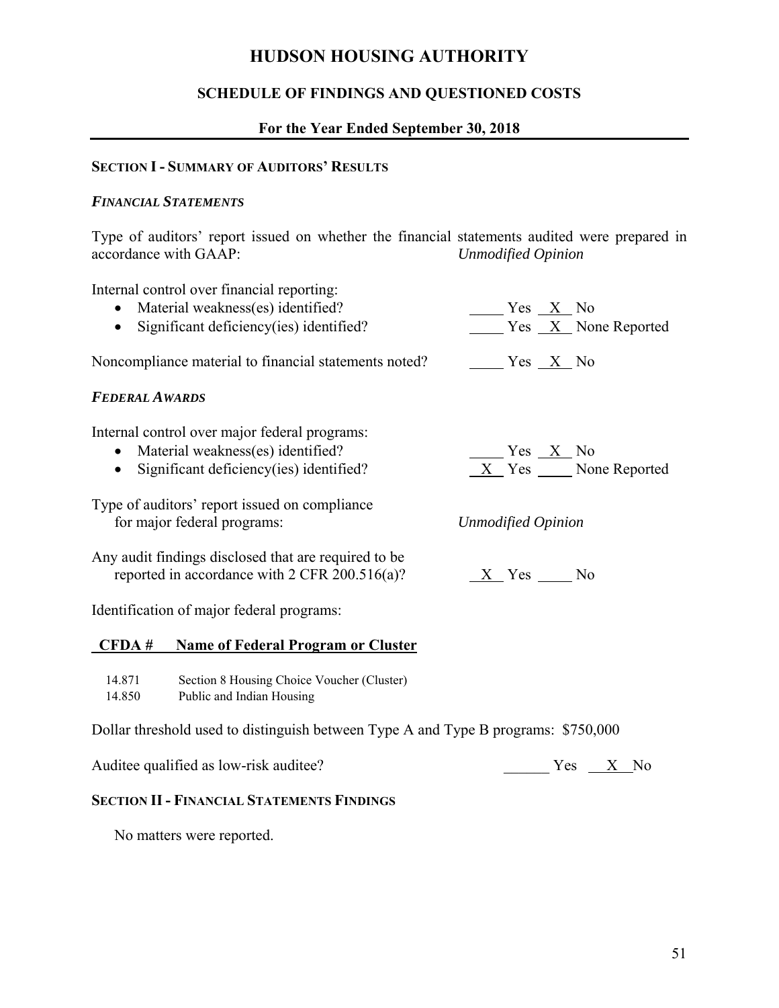## **SCHEDULE OF FINDINGS AND QUESTIONED COSTS**

## **For the Year Ended September 30, 2018**

#### **SECTION I - SUMMARY OF AUDITORS' RESULTS**

#### *FINANCIAL STATEMENTS*

Type of auditors' report issued on whether the financial statements audited were prepared in accordance with GAAP: *Unmodified Opinion* 

Internal control over financial reporting:

| • Material weakness(es) identified?                                                                                                           | $Yes$ X No                          |
|-----------------------------------------------------------------------------------------------------------------------------------------------|-------------------------------------|
| Significant deficiency (ies) identified?<br>$\bullet$                                                                                         | $\frac{X}{X}$ None Reported         |
| Noncompliance material to financial statements noted?                                                                                         | $Yes$ X No                          |
| <b>FEDERAL AWARDS</b>                                                                                                                         |                                     |
| Internal control over major federal programs:<br>• Material weakness(es) identified?<br>Significant deficiency (ies) identified?<br>$\bullet$ | $Yes \tX$ No<br>X Yes None Reported |
| Type of auditors' report issued on compliance<br>for major federal programs:                                                                  | <b>Unmodified Opinion</b>           |
| Any audit findings disclosed that are required to be<br>reported in accordance with 2 CFR $200.516(a)$ ?                                      | $X$ Yes $N$ o                       |
| Identification of major federal programs:                                                                                                     |                                     |
| CFDA #<br>Name of Federal Program or Cluster                                                                                                  |                                     |

14.871 Section 8 Housing Choice Voucher (Cluster) 14.850 Public and Indian Housing

Dollar threshold used to distinguish between Type A and Type B programs: \$750,000

Auditee qualified as low-risk auditee? The South of the South of the Ves X No

#### **SECTION II - FINANCIAL STATEMENTS FINDINGS**

No matters were reported.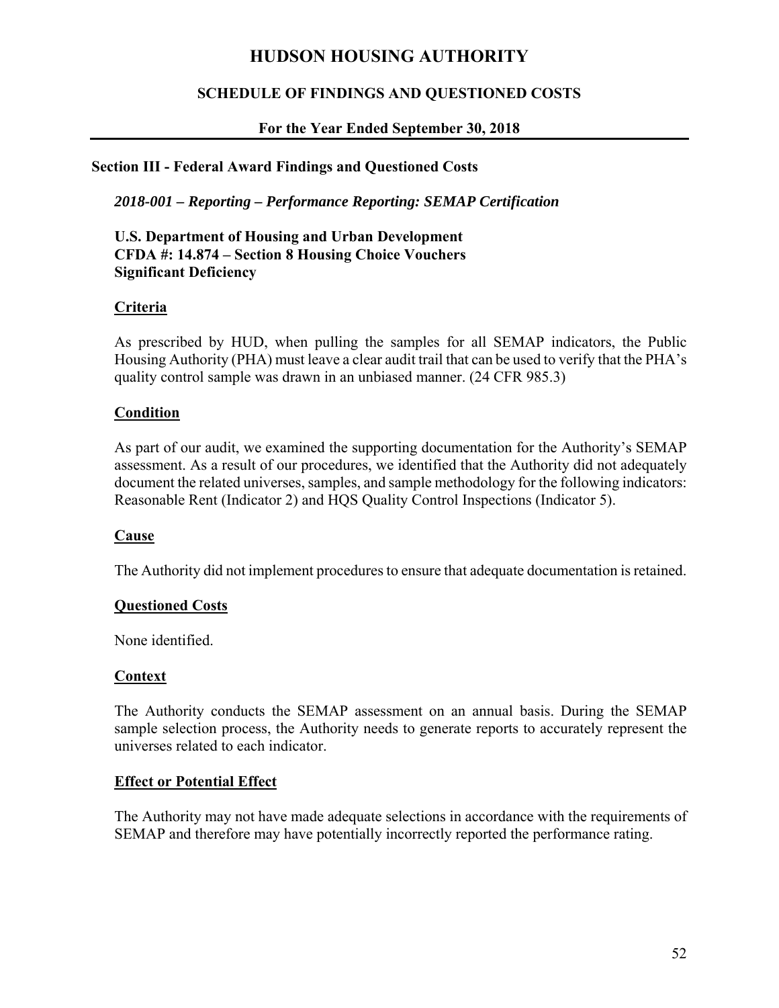## **SCHEDULE OF FINDINGS AND QUESTIONED COSTS**

## **For the Year Ended September 30, 2018**

### **Section III - Federal Award Findings and Questioned Costs**

*2018-001 – Reporting – Performance Reporting: SEMAP Certification* 

## **U.S. Department of Housing and Urban Development CFDA #: 14.874 – Section 8 Housing Choice Vouchers Significant Deficiency**

## **Criteria**

As prescribed by HUD, when pulling the samples for all SEMAP indicators, the Public Housing Authority (PHA) must leave a clear audit trail that can be used to verify that the PHA's quality control sample was drawn in an unbiased manner. (24 CFR 985.3)

### **Condition**

As part of our audit, we examined the supporting documentation for the Authority's SEMAP assessment. As a result of our procedures, we identified that the Authority did not adequately document the related universes, samples, and sample methodology for the following indicators: Reasonable Rent (Indicator 2) and HQS Quality Control Inspections (Indicator 5).

### **Cause**

The Authority did not implement procedures to ensure that adequate documentation is retained.

### **Questioned Costs**

None identified.

### **Context**

The Authority conducts the SEMAP assessment on an annual basis. During the SEMAP sample selection process, the Authority needs to generate reports to accurately represent the universes related to each indicator.

### **Effect or Potential Effect**

The Authority may not have made adequate selections in accordance with the requirements of SEMAP and therefore may have potentially incorrectly reported the performance rating.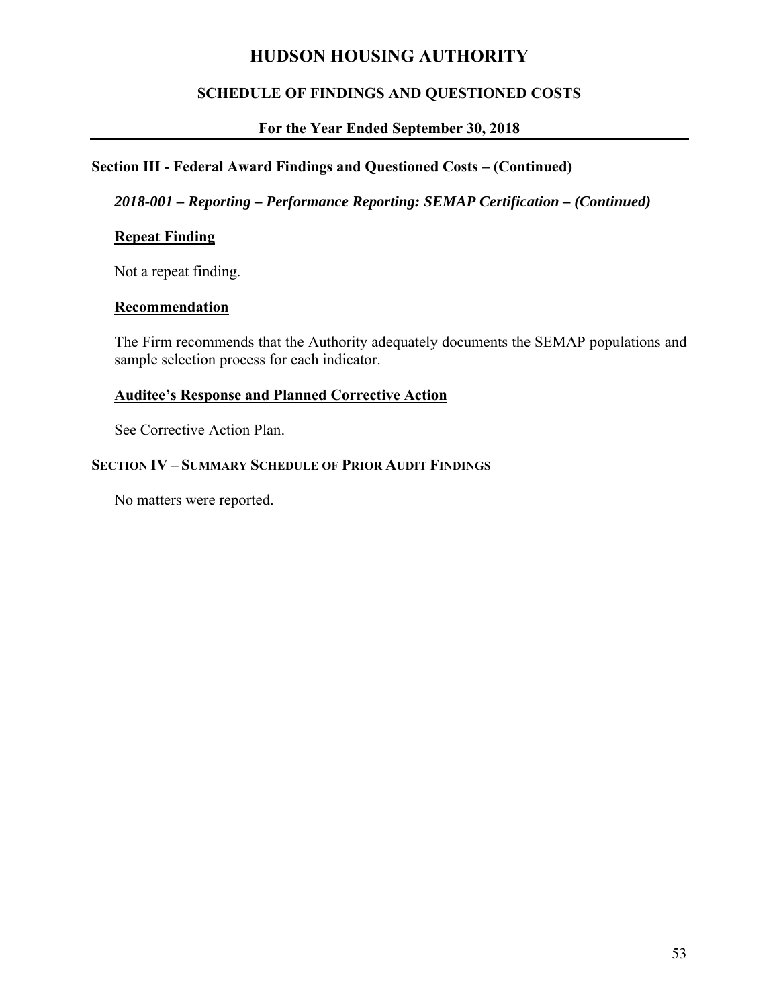# **SCHEDULE OF FINDINGS AND QUESTIONED COSTS**

## **For the Year Ended September 30, 2018**

## **Section III - Federal Award Findings and Questioned Costs – (Continued)**

*2018-001 – Reporting – Performance Reporting: SEMAP Certification – (Continued)* 

### **Repeat Finding**

Not a repeat finding.

## **Recommendation**

The Firm recommends that the Authority adequately documents the SEMAP populations and sample selection process for each indicator.

## **Auditee's Response and Planned Corrective Action**

See Corrective Action Plan.

## **SECTION IV – SUMMARY SCHEDULE OF PRIOR AUDIT FINDINGS**

No matters were reported.